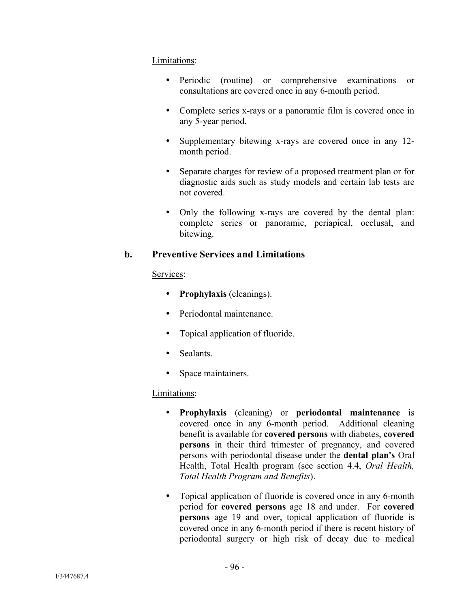#### Limitations:

- Periodic (routine) or comprehensive examinations or consultations are covered once in any 6-month period.
- Complete series x-rays or a panoramic film is covered once in any 5-year period.
- Supplementary bitewing x-rays are covered once in any 12month period.
- Separate charges for review of a proposed treatment plan or for diagnostic aids such as study models and certain lab tests are not covered.
- Only the following x-rays are covered by the dental plan: complete series or panoramic, periapical, occlusal, and bitewing.

# **b. Preventive Services and Limitations**

#### Services:

- **Prophylaxis** (cleanings).
- Periodontal maintenance.
- Topical application of fluoride.
- Sealants
- Space maintainers.

#### Limitations:

- **Prophylaxis** (cleaning) or **periodontal maintenance** is covered once in any 6-month period. Additional cleaning benefit is available for **covered persons** with diabetes, **covered persons** in their third trimester of pregnancy, and covered persons with periodontal disease under the **dental plan's** Oral Health, Total Health program (see section 4.4, *Oral Health, Total Health Program and Benefits*).
- Topical application of fluoride is covered once in any 6-month period for **covered persons** age 18 and under. For **covered persons** age 19 and over, topical application of fluoride is covered once in any 6-month period if there is recent history of periodontal surgery or high risk of decay due to medical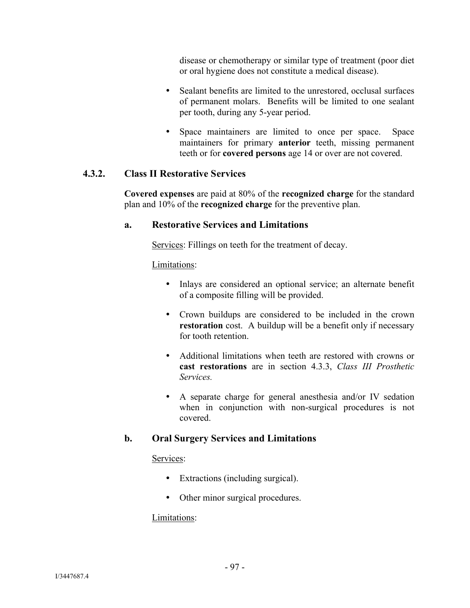disease or chemotherapy or similar type of treatment (poor diet or oral hygiene does not constitute a medical disease).

- Sealant benefits are limited to the unrestored, occlusal surfaces of permanent molars. Benefits will be limited to one sealant per tooth, during any 5-year period.
- Space maintainers are limited to once per space. Space maintainers for primary **anterior** teeth, missing permanent teeth or for **covered persons** age 14 or over are not covered.

# **4.3.2. Class II Restorative Services**

**Covered expenses** are paid at 80% of the **recognized charge** for the standard plan and 10% of the **recognized charge** for the preventive plan.

#### **a. Restorative Services and Limitations**

Services: Fillings on teeth for the treatment of decay.

# Limitations:

- Inlays are considered an optional service; an alternate benefit of a composite filling will be provided.
- Crown buildups are considered to be included in the crown **restoration** cost. A buildup will be a benefit only if necessary for tooth retention.
- Additional limitations when teeth are restored with crowns or **cast restorations** are in section 4.3.3, *Class III Prosthetic Services.*
- A separate charge for general anesthesia and/or IV sedation when in conjunction with non-surgical procedures is not covered.

# **b. Oral Surgery Services and Limitations**

#### Services:

- Extractions (including surgical).
- Other minor surgical procedures.

#### Limitations: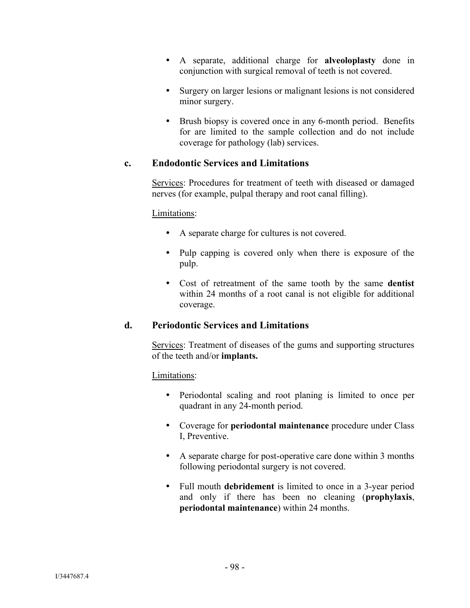- A separate, additional charge for **alveoloplasty** done in conjunction with surgical removal of teeth is not covered.
- Surgery on larger lesions or malignant lesions is not considered minor surgery.
- Brush biopsy is covered once in any 6-month period. Benefits for are limited to the sample collection and do not include coverage for pathology (lab) services.

# **c. Endodontic Services and Limitations**

Services: Procedures for treatment of teeth with diseased or damaged nerves (for example, pulpal therapy and root canal filling).

#### Limitations:

- A separate charge for cultures is not covered.
- Pulp capping is covered only when there is exposure of the pulp.
- Cost of retreatment of the same tooth by the same **dentist** within 24 months of a root canal is not eligible for additional coverage.

#### **d. Periodontic Services and Limitations**

Services: Treatment of diseases of the gums and supporting structures of the teeth and/or **implants.**

#### Limitations:

- Periodontal scaling and root planing is limited to once per quadrant in any 24-month period.
- Coverage for **periodontal maintenance** procedure under Class I, Preventive.
- A separate charge for post-operative care done within 3 months following periodontal surgery is not covered.
- Full mouth **debridement** is limited to once in a 3-year period and only if there has been no cleaning (**prophylaxis**, **periodontal maintenance**) within 24 months.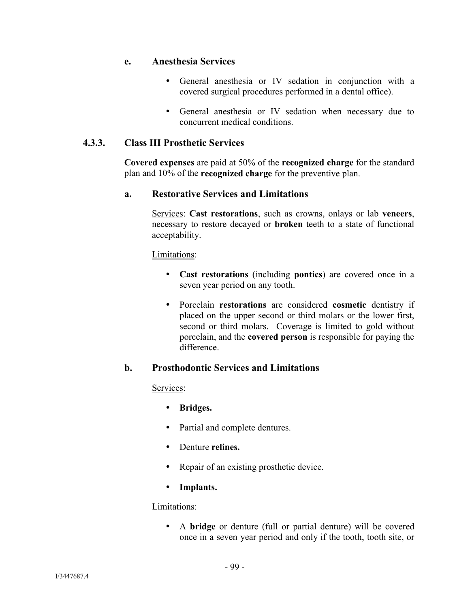#### **e. Anesthesia Services**

- General anesthesia or IV sedation in conjunction with a covered surgical procedures performed in a dental office).
- General anesthesia or IV sedation when necessary due to concurrent medical conditions.

# **4.3.3. Class III Prosthetic Services**

**Covered expenses** are paid at 50% of the **recognized charge** for the standard plan and 10% of the **recognized charge** for the preventive plan.

#### **a. Restorative Services and Limitations**

Services: **Cast restorations**, such as crowns, onlays or lab **veneers**, necessary to restore decayed or **broken** teeth to a state of functional acceptability.

Limitations:

- **Cast restorations** (including **pontics**) are covered once in a seven year period on any tooth.
- Porcelain **restorations** are considered **cosmetic** dentistry if placed on the upper second or third molars or the lower first, second or third molars. Coverage is limited to gold without porcelain, and the **covered person** is responsible for paying the difference.

#### **b. Prosthodontic Services and Limitations**

#### Services:

- **Bridges.**
- Partial and complete dentures.
- Denture **relines.**
- Repair of an existing prosthetic device.
- **Implants.**

#### Limitations:

 A **bridge** or denture (full or partial denture) will be covered once in a seven year period and only if the tooth, tooth site, or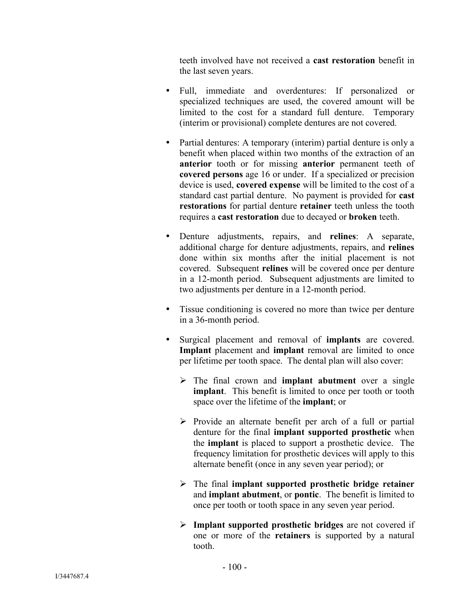teeth involved have not received a **cast restoration** benefit in the last seven years.

- Full, immediate and overdentures: If personalized or specialized techniques are used, the covered amount will be limited to the cost for a standard full denture. Temporary (interim or provisional) complete dentures are not covered.
- Partial dentures: A temporary (interim) partial denture is only a benefit when placed within two months of the extraction of an **anterior** tooth or for missing **anterior** permanent teeth of **covered persons** age 16 or under. If a specialized or precision device is used, **covered expense** will be limited to the cost of a standard cast partial denture. No payment is provided for **cast restorations** for partial denture **retainer** teeth unless the tooth requires a **cast restoration** due to decayed or **broken** teeth.
- Denture adjustments, repairs, and **relines**: A separate, additional charge for denture adjustments, repairs, and **relines** done within six months after the initial placement is not covered. Subsequent **relines** will be covered once per denture in a 12-month period. Subsequent adjustments are limited to two adjustments per denture in a 12-month period.
- Tissue conditioning is covered no more than twice per denture in a 36-month period.
- Surgical placement and removal of **implants** are covered. **Implant** placement and **implant** removal are limited to once per lifetime per tooth space. The dental plan will also cover:
	- The final crown and **implant abutment** over a single **implant**. This benefit is limited to once per tooth or tooth space over the lifetime of the **implant**; or
	- $\triangleright$  Provide an alternate benefit per arch of a full or partial denture for the final **implant supported prosthetic** when the **implant** is placed to support a prosthetic device. The frequency limitation for prosthetic devices will apply to this alternate benefit (once in any seven year period); or
	- The final **implant supported prosthetic bridge retainer** and **implant abutment**, or **pontic**. The benefit is limited to once per tooth or tooth space in any seven year period.
	- **Implant supported prosthetic bridges** are not covered if one or more of the **retainers** is supported by a natural tooth.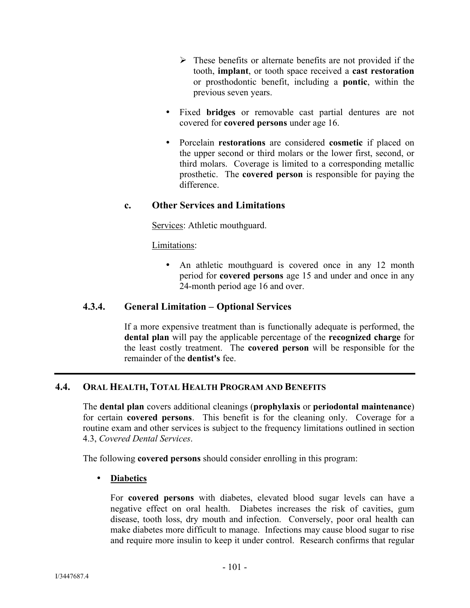- $\triangleright$  These benefits or alternate benefits are not provided if the tooth, **implant**, or tooth space received a **cast restoration** or prosthodontic benefit, including a **pontic**, within the previous seven years.
- Fixed **bridges** or removable cast partial dentures are not covered for **covered persons** under age 16.
- Porcelain **restorations** are considered **cosmetic** if placed on the upper second or third molars or the lower first, second, or third molars. Coverage is limited to a corresponding metallic prosthetic. The **covered person** is responsible for paying the difference.

# **c. Other Services and Limitations**

Services: Athletic mouthguard.

Limitations:

• An athletic mouthguard is covered once in any 12 month period for **covered persons** age 15 and under and once in any 24-month period age 16 and over.

# **4.3.4. General Limitation – Optional Services**

If a more expensive treatment than is functionally adequate is performed, the **dental plan** will pay the applicable percentage of the **recognized charge** for the least costly treatment. The **covered person** will be responsible for the remainder of the **dentist's** fee.

# **4.4. ORAL HEALTH, TOTAL HEALTH PROGRAM AND BENEFITS**

The **dental plan** covers additional cleanings (**prophylaxis** or **periodontal maintenance**) for certain **covered persons**. This benefit is for the cleaning only. Coverage for a routine exam and other services is subject to the frequency limitations outlined in section 4.3, *Covered Dental Services*.

The following **covered persons** should consider enrolling in this program:

#### **Diabetics**

For **covered persons** with diabetes, elevated blood sugar levels can have a negative effect on oral health. Diabetes increases the risk of cavities, gum disease, tooth loss, dry mouth and infection. Conversely, poor oral health can make diabetes more difficult to manage. Infections may cause blood sugar to rise and require more insulin to keep it under control. Research confirms that regular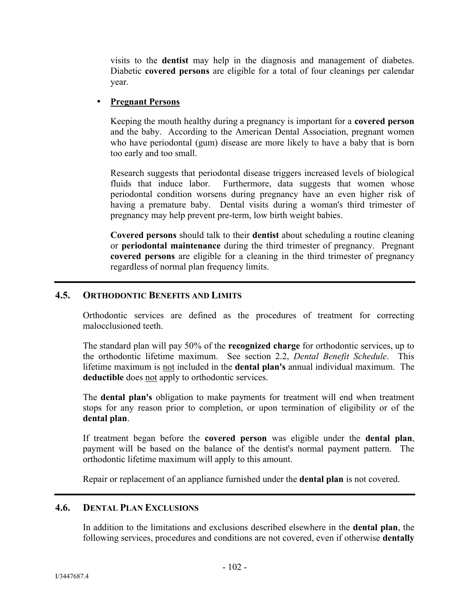visits to the **dentist** may help in the diagnosis and management of diabetes. Diabetic **covered persons** are eligible for a total of four cleanings per calendar year.

#### **Pregnant Persons**

Keeping the mouth healthy during a pregnancy is important for a **covered person** and the baby. According to the American Dental Association, pregnant women who have periodontal (gum) disease are more likely to have a baby that is born too early and too small.

Research suggests that periodontal disease triggers increased levels of biological fluids that induce labor. Furthermore, data suggests that women whose periodontal condition worsens during pregnancy have an even higher risk of having a premature baby. Dental visits during a woman's third trimester of pregnancy may help prevent pre-term, low birth weight babies.

**Covered persons** should talk to their **dentist** about scheduling a routine cleaning or **periodontal maintenance** during the third trimester of pregnancy. Pregnant **covered persons** are eligible for a cleaning in the third trimester of pregnancy regardless of normal plan frequency limits.

#### **4.5. ORTHODONTIC BENEFITS AND LIMITS**

Orthodontic services are defined as the procedures of treatment for correcting malocclusioned teeth.

The standard plan will pay 50% of the **recognized charge** for orthodontic services, up to the orthodontic lifetime maximum. See section 2.2, *Dental Benefit Schedule*. This lifetime maximum is not included in the **dental plan's** annual individual maximum. The **deductible** does not apply to orthodontic services.

The **dental plan's** obligation to make payments for treatment will end when treatment stops for any reason prior to completion, or upon termination of eligibility or of the **dental plan**.

If treatment began before the **covered person** was eligible under the **dental plan**, payment will be based on the balance of the dentist's normal payment pattern. The orthodontic lifetime maximum will apply to this amount.

Repair or replacement of an appliance furnished under the **dental plan** is not covered.

#### **4.6. DENTAL PLAN EXCLUSIONS**

In addition to the limitations and exclusions described elsewhere in the **dental plan**, the following services, procedures and conditions are not covered, even if otherwise **dentally**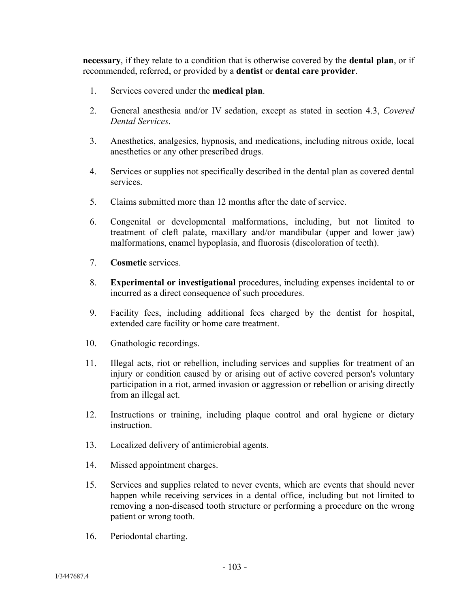**necessary**, if they relate to a condition that is otherwise covered by the **dental plan**, or if recommended, referred, or provided by a **dentist** or **dental care provider**.

- 1. Services covered under the **medical plan**.
- 2. General anesthesia and/or IV sedation, except as stated in section 4.3, *Covered Dental Services*.
- 3. Anesthetics, analgesics, hypnosis, and medications, including nitrous oxide, local anesthetics or any other prescribed drugs.
- 4. Services or supplies not specifically described in the dental plan as covered dental services.
- 5. Claims submitted more than 12 months after the date of service.
- 6. Congenital or developmental malformations, including, but not limited to treatment of cleft palate, maxillary and/or mandibular (upper and lower jaw) malformations, enamel hypoplasia, and fluorosis (discoloration of teeth).
- 7. **Cosmetic** services.
- 8. **Experimental or investigational** procedures, including expenses incidental to or incurred as a direct consequence of such procedures.
- 9. Facility fees, including additional fees charged by the dentist for hospital, extended care facility or home care treatment.
- 10. Gnathologic recordings.
- 11. Illegal acts, riot or rebellion, including services and supplies for treatment of an injury or condition caused by or arising out of active covered person's voluntary participation in a riot, armed invasion or aggression or rebellion or arising directly from an illegal act.
- 12. Instructions or training, including plaque control and oral hygiene or dietary instruction.
- 13. Localized delivery of antimicrobial agents.
- 14. Missed appointment charges.
- 15. Services and supplies related to never events, which are events that should never happen while receiving services in a dental office, including but not limited to removing a non-diseased tooth structure or performing a procedure on the wrong patient or wrong tooth.
- 16. Periodontal charting.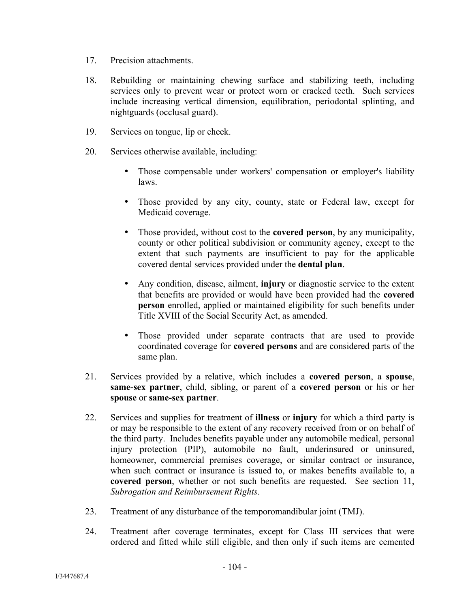- 17. Precision attachments.
- 18. Rebuilding or maintaining chewing surface and stabilizing teeth, including services only to prevent wear or protect worn or cracked teeth. Such services include increasing vertical dimension, equilibration, periodontal splinting, and nightguards (occlusal guard).
- 19. Services on tongue, lip or cheek.
- 20. Services otherwise available, including:
	- Those compensable under workers' compensation or employer's liability laws.
	- Those provided by any city, county, state or Federal law, except for Medicaid coverage.
	- Those provided, without cost to the **covered person**, by any municipality, county or other political subdivision or community agency, except to the extent that such payments are insufficient to pay for the applicable covered dental services provided under the **dental plan**.
	- Any condition, disease, ailment, **injury** or diagnostic service to the extent that benefits are provided or would have been provided had the **covered person** enrolled, applied or maintained eligibility for such benefits under Title XVIII of the Social Security Act, as amended.
	- Those provided under separate contracts that are used to provide coordinated coverage for **covered persons** and are considered parts of the same plan.
- 21. Services provided by a relative, which includes a **covered person**, a **spouse**, **same-sex partner**, child, sibling, or parent of a **covered person** or his or her **spouse** or **same-sex partner**.
- 22. Services and supplies for treatment of **illness** or **injury** for which a third party is or may be responsible to the extent of any recovery received from or on behalf of the third party. Includes benefits payable under any automobile medical, personal injury protection (PIP), automobile no fault, underinsured or uninsured, homeowner, commercial premises coverage, or similar contract or insurance, when such contract or insurance is issued to, or makes benefits available to, a **covered person**, whether or not such benefits are requested. See section 11, *Subrogation and Reimbursement Rights*.
- 23. Treatment of any disturbance of the temporomandibular joint (TMJ).
- 24. Treatment after coverage terminates, except for Class III services that were ordered and fitted while still eligible, and then only if such items are cemented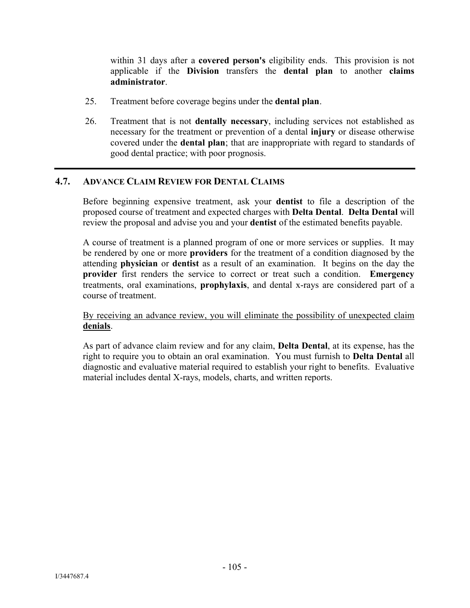within 31 days after a **covered person's** eligibility ends. This provision is not applicable if the **Division** transfers the **dental plan** to another **claims administrator**.

- 25. Treatment before coverage begins under the **dental plan**.
- 26. Treatment that is not **dentally necessary**, including services not established as necessary for the treatment or prevention of a dental **injury** or disease otherwise covered under the **dental plan**; that are inappropriate with regard to standards of good dental practice; with poor prognosis.

#### **4.7. ADVANCE CLAIM REVIEW FOR DENTAL CLAIMS**

Before beginning expensive treatment, ask your **dentist** to file a description of the proposed course of treatment and expected charges with **Delta Dental**. **Delta Dental** will review the proposal and advise you and your **dentist** of the estimated benefits payable.

A course of treatment is a planned program of one or more services or supplies. It may be rendered by one or more **providers** for the treatment of a condition diagnosed by the attending **physician** or **dentist** as a result of an examination. It begins on the day the **provider** first renders the service to correct or treat such a condition. **Emergency** treatments, oral examinations, **prophylaxis**, and dental x-rays are considered part of a course of treatment.

By receiving an advance review, you will eliminate the possibility of unexpected claim **denials**.

As part of advance claim review and for any claim, **Delta Dental**, at its expense, has the right to require you to obtain an oral examination. You must furnish to **Delta Dental** all diagnostic and evaluative material required to establish your right to benefits. Evaluative material includes dental X-rays, models, charts, and written reports.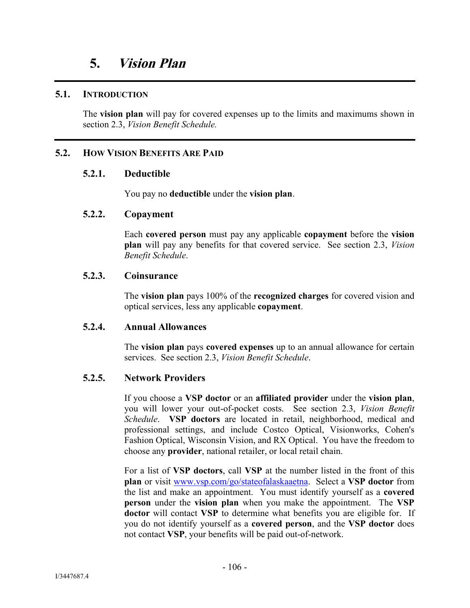#### **5.1. INTRODUCTION**

The **vision plan** will pay for covered expenses up to the limits and maximums shown in section 2.3, *Vision Benefit Schedule.*

# **5.2. HOW VISION BENEFITS ARE PAID**

#### **5.2.1. Deductible**

You pay no **deductible** under the **vision plan**.

#### **5.2.2. Copayment**

Each **covered person** must pay any applicable **copayment** before the **vision plan** will pay any benefits for that covered service. See section 2.3, *Vision Benefit Schedule*.

#### **5.2.3. Coinsurance**

The **vision plan** pays 100% of the **recognized charges** for covered vision and optical services, less any applicable **copayment**.

#### **5.2.4. Annual Allowances**

The **vision plan** pays **covered expenses** up to an annual allowance for certain services. See section 2.3, *Vision Benefit Schedule*.

#### **5.2.5. Network Providers**

If you choose a **VSP doctor** or an **affiliated provider** under the **vision plan**, you will lower your out-of-pocket costs. See section 2.3, *Vision Benefit Schedule*. **VSP doctors** are located in retail, neighborhood, medical and professional settings, and include Costco Optical, Visionworks, Cohen's Fashion Optical, Wisconsin Vision, and RX Optical. You have the freedom to choose any **provider**, national retailer, or local retail chain.

For a list of **VSP doctors**, call **VSP** at the number listed in the front of this **plan** or visit www.vsp.com/. Select a **VSP doctor** from the list and make an appointment. You must identify yourself as a **covered person** under the **vision plan** when you make the appointment. The **VSP doctor** will contact **VSP** to determine what benefits you are eligible for. If you do not identify yourself as a **covered person**, and the **VSP doctor** does not contact **VSP**, your benefits will be paid out-of-network.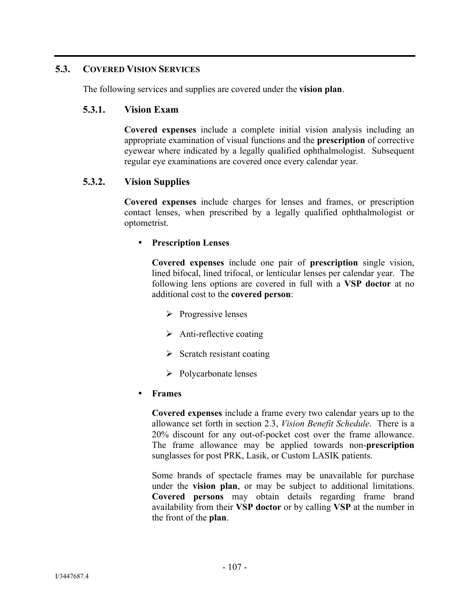# **5.3. COVERED VISION SERVICES**

The following services and supplies are covered under the **vision plan**.

#### **5.3.1. Vision Exam**

**Covered expenses** include a complete initial vision analysis including an appropriate examination of visual functions and the **prescription** of corrective eyewear where indicated by a legally qualified ophthalmologist. Subsequent regular eye examinations are covered once every calendar year.

# **5.3.2. Vision Supplies**

**Covered expenses** include charges for lenses and frames, or prescription contact lenses, when prescribed by a legally qualified ophthalmologist or optometrist.

#### **Prescription Lenses**

**Covered expenses** include one pair of **prescription** single vision, lined bifocal, lined trifocal, or lenticular lenses per calendar year. The following lens options are covered in full with a **VSP doctor** at no additional cost to the **covered person**:

- $\triangleright$  Progressive lenses
- $\triangleright$  Anti-reflective coating
- $\triangleright$  Scratch resistant coating
- $\triangleright$  Polycarbonate lenses

#### **Frames**

**Covered expenses** include a frame every two calendar years up to the allowance set forth in section 2.3, *Vision Benefit Schedule*. There is a 20% discount for any out-of-pocket cost over the frame allowance. The frame allowance may be applied towards non-**prescription** sunglasses for post PRK, Lasik, or Custom LASIK patients.

Some brands of spectacle frames may be unavailable for purchase under the **vision plan**, or may be subject to additional limitations. **Covered persons** may obtain details regarding frame brand availability from their **VSP doctor** or by calling **VSP** at the number in the front of the **plan**.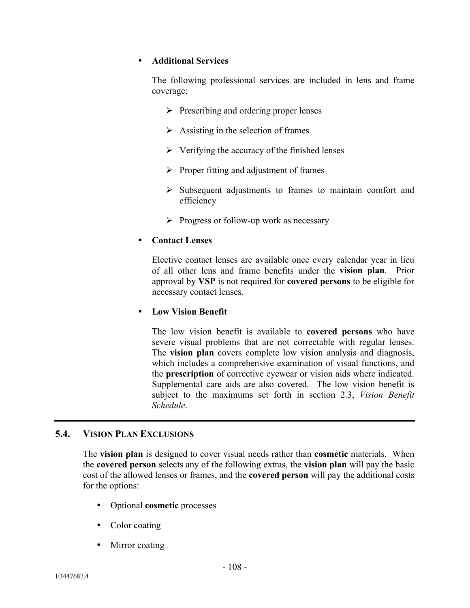#### **Additional Services**

The following professional services are included in lens and frame coverage:

- $\triangleright$  Prescribing and ordering proper lenses
- $\triangleright$  Assisting in the selection of frames
- $\triangleright$  Verifying the accuracy of the finished lenses
- $\triangleright$  Proper fitting and adjustment of frames
- $\triangleright$  Subsequent adjustments to frames to maintain comfort and efficiency
- $\triangleright$  Progress or follow-up work as necessary

#### **Contact Lenses**

Elective contact lenses are available once every calendar year in lieu of all other lens and frame benefits under the **vision plan**. Prior approval by **VSP** is not required for **covered persons** to be eligible for necessary contact lenses.

#### **Low Vision Benefit**

The low vision benefit is available to **covered persons** who have severe visual problems that are not correctable with regular lenses. The **vision plan** covers complete low vision analysis and diagnosis, which includes a comprehensive examination of visual functions, and the **prescription** of corrective eyewear or vision aids where indicated. Supplemental care aids are also covered. The low vision benefit is subject to the maximums set forth in section 2.3, *Vision Benefit Schedule*.

#### **5.4. VISION PLAN EXCLUSIONS**

The **vision plan** is designed to cover visual needs rather than **cosmetic** materials. When the **covered person** selects any of the following extras, the **vision plan** will pay the basic cost of the allowed lenses or frames, and the **covered person** will pay the additional costs for the options:

- Optional **cosmetic** processes
- Color coating
- Mirror coating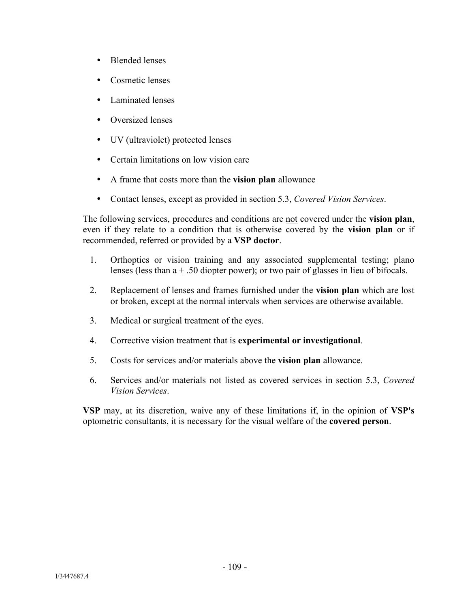- Blended lenses
- Cosmetic lenses
- Laminated lenses
- Oversized lenses
- UV (ultraviolet) protected lenses
- Certain limitations on low vision care
- A frame that costs more than the **vision plan** allowance
- Contact lenses, except as provided in section 5.3, *Covered Vision Services*.

The following services, procedures and conditions are not covered under the **vision plan**, even if they relate to a condition that is otherwise covered by the **vision plan** or if recommended, referred or provided by a **VSP doctor**.

- 1. Orthoptics or vision training and any associated supplemental testing; plano lenses (less than a + .50 diopter power); or two pair of glasses in lieu of bifocals.
- 2. Replacement of lenses and frames furnished under the **vision plan** which are lost or broken, except at the normal intervals when services are otherwise available.
- 3. Medical or surgical treatment of the eyes.
- 4. Corrective vision treatment that is **experimental or investigational**.
- 5. Costs for services and/or materials above the **vision plan** allowance.
- 6. Services and/or materials not listed as covered services in section 5.3, *Covered Vision Services*.

**VSP** may, at its discretion, waive any of these limitations if, in the opinion of **VSP's** optometric consultants, it is necessary for the visual welfare of the **covered person**.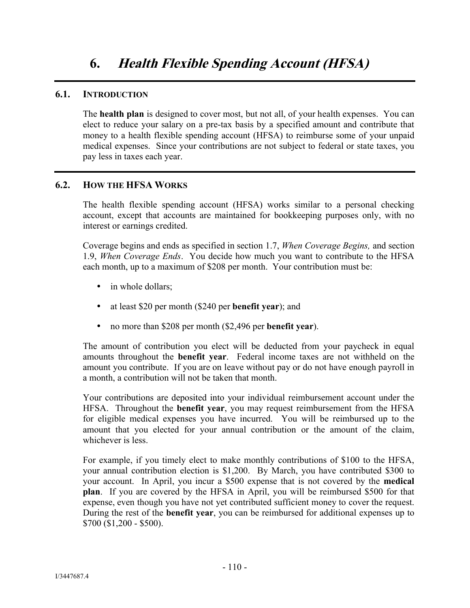## **6.1. INTRODUCTION**

The **health plan** is designed to cover most, but not all, of your health expenses. You can elect to reduce your salary on a pre-tax basis by a specified amount and contribute that money to a health flexible spending account (HFSA) to reimburse some of your unpaid medical expenses. Since your contributions are not subject to federal or state taxes, you pay less in taxes each year.

# **6.2. HOW THE HFSA WORKS**

The health flexible spending account (HFSA) works similar to a personal checking account, except that accounts are maintained for bookkeeping purposes only, with no interest or earnings credited.

Coverage begins and ends as specified in section 1.7, *When Coverage Begins,* and section 1.9, *When Coverage Ends*. You decide how much you want to contribute to the HFSA each month, up to a maximum of \$208 per month. Your contribution must be:

- in whole dollars;
- at least \$20 per month (\$240 per **benefit year**); and
- no more than \$208 per month (\$2,496 per **benefit year**).

The amount of contribution you elect will be deducted from your paycheck in equal amounts throughout the **benefit year**. Federal income taxes are not withheld on the amount you contribute. If you are on leave without pay or do not have enough payroll in a month, a contribution will not be taken that month.

Your contributions are deposited into your individual reimbursement account under the HFSA. Throughout the **benefit year**, you may request reimbursement from the HFSA for eligible medical expenses you have incurred. You will be reimbursed up to the amount that you elected for your annual contribution or the amount of the claim, whichever is less.

For example, if you timely elect to make monthly contributions of \$100 to the HFSA, your annual contribution election is \$1,200. By March, you have contributed \$300 to your account. In April, you incur a \$500 expense that is not covered by the **medical plan**. If you are covered by the HFSA in April, you will be reimbursed \$500 for that expense, even though you have not yet contributed sufficient money to cover the request. During the rest of the **benefit year**, you can be reimbursed for additional expenses up to \$700 (\$1,200 - \$500).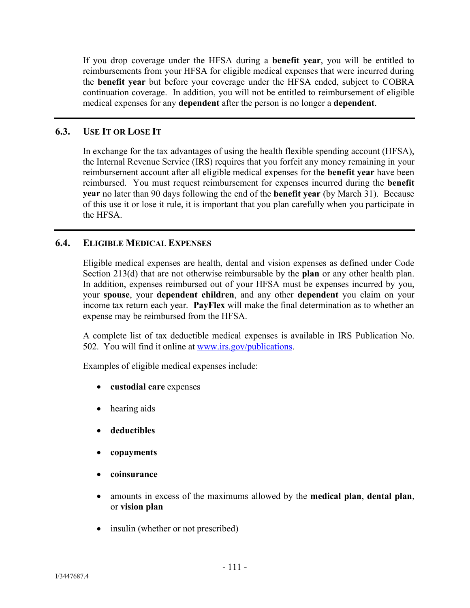If you drop coverage under the HFSA during a **benefit year**, you will be entitled to reimbursements from your HFSA for eligible medical expenses that were incurred during the **benefit year** but before your coverage under the HFSA ended, subject to COBRA continuation coverage. In addition, you will not be entitled to reimbursement of eligible medical expenses for any **dependent** after the person is no longer a **dependent**.

## **6.3. USE IT OR LOSE IT**

In exchange for the tax advantages of using the health flexible spending account (HFSA), the Internal Revenue Service (IRS) requires that you forfeit any money remaining in your reimbursement account after all eligible medical expenses for the **benefit year** have been reimbursed. You must request reimbursement for expenses incurred during the **benefit year** no later than 90 days following the end of the **benefit year** (by March 31). Because of this use it or lose it rule, it is important that you plan carefully when you participate in the HFSA.

# **6.4. ELIGIBLE MEDICAL EXPENSES**

Eligible medical expenses are health, dental and vision expenses as defined under Code Section 213(d) that are not otherwise reimbursable by the **plan** or any other health plan. In addition, expenses reimbursed out of your HFSA must be expenses incurred by you, your **spouse**, your **dependent children**, and any other **dependent** you claim on your income tax return each year. **PayFlex** will make the final determination as to whether an expense may be reimbursed from the HFSA.

A complete list of tax deductible medical expenses is available in IRS Publication No. 502. You will find it online at www.irs.gov/publications.

Examples of eligible medical expenses include:

- **custodial care** expenses
- hearing aids
- **deductibles**
- **copayments**
- **coinsurance**
- amounts in excess of the maximums allowed by the **medical plan**, **dental plan**, or **vision plan**
- insulin (whether or not prescribed)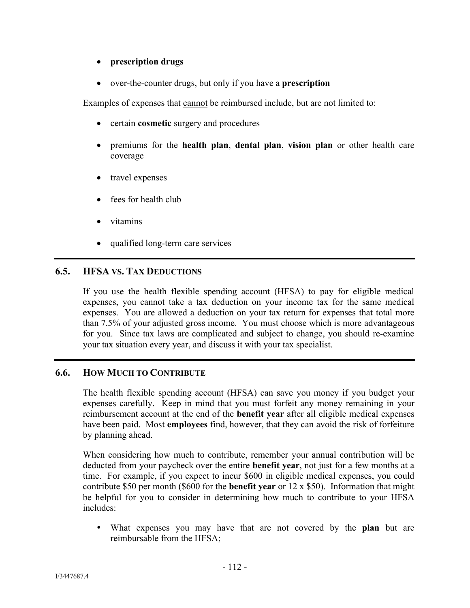#### **prescription drugs**

over-the-counter drugs, but only if you have a **prescription**

Examples of expenses that cannot be reimbursed include, but are not limited to:

- certain **cosmetic** surgery and procedures
- premiums for the **health plan**, **dental plan**, **vision plan** or other health care coverage
- travel expenses
- fees for health club
- vitamins
- qualified long-term care services

# **6.5. HFSA VS. TAX DEDUCTIONS**

If you use the health flexible spending account (HFSA) to pay for eligible medical expenses, you cannot take a tax deduction on your income tax for the same medical expenses. You are allowed a deduction on your tax return for expenses that total more than 7.5% of your adjusted gross income. You must choose which is more advantageous for you. Since tax laws are complicated and subject to change, you should re-examine your tax situation every year, and discuss it with your tax specialist.

# **6.6. HOW MUCH TO CONTRIBUTE**

The health flexible spending account (HFSA) can save you money if you budget your expenses carefully. Keep in mind that you must forfeit any money remaining in your reimbursement account at the end of the **benefit year** after all eligible medical expenses have been paid. Most **employees** find, however, that they can avoid the risk of forfeiture by planning ahead.

When considering how much to contribute, remember your annual contribution will be deducted from your paycheck over the entire **benefit year**, not just for a few months at a time. For example, if you expect to incur \$600 in eligible medical expenses, you could contribute \$50 per month (\$600 for the **benefit year** or 12 x \$50). Information that might be helpful for you to consider in determining how much to contribute to your HFSA includes:

 What expenses you may have that are not covered by the **plan** but are reimbursable from the HFSA;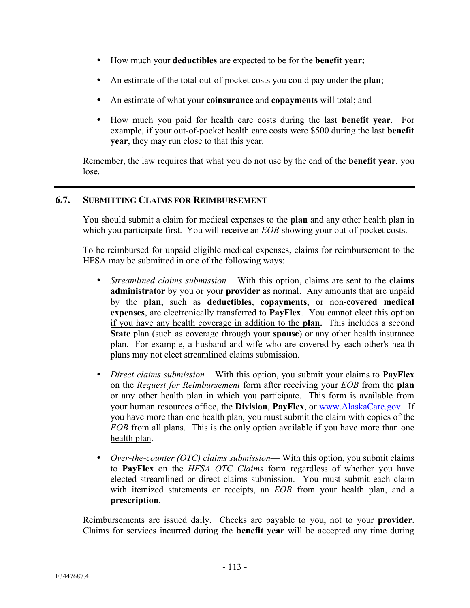- How much your **deductibles** are expected to be for the **benefit year;**
- An estimate of the total out-of-pocket costs you could pay under the **plan**;
- An estimate of what your **coinsurance** and **copayments** will total; and
- How much you paid for health care costs during the last **benefit year**. For example, if your out-of-pocket health care costs were \$500 during the last **benefit year**, they may run close to that this year.

Remember, the law requires that what you do not use by the end of the **benefit year**, you lose.

# **6.7. SUBMITTING CLAIMS FOR REIMBURSEMENT**

You should submit a claim for medical expenses to the **plan** and any other health plan in which you participate first. You will receive an *EOB* showing your out-of-pocket costs.

To be reimbursed for unpaid eligible medical expenses, claims for reimbursement to the HFSA may be submitted in one of the following ways:

- *Streamlined claims submission –* With this option, claims are sent to the **claims administrator** by you or your **provider** as normal. Any amounts that are unpaid by the **plan**, such as **deductibles**, **copayments**, or non-**covered medical expenses**, are electronically transferred to **PayFlex**. You cannot elect this option if you have any health coverage in addition to the **plan.** This includes a second **State** plan (such as coverage through your **spouse**) or any other health insurance plan. For example, a husband and wife who are covered by each other's health plans may not elect streamlined claims submission.
- *Direct claims submission* With this option, you submit your claims to **PayFlex**  on the *Request for Reimbursement* form after receiving your *EOB* from the **plan** or any other health plan in which you participate. This form is available from your human resources office, the **Division**, **PayFlex**, or www.AlaskaCare.gov. If you have more than one health plan, you must submit the claim with copies of the *EOB* from all plans. This is the only option available if you have more than one health plan.
- *Over-the-counter (OTC) claims submission* With this option, you submit claims to **PayFlex** on the *HFSA OTC Claims* form regardless of whether you have elected streamlined or direct claims submission. You must submit each claim with itemized statements or receipts, an *EOB* from your health plan, and a **prescription**.

Reimbursements are issued daily. Checks are payable to you, not to your **provider**. Claims for services incurred during the **benefit year** will be accepted any time during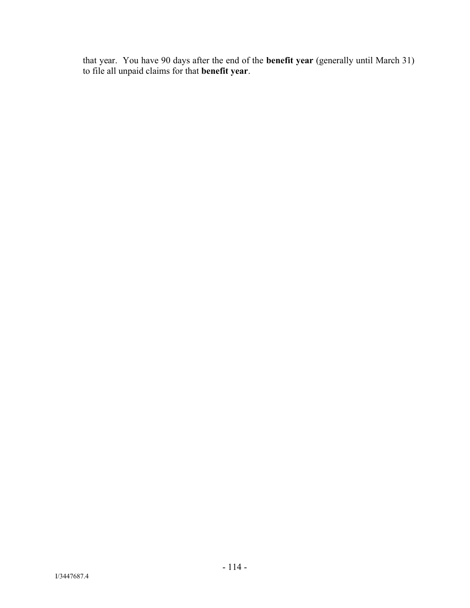that year. You have 90 days after the end of the **benefit year** (generally until March 31) to file all unpaid claims for that **benefit year**.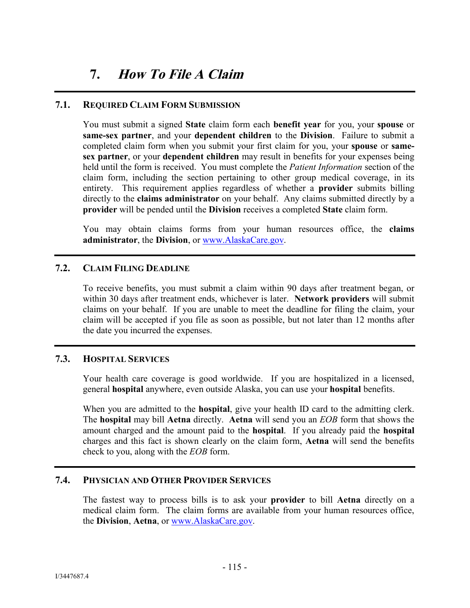# **7. How To File A Claim**

#### **7.1. REQUIRED CLAIM FORM SUBMISSION**

You must submit a signed **State** claim form each **benefit year** for you, your **spouse** or **same-sex partner**, and your **dependent children** to the **Division**. Failure to submit a completed claim form when you submit your first claim for you, your **spouse** or **samesex partner**, or your **dependent children** may result in benefits for your expenses being held until the form is received. You must complete the *Patient Information* section of the claim form, including the section pertaining to other group medical coverage, in its entirety. This requirement applies regardless of whether a **provider** submits billing directly to the **claims administrator** on your behalf. Any claims submitted directly by a **provider** will be pended until the **Division** receives a completed **State** claim form.

You may obtain claims forms from your human resources office, the **claims administrator**, the **Division**, or www.AlaskaCare.gov.

#### **7.2. CLAIM FILING DEADLINE**

To receive benefits, you must submit a claim within 90 days after treatment began, or within 30 days after treatment ends, whichever is later. **Network providers** will submit claims on your behalf. If you are unable to meet the deadline for filing the claim, your claim will be accepted if you file as soon as possible, but not later than 12 months after the date you incurred the expenses.

#### **7.3. HOSPITAL SERVICES**

Your health care coverage is good worldwide. If you are hospitalized in a licensed, general **hospital** anywhere, even outside Alaska, you can use your **hospital** benefits.

When you are admitted to the **hospital**, give your health ID card to the admitting clerk. The **hospital** may bill **Aetna** directly. **Aetna** will send you an *EOB* form that shows the amount charged and the amount paid to the **hospital**. If you already paid the **hospital** charges and this fact is shown clearly on the claim form, **Aetna** will send the benefits check to you, along with the *EOB* form.

#### **7.4. PHYSICIAN AND OTHER PROVIDER SERVICES**

The fastest way to process bills is to ask your **provider** to bill **Aetna** directly on a medical claim form. The claim forms are available from your human resources office, the **Division**, **Aetna**, or www.AlaskaCare.gov.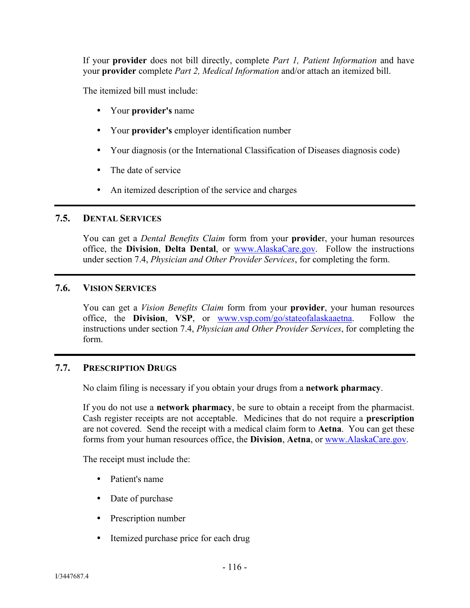If your **provider** does not bill directly, complete *Part 1, Patient Information* and have your **provider** complete *Part 2, Medical Information* and/or attach an itemized bill.

The itemized bill must include:

- Your **provider's** name
- Your **provider's** employer identification number
- Your diagnosis (or the International Classification of Diseases diagnosis code)
- The date of service
- An itemized description of the service and charges

#### **7.5. DENTAL SERVICES**

You can get a *Dental Benefits Claim* form from your **provide**r, your human resources office, the **Division**, **Delta Dental**, or www.AlaskaCare.gov. Follow the instructions under section 7.4, *Physician and Other Provider Services*, for completing the form.

#### **7.6. VISION SERVICES**

You can get a *Vision Benefits Claim* form from your **provider**, your human resources office, the **Division**, **VSP**, or www.vsp.com/. Follow the instructions under section 7.4, *Physician and Other Provider Services*, for completing the form.

#### **7.7. PRESCRIPTION DRUGS**

No claim filing is necessary if you obtain your drugs from a **network pharmacy**.

If you do not use a **network pharmacy**, be sure to obtain a receipt from the pharmacist. Cash register receipts are not acceptable. Medicines that do not require a **prescription** are not covered. Send the receipt with a medical claim form to **Aetna**. You can get these forms from your human resources office, the **Division**, **Aetna**, or www.AlaskaCare.gov.

The receipt must include the:

- Patient's name
- Date of purchase
- Prescription number
- Itemized purchase price for each drug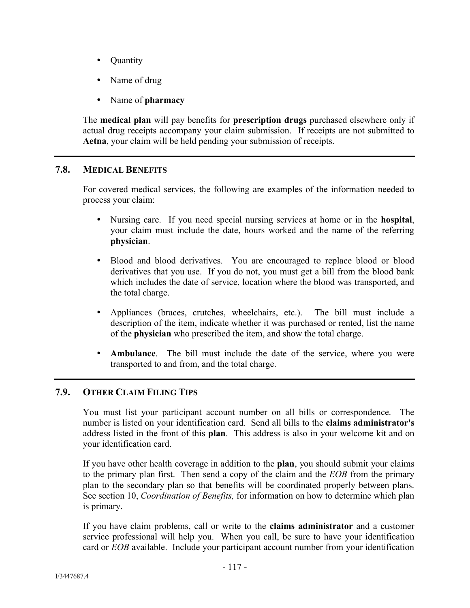- Ouantity
- Name of drug
- Name of **pharmacy**

The **medical plan** will pay benefits for **prescription drugs** purchased elsewhere only if actual drug receipts accompany your claim submission. If receipts are not submitted to **Aetna**, your claim will be held pending your submission of receipts.

# **7.8. MEDICAL BENEFITS**

For covered medical services, the following are examples of the information needed to process your claim:

- Nursing care. If you need special nursing services at home or in the **hospital**, your claim must include the date, hours worked and the name of the referring **physician**.
- Blood and blood derivatives. You are encouraged to replace blood or blood derivatives that you use. If you do not, you must get a bill from the blood bank which includes the date of service, location where the blood was transported, and the total charge.
- Appliances (braces, crutches, wheelchairs, etc.). The bill must include a description of the item, indicate whether it was purchased or rented, list the name of the **physician** who prescribed the item, and show the total charge.
- **Ambulance**. The bill must include the date of the service, where you were transported to and from, and the total charge.

# **7.9. OTHER CLAIM FILING TIPS**

You must list your participant account number on all bills or correspondence. The number is listed on your identification card. Send all bills to the **claims administrator's** address listed in the front of this **plan**. This address is also in your welcome kit and on your identification card.

If you have other health coverage in addition to the **plan**, you should submit your claims to the primary plan first. Then send a copy of the claim and the *EOB* from the primary plan to the secondary plan so that benefits will be coordinated properly between plans. See section 10, *Coordination of Benefits,* for information on how to determine which plan is primary.

If you have claim problems, call or write to the **claims administrator** and a customer service professional will help you. When you call, be sure to have your identification card or *EOB* available. Include your participant account number from your identification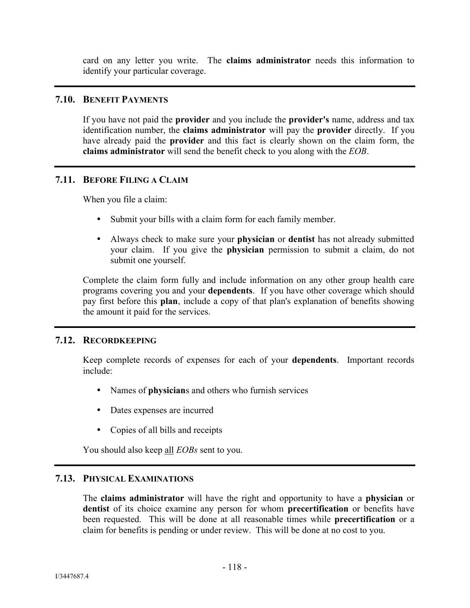card on any letter you write. The **claims administrator** needs this information to identify your particular coverage.

#### **7.10. BENEFIT PAYMENTS**

If you have not paid the **provider** and you include the **provider's** name, address and tax identification number, the **claims administrator** will pay the **provider** directly. If you have already paid the **provider** and this fact is clearly shown on the claim form, the **claims administrator** will send the benefit check to you along with the *EOB*.

#### **7.11. BEFORE FILING A CLAIM**

When you file a claim:

- Submit your bills with a claim form for each family member.
- Always check to make sure your **physician** or **dentist** has not already submitted your claim. If you give the **physician** permission to submit a claim, do not submit one yourself.

Complete the claim form fully and include information on any other group health care programs covering you and your **dependents**. If you have other coverage which should pay first before this **plan**, include a copy of that plan's explanation of benefits showing the amount it paid for the services.

#### **7.12. RECORDKEEPING**

Keep complete records of expenses for each of your **dependents**. Important records include:

- Names of **physician**s and others who furnish services
- Dates expenses are incurred
- Copies of all bills and receipts

You should also keep all *EOBs* sent to you.

# **7.13. PHYSICAL EXAMINATIONS**

The **claims administrator** will have the right and opportunity to have a **physician** or **dentist** of its choice examine any person for whom **precertification** or benefits have been requested. This will be done at all reasonable times while **precertification** or a claim for benefits is pending or under review. This will be done at no cost to you.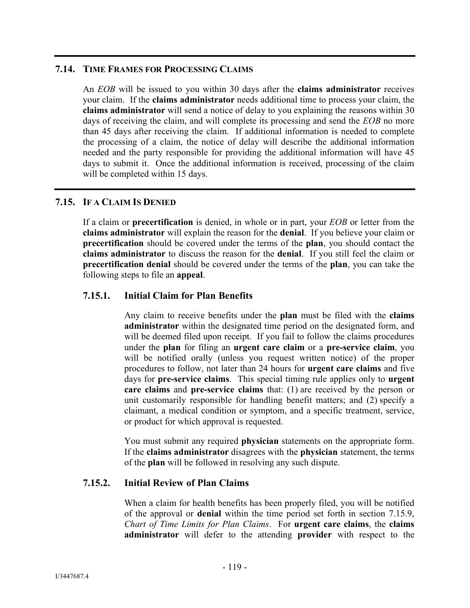# **7.14. TIME FRAMES FOR PROCESSING CLAIMS**

An *EOB* will be issued to you within 30 days after the **claims administrator** receives your claim. If the **claims administrator** needs additional time to process your claim, the **claims administrator** will send a notice of delay to you explaining the reasons within 30 days of receiving the claim, and will complete its processing and send the *EOB* no more than 45 days after receiving the claim. If additional information is needed to complete the processing of a claim, the notice of delay will describe the additional information needed and the party responsible for providing the additional information will have 45 days to submit it. Once the additional information is received, processing of the claim will be completed within 15 days.

# **7.15. IF A CLAIM IS DENIED**

If a claim or **precertification** is denied, in whole or in part, your *EOB* or letter from the **claims administrator** will explain the reason for the **denial**. If you believe your claim or **precertification** should be covered under the terms of the **plan**, you should contact the **claims administrator** to discuss the reason for the **denial**. If you still feel the claim or **precertification denial** should be covered under the terms of the **plan**, you can take the following steps to file an **appeal**.

# **7.15.1. Initial Claim for Plan Benefits**

Any claim to receive benefits under the **plan** must be filed with the **claims administrator** within the designated time period on the designated form, and will be deemed filed upon receipt. If you fail to follow the claims procedures under the **plan** for filing an **urgent care claim** or a **pre-service claim**, you will be notified orally (unless you request written notice) of the proper procedures to follow, not later than 24 hours for **urgent care claims** and five days for **pre-service claims**. This special timing rule applies only to **urgent care claims** and **pre-service claims** that: (1) are received by the person or unit customarily responsible for handling benefit matters; and (2) specify a claimant, a medical condition or symptom, and a specific treatment, service, or product for which approval is requested.

You must submit any required **physician** statements on the appropriate form. If the **claims administrator** disagrees with the **physician** statement, the terms of the **plan** will be followed in resolving any such dispute.

# **7.15.2. Initial Review of Plan Claims**

When a claim for health benefits has been properly filed, you will be notified of the approval or **denial** within the time period set forth in section 7.15.9, *Chart of Time Limits for Plan Claims*. For **urgent care claims**, the **claims administrator** will defer to the attending **provider** with respect to the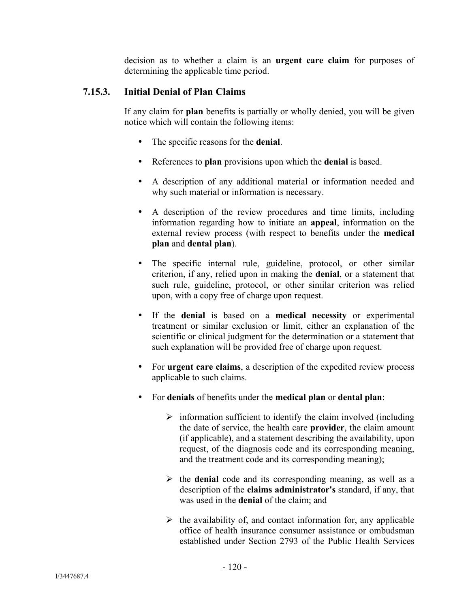decision as to whether a claim is an **urgent care claim** for purposes of determining the applicable time period.

# **7.15.3. Initial Denial of Plan Claims**

If any claim for **plan** benefits is partially or wholly denied, you will be given notice which will contain the following items:

- The specific reasons for the **denial**.
- References to **plan** provisions upon which the **denial** is based.
- A description of any additional material or information needed and why such material or information is necessary.
- A description of the review procedures and time limits, including information regarding how to initiate an **appeal**, information on the external review process (with respect to benefits under the **medical plan** and **dental plan**).
- The specific internal rule, guideline, protocol, or other similar criterion, if any, relied upon in making the **denial**, or a statement that such rule, guideline, protocol, or other similar criterion was relied upon, with a copy free of charge upon request.
- If the **denial** is based on a **medical necessity** or experimental treatment or similar exclusion or limit, either an explanation of the scientific or clinical judgment for the determination or a statement that such explanation will be provided free of charge upon request.
- For **urgent care claims**, a description of the expedited review process applicable to such claims.
- For **denials** of benefits under the **medical plan** or **dental plan**:
	- $\triangleright$  information sufficient to identify the claim involved (including the date of service, the health care **provider**, the claim amount (if applicable), and a statement describing the availability, upon request, of the diagnosis code and its corresponding meaning, and the treatment code and its corresponding meaning);
	- $\triangleright$  the **denial** code and its corresponding meaning, as well as a description of the **claims administrator's** standard, if any, that was used in the **denial** of the claim; and
	- $\triangleright$  the availability of, and contact information for, any applicable office of health insurance consumer assistance or ombudsman established under Section 2793 of the Public Health Services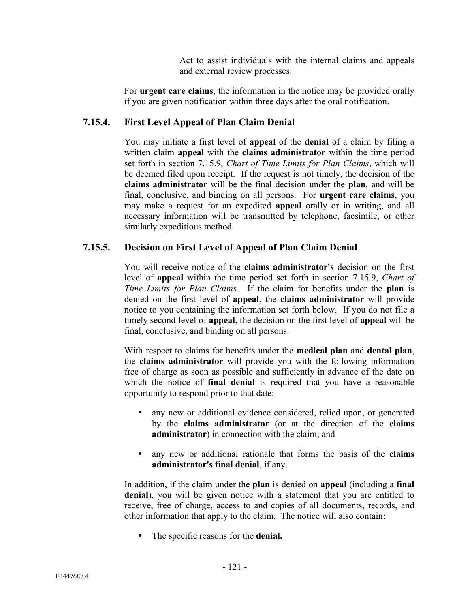Act to assist individuals with the internal claims and appeals and external review processes.

For **urgent care claims**, the information in the notice may be provided orally if you are given notification within three days after the oral notification.

# **7.15.4. First Level Appeal of Plan Claim Denial**

You may initiate a first level of **appeal** of the **denial** of a claim by filing a written claim **appeal** with the **claims administrator** within the time period set forth in section 7.15.9, *Chart of Time Limits for Plan Claims*, which will be deemed filed upon receipt. If the request is not timely, the decision of the **claims administrator** will be the final decision under the **plan**, and will be final, conclusive, and binding on all persons. For **urgent care claims**, you may make a request for an expedited **appeal** orally or in writing, and all necessary information will be transmitted by telephone, facsimile, or other similarly expeditious method.

# **7.15.5. Decision on First Level of Appeal of Plan Claim Denial**

You will receive notice of the **claims administrator's** decision on the first level of **appeal** within the time period set forth in section 7.15.9, *Chart of Time Limits for Plan Claims*. If the claim for benefits under the **plan** is denied on the first level of **appeal**, the **claims administrator** will provide notice to you containing the information set forth below. If you do not file a timely second level of **appeal**, the decision on the first level of **appeal** will be final, conclusive, and binding on all persons.

With respect to claims for benefits under the **medical plan** and **dental plan**, the **claims administrator** will provide you with the following information free of charge as soon as possible and sufficiently in advance of the date on which the notice of **final denial** is required that you have a reasonable opportunity to respond prior to that date:

- any new or additional evidence considered, relied upon, or generated by the **claims administrator** (or at the direction of the **claims administrator**) in connection with the claim; and
- any new or additional rationale that forms the basis of the **claims administrator's final denial**, if any.

In addition, if the claim under the **plan** is denied on **appeal** (including a **final denial**), you will be given notice with a statement that you are entitled to receive, free of charge, access to and copies of all documents, records, and other information that apply to the claim. The notice will also contain:

The specific reasons for the **denial.**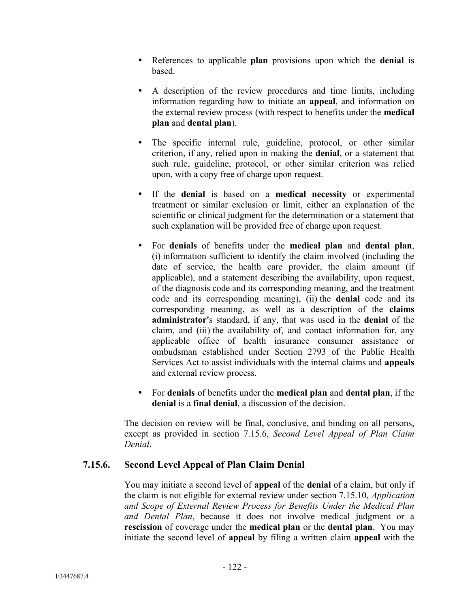- References to applicable **plan** provisions upon which the **denial** is based.
- A description of the review procedures and time limits, including information regarding how to initiate an **appeal**, and information on the external review process (with respect to benefits under the **medical plan** and **dental plan**).
- The specific internal rule, guideline, protocol, or other similar criterion, if any, relied upon in making the **denial**, or a statement that such rule, guideline, protocol, or other similar criterion was relied upon, with a copy free of charge upon request.
- If the **denial** is based on a **medical necessity** or experimental treatment or similar exclusion or limit, either an explanation of the scientific or clinical judgment for the determination or a statement that such explanation will be provided free of charge upon request.
- For **denials** of benefits under the **medical plan** and **dental plan**, (i) information sufficient to identify the claim involved (including the date of service, the health care provider, the claim amount (if applicable), and a statement describing the availability, upon request, of the diagnosis code and its corresponding meaning, and the treatment code and its corresponding meaning), (ii) the **denial** code and its corresponding meaning, as well as a description of the **claims administrator'**s standard, if any, that was used in the **denial** of the claim, and (iii) the availability of, and contact information for, any applicable office of health insurance consumer assistance or ombudsman established under Section 2793 of the Public Health Services Act to assist individuals with the internal claims and **appeals**  and external review process.
- For **denials** of benefits under the **medical plan** and **dental plan**, if the **denial** is a **final denial**, a discussion of the decision.

The decision on review will be final, conclusive, and binding on all persons, except as provided in section 7.15.6, *Second Level Appeal of Plan Claim Denial*.

# **7.15.6. Second Level Appeal of Plan Claim Denial**

You may initiate a second level of **appeal** of the **denial** of a claim, but only if the claim is not eligible for external review under section 7.15.10, *Application and Scope of External Review Process for Benefits Under the Medical Plan and Dental Plan*, because it does not involve medical judgment or a **rescission** of coverage under the **medical plan** or the **dental plan**. You may initiate the second level of **appeal** by filing a written claim **appeal** with the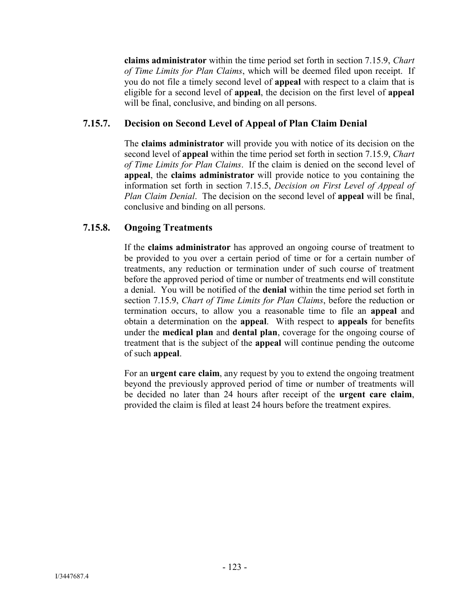**claims administrator** within the time period set forth in section 7.15.9, *Chart of Time Limits for Plan Claims*, which will be deemed filed upon receipt. If you do not file a timely second level of **appeal** with respect to a claim that is eligible for a second level of **appeal**, the decision on the first level of **appeal** will be final, conclusive, and binding on all persons.

# **7.15.7. Decision on Second Level of Appeal of Plan Claim Denial**

The **claims administrator** will provide you with notice of its decision on the second level of **appeal** within the time period set forth in section 7.15.9, *Chart of Time Limits for Plan Claims*. If the claim is denied on the second level of **appeal**, the **claims administrator** will provide notice to you containing the information set forth in section 7.15.5, *Decision on First Level of Appeal of Plan Claim Denial*. The decision on the second level of **appeal** will be final, conclusive and binding on all persons.

# **7.15.8. Ongoing Treatments**

If the **claims administrator** has approved an ongoing course of treatment to be provided to you over a certain period of time or for a certain number of treatments, any reduction or termination under of such course of treatment before the approved period of time or number of treatments end will constitute a denial. You will be notified of the **denial** within the time period set forth in section 7.15.9, *Chart of Time Limits for Plan Claims*, before the reduction or termination occurs, to allow you a reasonable time to file an **appeal** and obtain a determination on the **appeal**. With respect to **appeals** for benefits under the **medical plan** and **dental plan**, coverage for the ongoing course of treatment that is the subject of the **appeal** will continue pending the outcome of such **appeal**.

For an **urgent care claim**, any request by you to extend the ongoing treatment beyond the previously approved period of time or number of treatments will be decided no later than 24 hours after receipt of the **urgent care claim**, provided the claim is filed at least 24 hours before the treatment expires.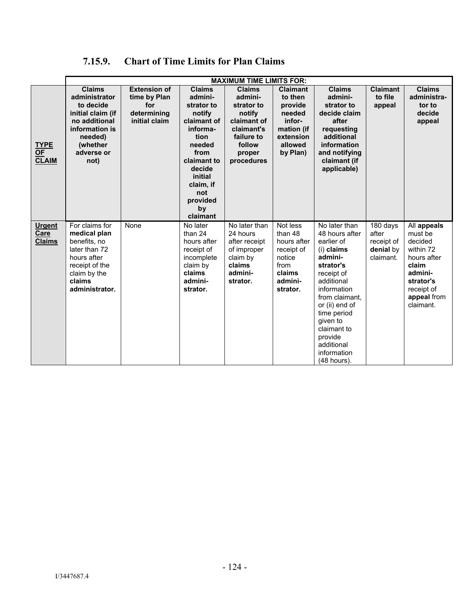| 7.15.9. | <b>Chart of Time Limits for Plan Claims</b> |  |  |
|---------|---------------------------------------------|--|--|
|         |                                             |  |  |

|                                          | <b>MAXIMUM TIME LIMITS FOR:</b> |                     |                          |                         |                      |                               |                        |                      |
|------------------------------------------|---------------------------------|---------------------|--------------------------|-------------------------|----------------------|-------------------------------|------------------------|----------------------|
|                                          | <b>Claims</b>                   | <b>Extension of</b> | <b>Claims</b>            | <b>Claims</b>           | <b>Claimant</b>      | <b>Claims</b>                 | <b>Claimant</b>        | <b>Claims</b>        |
|                                          | administrator                   | time by Plan        | admini-                  | admini-                 | to then              | admini-                       | to file                | administra-          |
|                                          | to decide                       | for                 | strator to               | strator to              | provide              | strator to                    | appeal                 | tor to               |
|                                          | initial claim (if               | determining         | notify                   | notify                  | needed               | decide claim                  |                        | decide               |
|                                          | no additional                   | initial claim       | claimant of              | claimant of             | infor-               | after                         |                        | appeal               |
|                                          | information is                  |                     | informa-                 | claimant's              | mation (if           | requesting                    |                        |                      |
|                                          | needed)                         |                     | tion                     | failure to              | extension            | additional                    |                        |                      |
| <b>TYPE</b>                              | (whether<br>adverse or          |                     | needed<br>from           | follow                  | allowed              | information                   |                        |                      |
| $\overline{\mathsf{OF}}$<br><b>CLAIM</b> | not)                            |                     | claimant to              | proper<br>procedures    | by Plan)             | and notifying<br>claimant (if |                        |                      |
|                                          |                                 |                     | decide                   |                         |                      | applicable)                   |                        |                      |
|                                          |                                 |                     | initial                  |                         |                      |                               |                        |                      |
|                                          |                                 |                     | claim, if                |                         |                      |                               |                        |                      |
|                                          |                                 |                     | not                      |                         |                      |                               |                        |                      |
|                                          |                                 |                     | provided                 |                         |                      |                               |                        |                      |
|                                          |                                 |                     | by                       |                         |                      |                               |                        |                      |
|                                          |                                 |                     | claimant                 |                         |                      |                               |                        |                      |
| <b>Urgent</b>                            | For claims for                  | None                | No later                 | No later than           | Not less             | No later than                 | 180 days               | All appeals          |
| Care                                     | medical plan                    |                     | than 24                  | 24 hours                | than 48              | 48 hours after                | after                  | must be              |
| <b>Claims</b>                            | benefits, no<br>later than 72   |                     | hours after              | after receipt           | hours after          | earlier of                    | receipt of             | decided<br>within 72 |
|                                          | hours after                     |                     | receipt of<br>incomplete | of improper<br>claim by | receipt of<br>notice | (i) claims<br>admini-         | denial by<br>claimant. | hours after          |
|                                          | receipt of the                  |                     | claim by                 | claims                  | from                 | strator's                     |                        | claim                |
|                                          | claim by the                    |                     | claims                   | admini-                 | claims               | receipt of                    |                        | admini-              |
|                                          | claims                          |                     | admini-                  | strator.                | admini-              | additional                    |                        | strator's            |
|                                          | administrator.                  |                     | strator.                 |                         | strator.             | information                   |                        | receipt of           |
|                                          |                                 |                     |                          |                         |                      | from claimant.                |                        | appeal from          |
|                                          |                                 |                     |                          |                         |                      | or (ii) end of                |                        | claimant.            |
|                                          |                                 |                     |                          |                         |                      | time period                   |                        |                      |
|                                          |                                 |                     |                          |                         |                      | given to                      |                        |                      |
|                                          |                                 |                     |                          |                         |                      | claimant to                   |                        |                      |
|                                          |                                 |                     |                          |                         |                      | provide                       |                        |                      |
|                                          |                                 |                     |                          |                         |                      | additional                    |                        |                      |
|                                          |                                 |                     |                          |                         |                      | information                   |                        |                      |
|                                          |                                 |                     |                          |                         |                      | (48 hours).                   |                        |                      |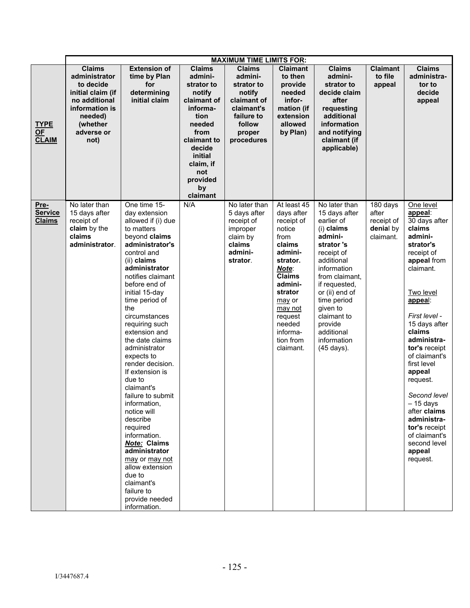|                                         | <b>MAXIMUM TIME LIMITS FOR:</b>                                                                                                                  |                                                                                                                                                                                                                                                                                                                                                                                                                                                                                                                                                                                                                                                             |                                                                                                                                                                                             |                                                                                                                               |                                                                                                                                                                                                                            |                                                                                                                                                                                                                                                                                    |                                                           |                                                                                                                                                                                                                                                                                                                                                                                                                  |  |
|-----------------------------------------|--------------------------------------------------------------------------------------------------------------------------------------------------|-------------------------------------------------------------------------------------------------------------------------------------------------------------------------------------------------------------------------------------------------------------------------------------------------------------------------------------------------------------------------------------------------------------------------------------------------------------------------------------------------------------------------------------------------------------------------------------------------------------------------------------------------------------|---------------------------------------------------------------------------------------------------------------------------------------------------------------------------------------------|-------------------------------------------------------------------------------------------------------------------------------|----------------------------------------------------------------------------------------------------------------------------------------------------------------------------------------------------------------------------|------------------------------------------------------------------------------------------------------------------------------------------------------------------------------------------------------------------------------------------------------------------------------------|-----------------------------------------------------------|------------------------------------------------------------------------------------------------------------------------------------------------------------------------------------------------------------------------------------------------------------------------------------------------------------------------------------------------------------------------------------------------------------------|--|
| <b>TYPE</b><br>OF<br><b>CLAIM</b>       | <b>Claims</b><br>administrator<br>to decide<br>initial claim (if<br>no additional<br>information is<br>needed)<br>(whether<br>adverse or<br>not) | <b>Extension of</b><br>time by Plan<br>for<br>determining<br>initial claim                                                                                                                                                                                                                                                                                                                                                                                                                                                                                                                                                                                  | <b>Claims</b><br>admini-<br>strator to<br>notify<br>claimant of<br>informa-<br>tion<br>needed<br>from<br>claimant to<br>decide<br>initial<br>claim, if<br>not<br>provided<br>by<br>claimant | <b>Claims</b><br>admini-<br>strator to<br>notify<br>claimant of<br>claimant's<br>failure to<br>follow<br>proper<br>procedures | <b>Claimant</b><br>to then<br>provide<br>needed<br>infor-<br>mation (if<br>extension<br>allowed<br>by Plan)                                                                                                                | <b>Claims</b><br>admini-<br>strator to<br>decide claim<br>after<br>requesting<br>additional<br>information<br>and notifying<br>claimant (if<br>applicable)                                                                                                                         | <b>Claimant</b><br>to file<br>appeal                      | <b>Claims</b><br>administra-<br>tor to<br>decide<br>appeal                                                                                                                                                                                                                                                                                                                                                       |  |
| Pre-<br><b>Service</b><br><b>Claims</b> | No later than<br>15 days after<br>receipt of<br>claim by the<br>claims<br>administrator.                                                         | One time 15-<br>day extension<br>allowed if (i) due<br>to matters<br>beyond claims<br>administrator's<br>control and<br>(ii) claims<br>administrator<br>notifies claimant<br>before end of<br>initial 15-day<br>time period of<br>the<br>circumstances<br>requiring such<br>extension and<br>the date claims<br>administrator<br>expects to<br>render decision.<br>If extension is<br>due to<br>claimant's<br>failure to submit<br>information,<br>notice will<br>describe<br>required<br>information.<br><b>Note: Claims</b><br>administrator<br>may or may not<br>allow extension<br>due to<br>claimant's<br>failure to<br>provide needed<br>information. | N/A                                                                                                                                                                                         | No later than<br>5 days after<br>receipt of<br>improper<br>claim by<br>claims<br>admini-<br>strator.                          | At least 45<br>days after<br>receipt of<br>notice<br>from<br>claims<br>admini-<br>strator.<br>Note:<br><b>Claims</b><br>admini-<br>strator<br>may or<br>may not<br>request<br>needed<br>informa-<br>tion from<br>claimant. | No later than<br>15 days after<br>earlier of<br>(i) claims<br>admini-<br>strator's<br>receipt of<br>additional<br>information<br>from claimant,<br>if requested,<br>or (ii) end of<br>time period<br>given to<br>claimant to<br>provide<br>additional<br>information<br>(45 days). | 180 days<br>after<br>receipt of<br>denial by<br>claimant. | One level<br>appeal:<br>30 days after<br>claims<br>admini-<br>strator's<br>receipt of<br>appeal from<br>claimant.<br>Two level<br>appeal:<br>First level -<br>15 days after<br>claims<br>administra-<br>tor's receipt<br>of claimant's<br>first level<br>appeal<br>request.<br>Second level<br>$-15$ days<br>after claims<br>administra-<br>tor's receipt<br>of claimant's<br>second level<br>appeal<br>request. |  |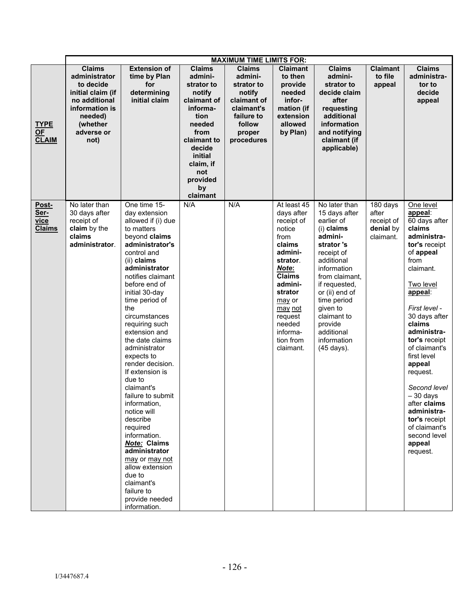|                                        | <b>MAXIMUM TIME LIMITS FOR:</b>                                                                                                                  |                                                                                                                                                                                                                                                                                                                                                                                                                                                                                                                                                                                                                                                             |                                                                                                                                                                                             |                                                                                                                               |                                                                                                                                                                                                                            |                                                                                                                                                                                                                                                                                    |                                                           |                                                                                                                                                                                                                                                                                                                                                                                                                  |  |
|----------------------------------------|--------------------------------------------------------------------------------------------------------------------------------------------------|-------------------------------------------------------------------------------------------------------------------------------------------------------------------------------------------------------------------------------------------------------------------------------------------------------------------------------------------------------------------------------------------------------------------------------------------------------------------------------------------------------------------------------------------------------------------------------------------------------------------------------------------------------------|---------------------------------------------------------------------------------------------------------------------------------------------------------------------------------------------|-------------------------------------------------------------------------------------------------------------------------------|----------------------------------------------------------------------------------------------------------------------------------------------------------------------------------------------------------------------------|------------------------------------------------------------------------------------------------------------------------------------------------------------------------------------------------------------------------------------------------------------------------------------|-----------------------------------------------------------|------------------------------------------------------------------------------------------------------------------------------------------------------------------------------------------------------------------------------------------------------------------------------------------------------------------------------------------------------------------------------------------------------------------|--|
| <b>TYPE</b><br>OF<br><b>CLAIM</b>      | <b>Claims</b><br>administrator<br>to decide<br>initial claim (if<br>no additional<br>information is<br>needed)<br>(whether<br>adverse or<br>not) | <b>Extension of</b><br>time by Plan<br>for<br>determining<br>initial claim                                                                                                                                                                                                                                                                                                                                                                                                                                                                                                                                                                                  | <b>Claims</b><br>admini-<br>strator to<br>notify<br>claimant of<br>informa-<br>tion<br>needed<br>from<br>claimant to<br>decide<br>initial<br>claim, if<br>not<br>provided<br>by<br>claimant | <b>Claims</b><br>admini-<br>strator to<br>notify<br>claimant of<br>claimant's<br>failure to<br>follow<br>proper<br>procedures | <b>Claimant</b><br>to then<br>provide<br>needed<br>infor-<br>mation (if<br>extension<br>allowed<br>by Plan)                                                                                                                | <b>Claims</b><br>admini-<br>strator to<br>decide claim<br>after<br>requesting<br>additional<br>information<br>and notifying<br>claimant (if<br>applicable)                                                                                                                         | <b>Claimant</b><br>to file<br>appeal                      | <b>Claims</b><br>administra-<br>tor to<br>decide<br>appeal                                                                                                                                                                                                                                                                                                                                                       |  |
| Post-<br>Ser-<br>vice<br><b>Claims</b> | No later than<br>30 days after<br>receipt of<br>claim by the<br>claims<br>administrator.                                                         | One time 15-<br>day extension<br>allowed if (i) due<br>to matters<br>beyond claims<br>administrator's<br>control and<br>(ii) claims<br>administrator<br>notifies claimant<br>before end of<br>initial 30-day<br>time period of<br>the<br>circumstances<br>requiring such<br>extension and<br>the date claims<br>administrator<br>expects to<br>render decision.<br>If extension is<br>due to<br>claimant's<br>failure to submit<br>information,<br>notice will<br>describe<br>required<br>information.<br><b>Note: Claims</b><br>administrator<br>may or may not<br>allow extension<br>due to<br>claimant's<br>failure to<br>provide needed<br>information. | N/A                                                                                                                                                                                         | N/A                                                                                                                           | At least 45<br>days after<br>receipt of<br>notice<br>from<br>claims<br>admini-<br>strator.<br>Note:<br><b>Claims</b><br>admini-<br>strator<br>may or<br>may not<br>request<br>needed<br>informa-<br>tion from<br>claimant. | No later than<br>15 days after<br>earlier of<br>(i) claims<br>admini-<br>strator's<br>receipt of<br>additional<br>information<br>from claimant,<br>if requested,<br>or (ii) end of<br>time period<br>given to<br>claimant to<br>provide<br>additional<br>information<br>(45 days). | 180 days<br>after<br>receipt of<br>denial by<br>claimant. | One level<br>appeal:<br>60 days after<br>claims<br>administra-<br>tor's receipt<br>of appeal<br>from<br>claimant.<br>Two level<br>appeal:<br>First level -<br>30 days after<br>claims<br>administra-<br>tor's receipt<br>of claimant's<br>first level<br>appeal<br>request.<br>Second level<br>$-30$ days<br>after claims<br>administra-<br>tor's receipt<br>of claimant's<br>second level<br>appeal<br>request. |  |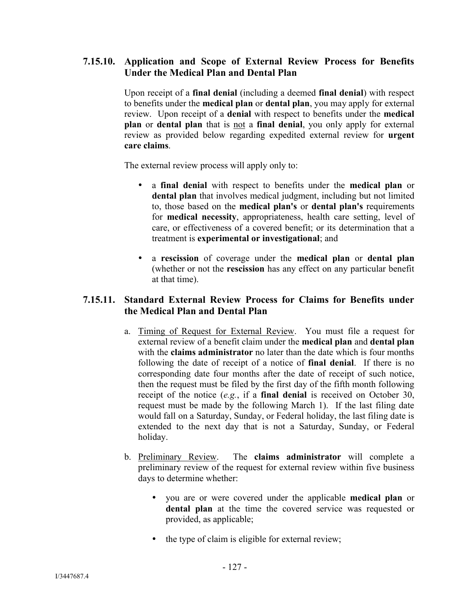# **7.15.10. Application and Scope of External Review Process for Benefits Under the Medical Plan and Dental Plan**

Upon receipt of a **final denial** (including a deemed **final denial**) with respect to benefits under the **medical plan** or **dental plan**, you may apply for external review. Upon receipt of a **denial** with respect to benefits under the **medical plan** or **dental plan** that is not a **final denial**, you only apply for external review as provided below regarding expedited external review for **urgent care claims**.

The external review process will apply only to:

- a **final denial** with respect to benefits under the **medical plan** or **dental plan** that involves medical judgment, including but not limited to, those based on the **medical plan's** or **dental plan's** requirements for **medical necessity**, appropriateness, health care setting, level of care, or effectiveness of a covered benefit; or its determination that a treatment is **experimental or investigational**; and
- a **rescission** of coverage under the **medical plan** or **dental plan** (whether or not the **rescission** has any effect on any particular benefit at that time).

# **7.15.11. Standard External Review Process for Claims for Benefits under the Medical Plan and Dental Plan**

- a. Timing of Request for External Review. You must file a request for external review of a benefit claim under the **medical plan** and **dental plan** with the **claims administrator** no later than the date which is four months following the date of receipt of a notice of **final denial**. If there is no corresponding date four months after the date of receipt of such notice, then the request must be filed by the first day of the fifth month following receipt of the notice (*e.g.*, if a **final denial** is received on October 30, request must be made by the following March 1). If the last filing date would fall on a Saturday, Sunday, or Federal holiday, the last filing date is extended to the next day that is not a Saturday, Sunday, or Federal holiday.
- b. Preliminary Review. The **claims administrator** will complete a preliminary review of the request for external review within five business days to determine whether:
	- you are or were covered under the applicable **medical plan** or **dental plan** at the time the covered service was requested or provided, as applicable;
	- the type of claim is eligible for external review;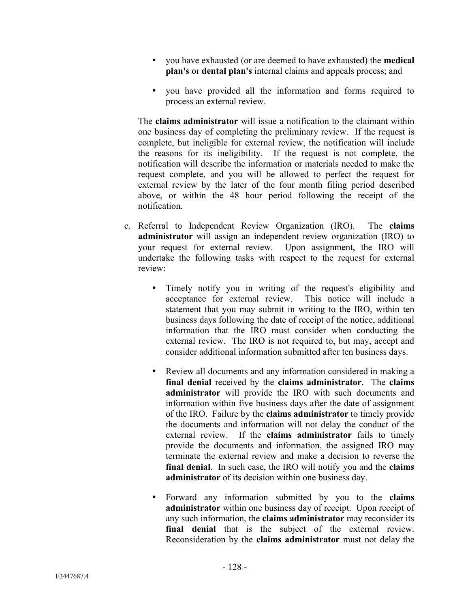- you have exhausted (or are deemed to have exhausted) the **medical plan's** or **dental plan's** internal claims and appeals process; and
- you have provided all the information and forms required to process an external review.

The **claims administrator** will issue a notification to the claimant within one business day of completing the preliminary review. If the request is complete, but ineligible for external review, the notification will include the reasons for its ineligibility. If the request is not complete, the notification will describe the information or materials needed to make the request complete, and you will be allowed to perfect the request for external review by the later of the four month filing period described above, or within the 48 hour period following the receipt of the notification.

- c. Referral to Independent Review Organization (IRO). The **claims administrator** will assign an independent review organization (IRO) to your request for external review. Upon assignment, the IRO will undertake the following tasks with respect to the request for external review:
	- Timely notify you in writing of the request's eligibility and acceptance for external review. This notice will include a statement that you may submit in writing to the IRO, within ten business days following the date of receipt of the notice, additional information that the IRO must consider when conducting the external review. The IRO is not required to, but may, accept and consider additional information submitted after ten business days.
	- Review all documents and any information considered in making a **final denial** received by the **claims administrator**. The **claims administrator** will provide the IRO with such documents and information within five business days after the date of assignment of the IRO. Failure by the **claims administrator** to timely provide the documents and information will not delay the conduct of the external review. If the **claims administrator** fails to timely provide the documents and information, the assigned IRO may terminate the external review and make a decision to reverse the **final denial**. In such case, the IRO will notify you and the **claims administrator** of its decision within one business day.
	- Forward any information submitted by you to the **claims administrator** within one business day of receipt. Upon receipt of any such information, the **claims administrator** may reconsider its final denial that is the subject of the external review. Reconsideration by the **claims administrator** must not delay the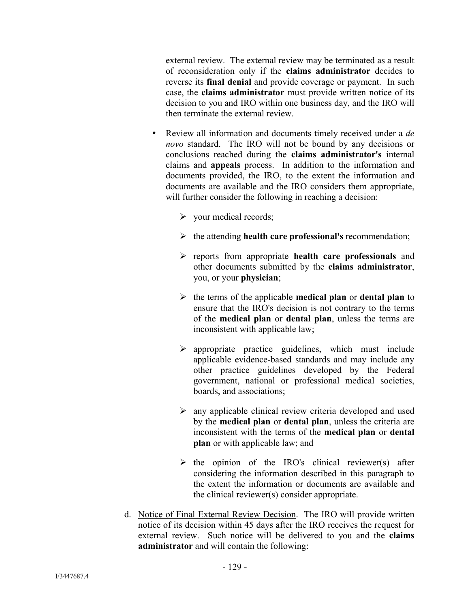external review. The external review may be terminated as a result of reconsideration only if the **claims administrator** decides to reverse its **final denial** and provide coverage or payment. In such case, the **claims administrator** must provide written notice of its decision to you and IRO within one business day, and the IRO will then terminate the external review.

- Review all information and documents timely received under a *de novo* standard. The IRO will not be bound by any decisions or conclusions reached during the **claims administrator's** internal claims and **appeals** process. In addition to the information and documents provided, the IRO, to the extent the information and documents are available and the IRO considers them appropriate, will further consider the following in reaching a decision:
	- $\triangleright$  your medical records;
	- the attending **health care professional's** recommendation;
	- reports from appropriate **health care professionals** and other documents submitted by the **claims administrator**, you, or your **physician**;
	- $\triangleright$  the terms of the applicable **medical plan** or **dental plan** to ensure that the IRO's decision is not contrary to the terms of the **medical plan** or **dental plan**, unless the terms are inconsistent with applicable law;
	- $\triangleright$  appropriate practice guidelines, which must include applicable evidence-based standards and may include any other practice guidelines developed by the Federal government, national or professional medical societies, boards, and associations;
	- $\triangleright$  any applicable clinical review criteria developed and used by the **medical plan** or **dental plan**, unless the criteria are inconsistent with the terms of the **medical plan** or **dental plan** or with applicable law; and
	- $\triangleright$  the opinion of the IRO's clinical reviewer(s) after considering the information described in this paragraph to the extent the information or documents are available and the clinical reviewer(s) consider appropriate.
- d. Notice of Final External Review Decision. The IRO will provide written notice of its decision within 45 days after the IRO receives the request for external review. Such notice will be delivered to you and the **claims administrator** and will contain the following: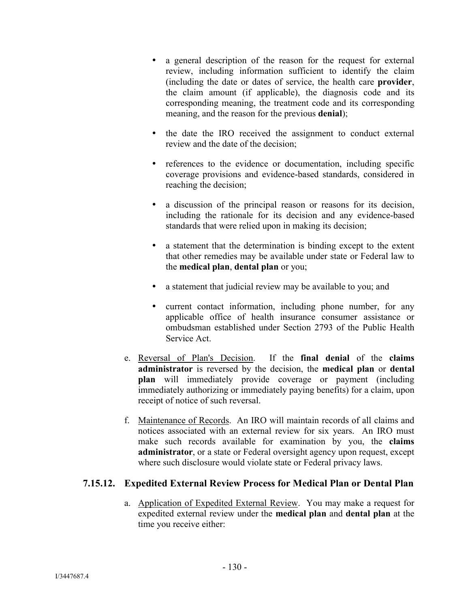- a general description of the reason for the request for external review, including information sufficient to identify the claim (including the date or dates of service, the health care **provider**, the claim amount (if applicable), the diagnosis code and its corresponding meaning, the treatment code and its corresponding meaning, and the reason for the previous **denial**);
- the date the IRO received the assignment to conduct external review and the date of the decision;
- references to the evidence or documentation, including specific coverage provisions and evidence-based standards, considered in reaching the decision;
- a discussion of the principal reason or reasons for its decision, including the rationale for its decision and any evidence-based standards that were relied upon in making its decision;
- a statement that the determination is binding except to the extent that other remedies may be available under state or Federal law to the **medical plan**, **dental plan** or you;
- a statement that judicial review may be available to you; and
- current contact information, including phone number, for any applicable office of health insurance consumer assistance or ombudsman established under Section 2793 of the Public Health Service Act.
- e. Reversal of Plan's Decision. If the **final denial** of the **claims administrator** is reversed by the decision, the **medical plan** or **dental plan** will immediately provide coverage or payment (including immediately authorizing or immediately paying benefits) for a claim, upon receipt of notice of such reversal.
- f. Maintenance of Records. An IRO will maintain records of all claims and notices associated with an external review for six years. An IRO must make such records available for examination by you, the **claims administrator**, or a state or Federal oversight agency upon request, except where such disclosure would violate state or Federal privacy laws.

# **7.15.12. Expedited External Review Process for Medical Plan or Dental Plan**

a. Application of Expedited External Review. You may make a request for expedited external review under the **medical plan** and **dental plan** at the time you receive either: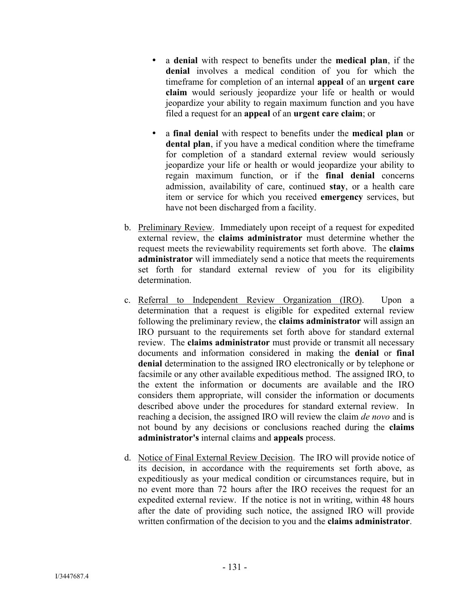- a **denial** with respect to benefits under the **medical plan**, if the **denial** involves a medical condition of you for which the timeframe for completion of an internal **appeal** of an **urgent care claim** would seriously jeopardize your life or health or would jeopardize your ability to regain maximum function and you have filed a request for an **appeal** of an **urgent care claim**; or
- a **final denial** with respect to benefits under the **medical plan** or **dental plan**, if you have a medical condition where the timeframe for completion of a standard external review would seriously jeopardize your life or health or would jeopardize your ability to regain maximum function, or if the **final denial** concerns admission, availability of care, continued **stay**, or a health care item or service for which you received **emergency** services, but have not been discharged from a facility.
- b. Preliminary Review. Immediately upon receipt of a request for expedited external review, the **claims administrator** must determine whether the request meets the reviewability requirements set forth above. The **claims administrator** will immediately send a notice that meets the requirements set forth for standard external review of you for its eligibility determination.
- c. Referral to Independent Review Organization (IRO). Upon a determination that a request is eligible for expedited external review following the preliminary review, the **claims administrator** will assign an IRO pursuant to the requirements set forth above for standard external review. The **claims administrator** must provide or transmit all necessary documents and information considered in making the **denial** or **final denial** determination to the assigned IRO electronically or by telephone or facsimile or any other available expeditious method. The assigned IRO, to the extent the information or documents are available and the IRO considers them appropriate, will consider the information or documents described above under the procedures for standard external review. In reaching a decision, the assigned IRO will review the claim *de novo* and is not bound by any decisions or conclusions reached during the **claims administrator's** internal claims and **appeals** process.
- d. Notice of Final External Review Decision. The IRO will provide notice of its decision, in accordance with the requirements set forth above, as expeditiously as your medical condition or circumstances require, but in no event more than 72 hours after the IRO receives the request for an expedited external review. If the notice is not in writing, within 48 hours after the date of providing such notice, the assigned IRO will provide written confirmation of the decision to you and the **claims administrator**.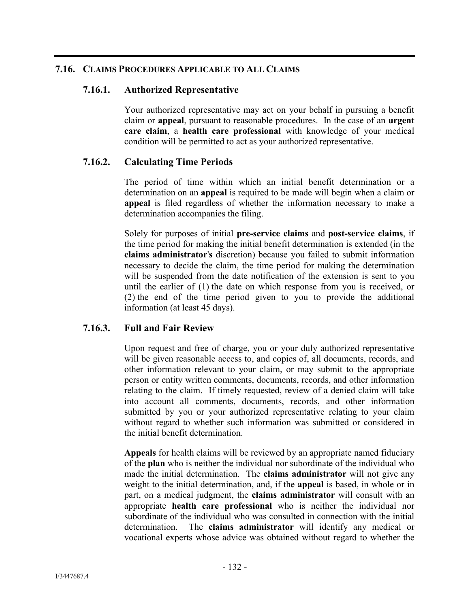#### **7.16. CLAIMS PROCEDURES APPLICABLE TO ALL CLAIMS**

#### **7.16.1. Authorized Representative**

Your authorized representative may act on your behalf in pursuing a benefit claim or **appeal**, pursuant to reasonable procedures. In the case of an **urgent care claim**, a **health care professional** with knowledge of your medical condition will be permitted to act as your authorized representative.

## **7.16.2. Calculating Time Periods**

The period of time within which an initial benefit determination or a determination on an **appeal** is required to be made will begin when a claim or **appeal** is filed regardless of whether the information necessary to make a determination accompanies the filing.

Solely for purposes of initial **pre-service claims** and **post-service claims**, if the time period for making the initial benefit determination is extended (in the **claims administrator**'**s** discretion) because you failed to submit information necessary to decide the claim, the time period for making the determination will be suspended from the date notification of the extension is sent to you until the earlier of (1) the date on which response from you is received, or (2) the end of the time period given to you to provide the additional information (at least 45 days).

## **7.16.3. Full and Fair Review**

Upon request and free of charge, you or your duly authorized representative will be given reasonable access to, and copies of, all documents, records, and other information relevant to your claim, or may submit to the appropriate person or entity written comments, documents, records, and other information relating to the claim. If timely requested, review of a denied claim will take into account all comments, documents, records, and other information submitted by you or your authorized representative relating to your claim without regard to whether such information was submitted or considered in the initial benefit determination.

**Appeals** for health claims will be reviewed by an appropriate named fiduciary of the **plan** who is neither the individual nor subordinate of the individual who made the initial determination. The **claims administrator** will not give any weight to the initial determination, and, if the **appeal** is based, in whole or in part, on a medical judgment, the **claims administrator** will consult with an appropriate **health care professional** who is neither the individual nor subordinate of the individual who was consulted in connection with the initial determination. The **claims administrator** will identify any medical or vocational experts whose advice was obtained without regard to whether the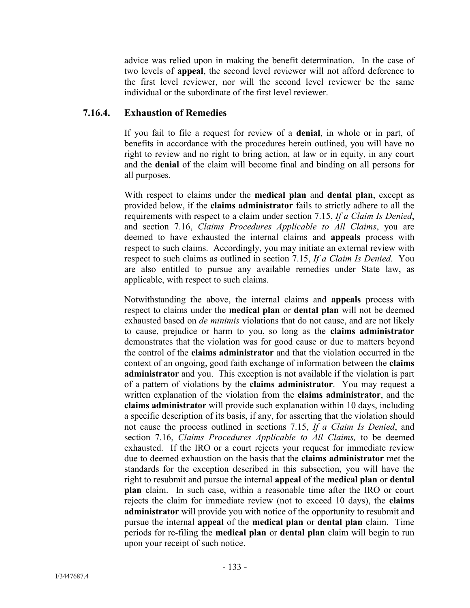advice was relied upon in making the benefit determination. In the case of two levels of **appeal**, the second level reviewer will not afford deference to the first level reviewer, nor will the second level reviewer be the same individual or the subordinate of the first level reviewer.

#### **7.16.4. Exhaustion of Remedies**

If you fail to file a request for review of a **denial**, in whole or in part, of benefits in accordance with the procedures herein outlined, you will have no right to review and no right to bring action, at law or in equity, in any court and the **denial** of the claim will become final and binding on all persons for all purposes.

With respect to claims under the **medical plan** and **dental plan**, except as provided below, if the **claims administrator** fails to strictly adhere to all the requirements with respect to a claim under section 7.15, *If a Claim Is Denied*, and section 7.16, *Claims Procedures Applicable to All Claims*, you are deemed to have exhausted the internal claims and **appeals** process with respect to such claims. Accordingly, you may initiate an external review with respect to such claims as outlined in section 7.15, *If a Claim Is Denied*. You are also entitled to pursue any available remedies under State law, as applicable, with respect to such claims.

Notwithstanding the above, the internal claims and **appeals** process with respect to claims under the **medical plan** or **dental plan** will not be deemed exhausted based on *de minimis* violations that do not cause, and are not likely to cause, prejudice or harm to you, so long as the **claims administrator** demonstrates that the violation was for good cause or due to matters beyond the control of the **claims administrator** and that the violation occurred in the context of an ongoing, good faith exchange of information between the **claims administrator** and you. This exception is not available if the violation is part of a pattern of violations by the **claims administrator**. You may request a written explanation of the violation from the **claims administrator**, and the **claims administrator** will provide such explanation within 10 days, including a specific description of its basis, if any, for asserting that the violation should not cause the process outlined in sections 7.15, *If a Claim Is Denied*, and section 7.16, *Claims Procedures Applicable to All Claims,* to be deemed exhausted. If the IRO or a court rejects your request for immediate review due to deemed exhaustion on the basis that the **claims administrator** met the standards for the exception described in this subsection, you will have the right to resubmit and pursue the internal **appeal** of the **medical plan** or **dental plan** claim. In such case, within a reasonable time after the IRO or court rejects the claim for immediate review (not to exceed 10 days), the **claims administrator** will provide you with notice of the opportunity to resubmit and pursue the internal **appeal** of the **medical plan** or **dental plan** claim. Time periods for re-filing the **medical plan** or **dental plan** claim will begin to run upon your receipt of such notice.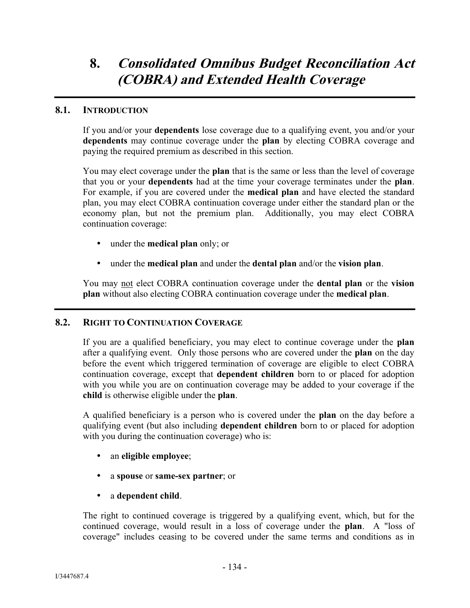# **8. Consolidated Omnibus Budget Reconciliation Act (COBRA) and Extended Health Coverage**

#### **8.1. INTRODUCTION**

If you and/or your **dependents** lose coverage due to a qualifying event, you and/or your **dependents** may continue coverage under the **plan** by electing COBRA coverage and paying the required premium as described in this section.

You may elect coverage under the **plan** that is the same or less than the level of coverage that you or your **dependents** had at the time your coverage terminates under the **plan**. For example, if you are covered under the **medical plan** and have elected the standard plan, you may elect COBRA continuation coverage under either the standard plan or the economy plan, but not the premium plan. Additionally, you may elect COBRA continuation coverage:

- under the **medical plan** only; or
- under the **medical plan** and under the **dental plan** and/or the **vision plan**.

You may not elect COBRA continuation coverage under the **dental plan** or the **vision plan** without also electing COBRA continuation coverage under the **medical plan**.

#### **8.2. RIGHT TO CONTINUATION COVERAGE**

If you are a qualified beneficiary, you may elect to continue coverage under the **plan** after a qualifying event. Only those persons who are covered under the **plan** on the day before the event which triggered termination of coverage are eligible to elect COBRA continuation coverage, except that **dependent children** born to or placed for adoption with you while you are on continuation coverage may be added to your coverage if the **child** is otherwise eligible under the **plan**.

A qualified beneficiary is a person who is covered under the **plan** on the day before a qualifying event (but also including **dependent children** born to or placed for adoption with you during the continuation coverage) who is:

- an **eligible employee**;
- a **spouse** or **same-sex partner**; or
- a **dependent child**.

The right to continued coverage is triggered by a qualifying event, which, but for the continued coverage, would result in a loss of coverage under the **plan**. A "loss of coverage" includes ceasing to be covered under the same terms and conditions as in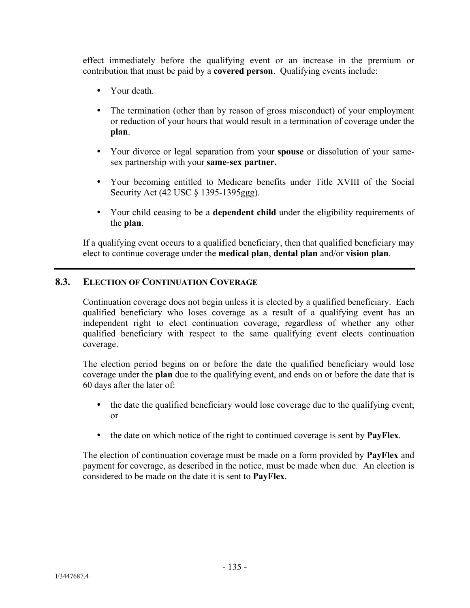effect immediately before the qualifying event or an increase in the premium or contribution that must be paid by a **covered person**. Qualifying events include:

- Your death.
- The termination (other than by reason of gross misconduct) of your employment or reduction of your hours that would result in a termination of coverage under the **plan**.
- Your divorce or legal separation from your **spouse** or dissolution of your samesex partnership with your **same-sex partner.**
- Your becoming entitled to Medicare benefits under Title XVIII of the Social Security Act (42 USC § 1395-1395ggg).
- Your child ceasing to be a **dependent child** under the eligibility requirements of the **plan**.

If a qualifying event occurs to a qualified beneficiary, then that qualified beneficiary may elect to continue coverage under the **medical plan**, **dental plan** and/or **vision plan**.

## **8.3. ELECTION OF CONTINUATION COVERAGE**

Continuation coverage does not begin unless it is elected by a qualified beneficiary. Each qualified beneficiary who loses coverage as a result of a qualifying event has an independent right to elect continuation coverage, regardless of whether any other qualified beneficiary with respect to the same qualifying event elects continuation coverage.

The election period begins on or before the date the qualified beneficiary would lose coverage under the **plan** due to the qualifying event, and ends on or before the date that is 60 days after the later of:

- the date the qualified beneficiary would lose coverage due to the qualifying event; or
- the date on which notice of the right to continued coverage is sent by **PayFlex**.

The election of continuation coverage must be made on a form provided by **PayFlex** and payment for coverage, as described in the notice, must be made when due. An election is considered to be made on the date it is sent to **PayFlex**.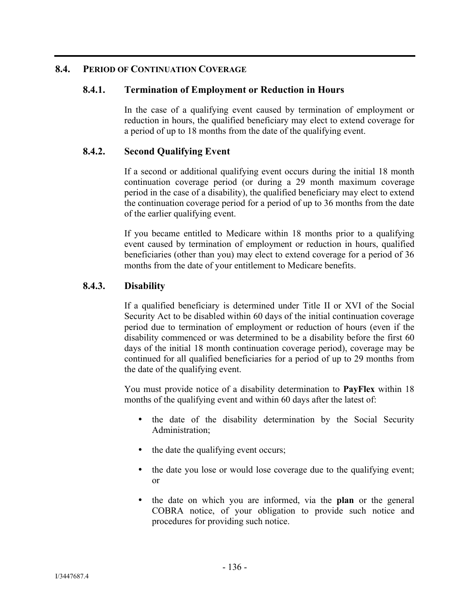## **8.4. PERIOD OF CONTINUATION COVERAGE**

## **8.4.1. Termination of Employment or Reduction in Hours**

In the case of a qualifying event caused by termination of employment or reduction in hours, the qualified beneficiary may elect to extend coverage for a period of up to 18 months from the date of the qualifying event.

## **8.4.2. Second Qualifying Event**

If a second or additional qualifying event occurs during the initial 18 month continuation coverage period (or during a 29 month maximum coverage period in the case of a disability), the qualified beneficiary may elect to extend the continuation coverage period for a period of up to 36 months from the date of the earlier qualifying event.

If you became entitled to Medicare within 18 months prior to a qualifying event caused by termination of employment or reduction in hours, qualified beneficiaries (other than you) may elect to extend coverage for a period of 36 months from the date of your entitlement to Medicare benefits.

## **8.4.3. Disability**

If a qualified beneficiary is determined under Title II or XVI of the Social Security Act to be disabled within 60 days of the initial continuation coverage period due to termination of employment or reduction of hours (even if the disability commenced or was determined to be a disability before the first 60 days of the initial 18 month continuation coverage period), coverage may be continued for all qualified beneficiaries for a period of up to 29 months from the date of the qualifying event.

You must provide notice of a disability determination to **PayFlex** within 18 months of the qualifying event and within 60 days after the latest of:

- the date of the disability determination by the Social Security Administration;
- the date the qualifying event occurs;
- the date you lose or would lose coverage due to the qualifying event; or
- the date on which you are informed, via the **plan** or the general COBRA notice, of your obligation to provide such notice and procedures for providing such notice.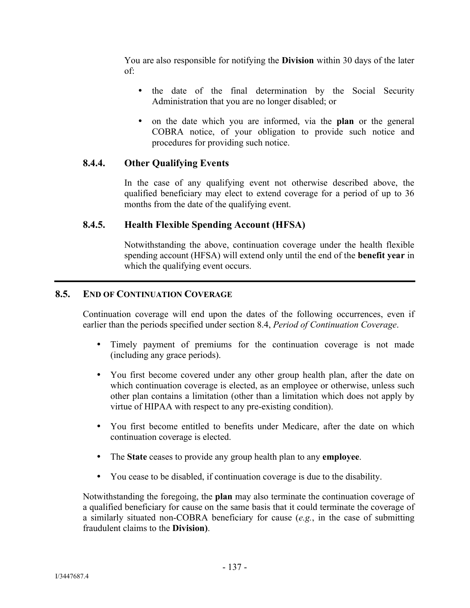You are also responsible for notifying the **Division** within 30 days of the later of:

- the date of the final determination by the Social Security Administration that you are no longer disabled; or
- on the date which you are informed, via the **plan** or the general COBRA notice, of your obligation to provide such notice and procedures for providing such notice.

# **8.4.4. Other Qualifying Events**

In the case of any qualifying event not otherwise described above, the qualified beneficiary may elect to extend coverage for a period of up to 36 months from the date of the qualifying event.

# **8.4.5. Health Flexible Spending Account (HFSA)**

Notwithstanding the above, continuation coverage under the health flexible spending account (HFSA) will extend only until the end of the **benefit year** in which the qualifying event occurs.

## **8.5. END OF CONTINUATION COVERAGE**

Continuation coverage will end upon the dates of the following occurrences, even if earlier than the periods specified under section 8.4, *Period of Continuation Coverage*.

- Timely payment of premiums for the continuation coverage is not made (including any grace periods).
- You first become covered under any other group health plan, after the date on which continuation coverage is elected, as an employee or otherwise, unless such other plan contains a limitation (other than a limitation which does not apply by virtue of HIPAA with respect to any pre-existing condition).
- You first become entitled to benefits under Medicare, after the date on which continuation coverage is elected.
- The **State** ceases to provide any group health plan to any **employee**.
- You cease to be disabled, if continuation coverage is due to the disability.

Notwithstanding the foregoing, the **plan** may also terminate the continuation coverage of a qualified beneficiary for cause on the same basis that it could terminate the coverage of a similarly situated non-COBRA beneficiary for cause (*e.g.*, in the case of submitting fraudulent claims to the **Division)**.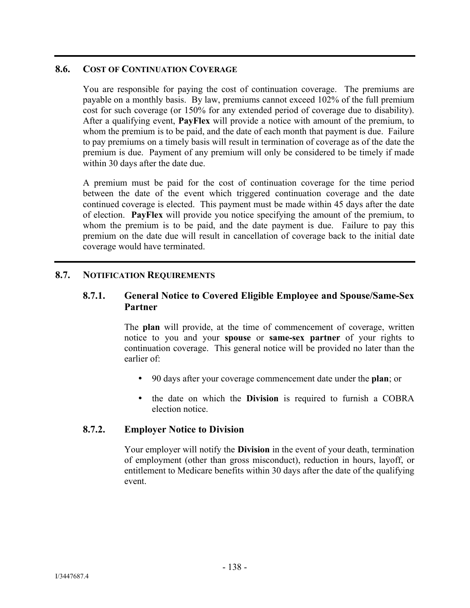#### **8.6. COST OF CONTINUATION COVERAGE**

You are responsible for paying the cost of continuation coverage. The premiums are payable on a monthly basis. By law, premiums cannot exceed 102% of the full premium cost for such coverage (or 150% for any extended period of coverage due to disability). After a qualifying event, **PayFlex** will provide a notice with amount of the premium, to whom the premium is to be paid, and the date of each month that payment is due. Failure to pay premiums on a timely basis will result in termination of coverage as of the date the premium is due. Payment of any premium will only be considered to be timely if made within 30 days after the date due.

A premium must be paid for the cost of continuation coverage for the time period between the date of the event which triggered continuation coverage and the date continued coverage is elected. This payment must be made within 45 days after the date of election. **PayFlex** will provide you notice specifying the amount of the premium, to whom the premium is to be paid, and the date payment is due. Failure to pay this premium on the date due will result in cancellation of coverage back to the initial date coverage would have terminated.

## **8.7. NOTIFICATION REQUIREMENTS**

## **8.7.1. General Notice to Covered Eligible Employee and Spouse/Same-Sex Partner**

The **plan** will provide, at the time of commencement of coverage, written notice to you and your **spouse** or **same-sex partner** of your rights to continuation coverage. This general notice will be provided no later than the earlier of:

- 90 days after your coverage commencement date under the **plan**; or
- the date on which the **Division** is required to furnish a COBRA election notice.

#### **8.7.2. Employer Notice to Division**

Your employer will notify the **Division** in the event of your death, termination of employment (other than gross misconduct), reduction in hours, layoff, or entitlement to Medicare benefits within 30 days after the date of the qualifying event.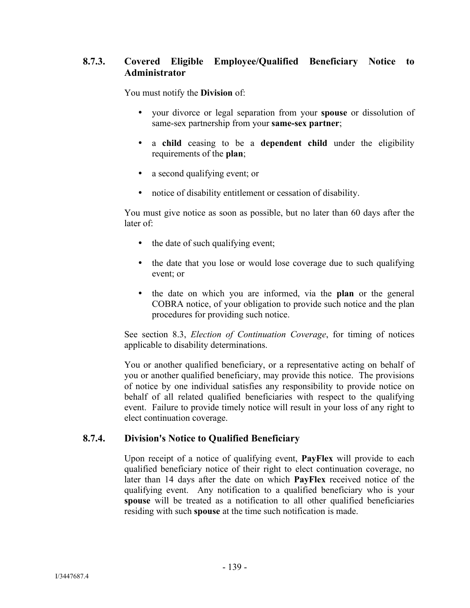# **8.7.3. Covered Eligible Employee/Qualified Beneficiary Notice to Administrator**

You must notify the **Division** of:

- your divorce or legal separation from your **spouse** or dissolution of same-sex partnership from your **same-sex partner**;
- a **child** ceasing to be a **dependent child** under the eligibility requirements of the **plan**;
- a second qualifying event; or
- notice of disability entitlement or cessation of disability.

You must give notice as soon as possible, but no later than 60 days after the later of:

- the date of such qualifying event;
- the date that you lose or would lose coverage due to such qualifying event; or
- the date on which you are informed, via the **plan** or the general COBRA notice, of your obligation to provide such notice and the plan procedures for providing such notice.

See section 8.3, *Election of Continuation Coverage*, for timing of notices applicable to disability determinations.

You or another qualified beneficiary, or a representative acting on behalf of you or another qualified beneficiary, may provide this notice. The provisions of notice by one individual satisfies any responsibility to provide notice on behalf of all related qualified beneficiaries with respect to the qualifying event. Failure to provide timely notice will result in your loss of any right to elect continuation coverage.

#### **8.7.4. Division's Notice to Qualified Beneficiary**

Upon receipt of a notice of qualifying event, **PayFlex** will provide to each qualified beneficiary notice of their right to elect continuation coverage, no later than 14 days after the date on which **PayFlex** received notice of the qualifying event. Any notification to a qualified beneficiary who is your **spouse** will be treated as a notification to all other qualified beneficiaries residing with such **spouse** at the time such notification is made.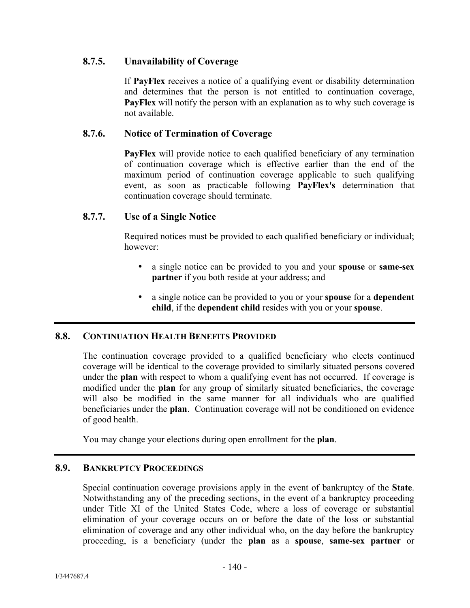## **8.7.5. Unavailability of Coverage**

If **PayFlex** receives a notice of a qualifying event or disability determination and determines that the person is not entitled to continuation coverage, **PayFlex** will notify the person with an explanation as to why such coverage is not available.

#### **8.7.6. Notice of Termination of Coverage**

**PayFlex** will provide notice to each qualified beneficiary of any termination of continuation coverage which is effective earlier than the end of the maximum period of continuation coverage applicable to such qualifying event, as soon as practicable following **PayFlex's** determination that continuation coverage should terminate.

## **8.7.7. Use of a Single Notice**

Required notices must be provided to each qualified beneficiary or individual; however:

- a single notice can be provided to you and your **spouse** or **same-sex partner** if you both reside at your address; and
- a single notice can be provided to you or your **spouse** for a **dependent child**, if the **dependent child** resides with you or your **spouse**.

#### **8.8. CONTINUATION HEALTH BENEFITS PROVIDED**

The continuation coverage provided to a qualified beneficiary who elects continued coverage will be identical to the coverage provided to similarly situated persons covered under the **plan** with respect to whom a qualifying event has not occurred. If coverage is modified under the **plan** for any group of similarly situated beneficiaries, the coverage will also be modified in the same manner for all individuals who are qualified beneficiaries under the **plan**. Continuation coverage will not be conditioned on evidence of good health.

You may change your elections during open enrollment for the **plan**.

## **8.9. BANKRUPTCY PROCEEDINGS**

Special continuation coverage provisions apply in the event of bankruptcy of the **State**. Notwithstanding any of the preceding sections, in the event of a bankruptcy proceeding under Title XI of the United States Code, where a loss of coverage or substantial elimination of your coverage occurs on or before the date of the loss or substantial elimination of coverage and any other individual who, on the day before the bankruptcy proceeding, is a beneficiary (under the **plan** as a **spouse**, **same-sex partner** or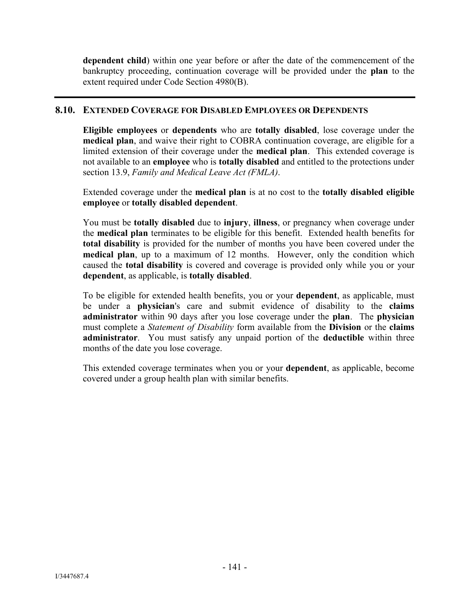**dependent child**) within one year before or after the date of the commencement of the bankruptcy proceeding, continuation coverage will be provided under the **plan** to the extent required under Code Section 4980(B).

#### **8.10. EXTENDED COVERAGE FOR DISABLED EMPLOYEES OR DEPENDENTS**

**Eligible employees** or **dependents** who are **totally disabled**, lose coverage under the **medical plan**, and waive their right to COBRA continuation coverage, are eligible for a limited extension of their coverage under the **medical plan**. This extended coverage is not available to an **employee** who is **totally disabled** and entitled to the protections under section 13.9, *Family and Medical Leave Act (FMLA)*.

Extended coverage under the **medical plan** is at no cost to the **totally disabled eligible employee** or **totally disabled dependent**.

You must be **totally disabled** due to **injury**, **illness**, or pregnancy when coverage under the **medical plan** terminates to be eligible for this benefit. Extended health benefits for **total disability** is provided for the number of months you have been covered under the **medical plan**, up to a maximum of 12 months. However, only the condition which caused the **total disability** is covered and coverage is provided only while you or your **dependent**, as applicable, is **totally disabled**.

To be eligible for extended health benefits, you or your **dependent**, as applicable, must be under a **physician**'s care and submit evidence of disability to the **claims administrator** within 90 days after you lose coverage under the **plan**. The **physician** must complete a *Statement of Disability* form available from the **Division** or the **claims administrator**. You must satisfy any unpaid portion of the **deductible** within three months of the date you lose coverage.

This extended coverage terminates when you or your **dependent**, as applicable, become covered under a group health plan with similar benefits.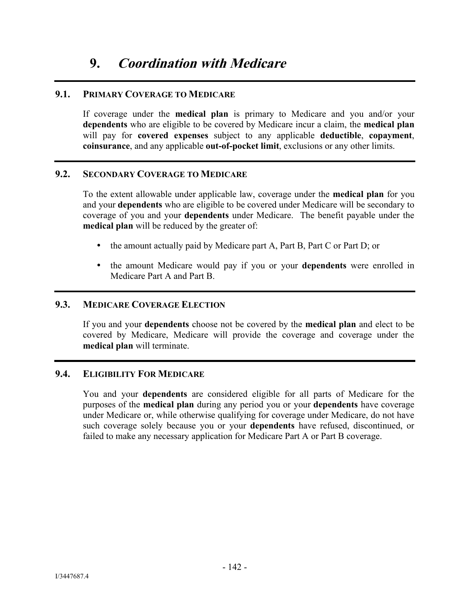#### **9.1. PRIMARY COVERAGE TO MEDICARE**

If coverage under the **medical plan** is primary to Medicare and you and/or your **dependents** who are eligible to be covered by Medicare incur a claim, the **medical plan** will pay for **covered expenses** subject to any applicable **deductible**, **copayment**, **coinsurance**, and any applicable **out-of-pocket limit**, exclusions or any other limits.

## **9.2. SECONDARY COVERAGE TO MEDICARE**

To the extent allowable under applicable law, coverage under the **medical plan** for you and your **dependents** who are eligible to be covered under Medicare will be secondary to coverage of you and your **dependents** under Medicare. The benefit payable under the **medical plan** will be reduced by the greater of:

- the amount actually paid by Medicare part A, Part B, Part C or Part D; or
- the amount Medicare would pay if you or your **dependents** were enrolled in Medicare Part A and Part B.

#### **9.3. MEDICARE COVERAGE ELECTION**

If you and your **dependents** choose not be covered by the **medical plan** and elect to be covered by Medicare, Medicare will provide the coverage and coverage under the **medical plan** will terminate.

#### **9.4. ELIGIBILITY FOR MEDICARE**

You and your **dependents** are considered eligible for all parts of Medicare for the purposes of the **medical plan** during any period you or your **dependents** have coverage under Medicare or, while otherwise qualifying for coverage under Medicare, do not have such coverage solely because you or your **dependents** have refused, discontinued, or failed to make any necessary application for Medicare Part A or Part B coverage.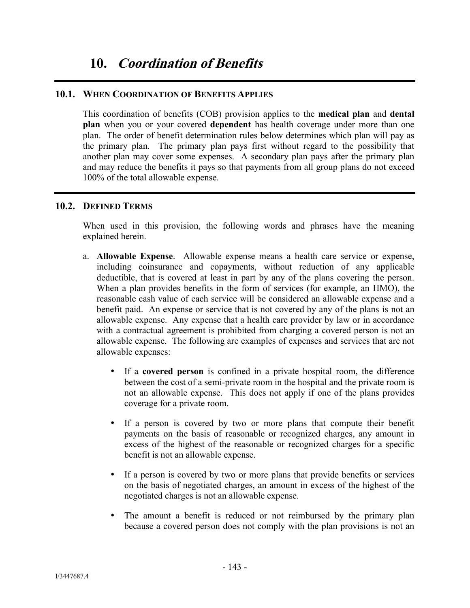## **10.1. WHEN COORDINATION OF BENEFITS APPLIES**

This coordination of benefits (COB) provision applies to the **medical plan** and **dental plan** when you or your covered **dependent** has health coverage under more than one plan. The order of benefit determination rules below determines which plan will pay as the primary plan. The primary plan pays first without regard to the possibility that another plan may cover some expenses. A secondary plan pays after the primary plan and may reduce the benefits it pays so that payments from all group plans do not exceed 100% of the total allowable expense.

## **10.2. DEFINED TERMS**

When used in this provision, the following words and phrases have the meaning explained herein.

- a. **Allowable Expense**. Allowable expense means a health care service or expense, including coinsurance and copayments, without reduction of any applicable deductible, that is covered at least in part by any of the plans covering the person. When a plan provides benefits in the form of services (for example, an HMO), the reasonable cash value of each service will be considered an allowable expense and a benefit paid. An expense or service that is not covered by any of the plans is not an allowable expense. Any expense that a health care provider by law or in accordance with a contractual agreement is prohibited from charging a covered person is not an allowable expense. The following are examples of expenses and services that are not allowable expenses:
	- If a **covered person** is confined in a private hospital room, the difference between the cost of a semi-private room in the hospital and the private room is not an allowable expense. This does not apply if one of the plans provides coverage for a private room.
	- If a person is covered by two or more plans that compute their benefit payments on the basis of reasonable or recognized charges, any amount in excess of the highest of the reasonable or recognized charges for a specific benefit is not an allowable expense.
	- If a person is covered by two or more plans that provide benefits or services on the basis of negotiated charges, an amount in excess of the highest of the negotiated charges is not an allowable expense.
	- The amount a benefit is reduced or not reimbursed by the primary plan because a covered person does not comply with the plan provisions is not an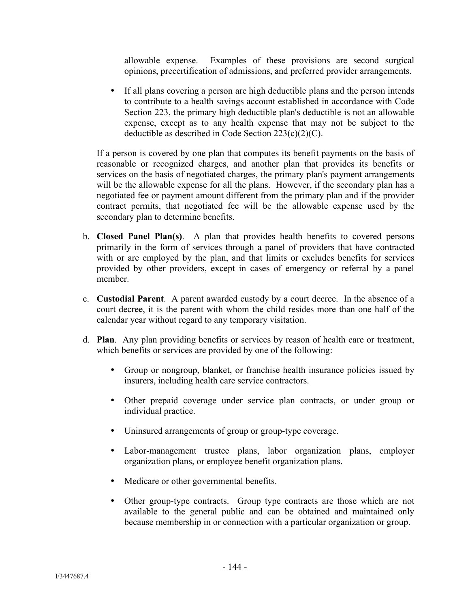allowable expense. Examples of these provisions are second surgical opinions, precertification of admissions, and preferred provider arrangements.

 If all plans covering a person are high deductible plans and the person intends to contribute to a health savings account established in accordance with Code Section 223, the primary high deductible plan's deductible is not an allowable expense, except as to any health expense that may not be subject to the deductible as described in Code Section  $223(c)(2)(C)$ .

If a person is covered by one plan that computes its benefit payments on the basis of reasonable or recognized charges, and another plan that provides its benefits or services on the basis of negotiated charges, the primary plan's payment arrangements will be the allowable expense for all the plans. However, if the secondary plan has a negotiated fee or payment amount different from the primary plan and if the provider contract permits, that negotiated fee will be the allowable expense used by the secondary plan to determine benefits.

- b. **Closed Panel Plan(s)**. A plan that provides health benefits to covered persons primarily in the form of services through a panel of providers that have contracted with or are employed by the plan, and that limits or excludes benefits for services provided by other providers, except in cases of emergency or referral by a panel member.
- c. **Custodial Parent**. A parent awarded custody by a court decree. In the absence of a court decree, it is the parent with whom the child resides more than one half of the calendar year without regard to any temporary visitation.
- d. **Plan**. Any plan providing benefits or services by reason of health care or treatment, which benefits or services are provided by one of the following:
	- Group or nongroup, blanket, or franchise health insurance policies issued by insurers, including health care service contractors.
	- Other prepaid coverage under service plan contracts, or under group or individual practice.
	- Uninsured arrangements of group or group-type coverage.
	- Labor-management trustee plans, labor organization plans, employer organization plans, or employee benefit organization plans.
	- Medicare or other governmental benefits.
	- Other group-type contracts. Group type contracts are those which are not available to the general public and can be obtained and maintained only because membership in or connection with a particular organization or group.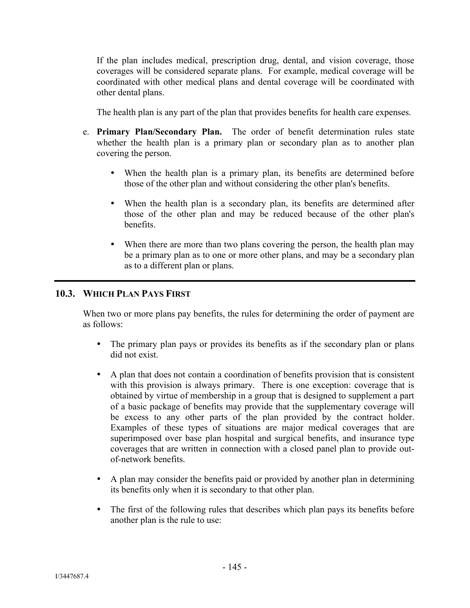If the plan includes medical, prescription drug, dental, and vision coverage, those coverages will be considered separate plans. For example, medical coverage will be coordinated with other medical plans and dental coverage will be coordinated with other dental plans.

The health plan is any part of the plan that provides benefits for health care expenses.

- e. **Primary Plan/Secondary Plan.** The order of benefit determination rules state whether the health plan is a primary plan or secondary plan as to another plan covering the person.
	- When the health plan is a primary plan, its benefits are determined before those of the other plan and without considering the other plan's benefits.
	- When the health plan is a secondary plan, its benefits are determined after those of the other plan and may be reduced because of the other plan's benefits.
	- When there are more than two plans covering the person, the health plan may be a primary plan as to one or more other plans, and may be a secondary plan as to a different plan or plans.

## **10.3. WHICH PLAN PAYS FIRST**

When two or more plans pay benefits, the rules for determining the order of payment are as follows:

- The primary plan pays or provides its benefits as if the secondary plan or plans did not exist.
- A plan that does not contain a coordination of benefits provision that is consistent with this provision is always primary. There is one exception: coverage that is obtained by virtue of membership in a group that is designed to supplement a part of a basic package of benefits may provide that the supplementary coverage will be excess to any other parts of the plan provided by the contract holder. Examples of these types of situations are major medical coverages that are superimposed over base plan hospital and surgical benefits, and insurance type coverages that are written in connection with a closed panel plan to provide outof-network benefits.
- A plan may consider the benefits paid or provided by another plan in determining its benefits only when it is secondary to that other plan.
- The first of the following rules that describes which plan pays its benefits before another plan is the rule to use: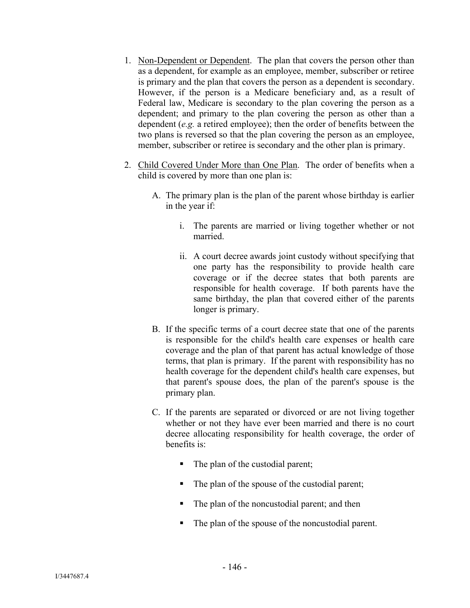- 1. Non-Dependent or Dependent. The plan that covers the person other than as a dependent, for example as an employee, member, subscriber or retiree is primary and the plan that covers the person as a dependent is secondary. However, if the person is a Medicare beneficiary and, as a result of Federal law, Medicare is secondary to the plan covering the person as a dependent; and primary to the plan covering the person as other than a dependent (*e.g.* a retired employee); then the order of benefits between the two plans is reversed so that the plan covering the person as an employee, member, subscriber or retiree is secondary and the other plan is primary.
- 2. Child Covered Under More than One Plan. The order of benefits when a child is covered by more than one plan is:
	- A. The primary plan is the plan of the parent whose birthday is earlier in the year if:
		- i. The parents are married or living together whether or not married.
		- ii. A court decree awards joint custody without specifying that one party has the responsibility to provide health care coverage or if the decree states that both parents are responsible for health coverage. If both parents have the same birthday, the plan that covered either of the parents longer is primary.
	- B. If the specific terms of a court decree state that one of the parents is responsible for the child's health care expenses or health care coverage and the plan of that parent has actual knowledge of those terms, that plan is primary. If the parent with responsibility has no health coverage for the dependent child's health care expenses, but that parent's spouse does, the plan of the parent's spouse is the primary plan.
	- C. If the parents are separated or divorced or are not living together whether or not they have ever been married and there is no court decree allocating responsibility for health coverage, the order of benefits is:
		- The plan of the custodial parent;
		- The plan of the spouse of the custodial parent;
		- The plan of the noncustodial parent; and then
		- The plan of the spouse of the noncustodial parent.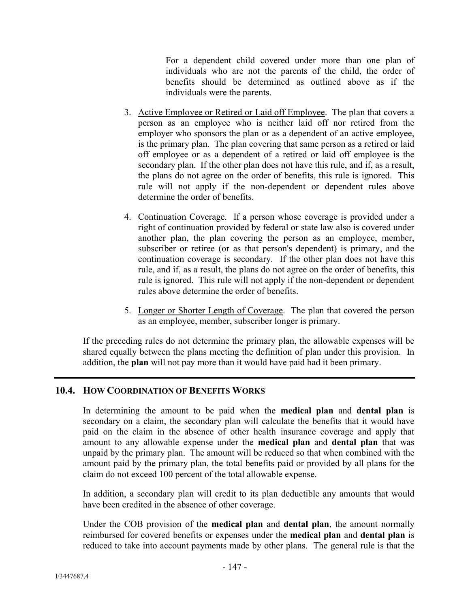For a dependent child covered under more than one plan of individuals who are not the parents of the child, the order of benefits should be determined as outlined above as if the individuals were the parents.

- 3. Active Employee or Retired or Laid off Employee. The plan that covers a person as an employee who is neither laid off nor retired from the employer who sponsors the plan or as a dependent of an active employee, is the primary plan. The plan covering that same person as a retired or laid off employee or as a dependent of a retired or laid off employee is the secondary plan. If the other plan does not have this rule, and if, as a result, the plans do not agree on the order of benefits, this rule is ignored. This rule will not apply if the non-dependent or dependent rules above determine the order of benefits.
- 4. Continuation Coverage. If a person whose coverage is provided under a right of continuation provided by federal or state law also is covered under another plan, the plan covering the person as an employee, member, subscriber or retiree (or as that person's dependent) is primary, and the continuation coverage is secondary. If the other plan does not have this rule, and if, as a result, the plans do not agree on the order of benefits, this rule is ignored. This rule will not apply if the non-dependent or dependent rules above determine the order of benefits.
- 5. Longer or Shorter Length of Coverage. The plan that covered the person as an employee, member, subscriber longer is primary.

If the preceding rules do not determine the primary plan, the allowable expenses will be shared equally between the plans meeting the definition of plan under this provision. In addition, the **plan** will not pay more than it would have paid had it been primary.

#### **10.4. HOW COORDINATION OF BENEFITS WORKS**

In determining the amount to be paid when the **medical plan** and **dental plan** is secondary on a claim, the secondary plan will calculate the benefits that it would have paid on the claim in the absence of other health insurance coverage and apply that amount to any allowable expense under the **medical plan** and **dental plan** that was unpaid by the primary plan. The amount will be reduced so that when combined with the amount paid by the primary plan, the total benefits paid or provided by all plans for the claim do not exceed 100 percent of the total allowable expense.

In addition, a secondary plan will credit to its plan deductible any amounts that would have been credited in the absence of other coverage.

Under the COB provision of the **medical plan** and **dental plan**, the amount normally reimbursed for covered benefits or expenses under the **medical plan** and **dental plan** is reduced to take into account payments made by other plans. The general rule is that the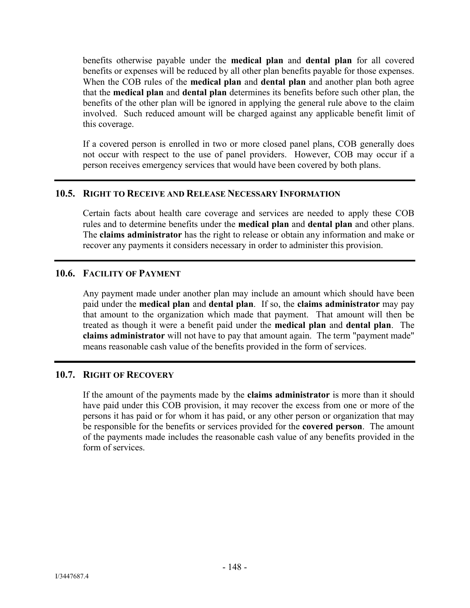benefits otherwise payable under the **medical plan** and **dental plan** for all covered benefits or expenses will be reduced by all other plan benefits payable for those expenses. When the COB rules of the **medical plan** and **dental plan** and another plan both agree that the **medical plan** and **dental plan** determines its benefits before such other plan, the benefits of the other plan will be ignored in applying the general rule above to the claim involved. Such reduced amount will be charged against any applicable benefit limit of this coverage.

If a covered person is enrolled in two or more closed panel plans, COB generally does not occur with respect to the use of panel providers. However, COB may occur if a person receives emergency services that would have been covered by both plans.

#### **10.5. RIGHT TO RECEIVE AND RELEASE NECESSARY INFORMATION**

Certain facts about health care coverage and services are needed to apply these COB rules and to determine benefits under the **medical plan** and **dental plan** and other plans. The **claims administrator** has the right to release or obtain any information and make or recover any payments it considers necessary in order to administer this provision.

## **10.6. FACILITY OF PAYMENT**

Any payment made under another plan may include an amount which should have been paid under the **medical plan** and **dental plan**. If so, the **claims administrator** may pay that amount to the organization which made that payment. That amount will then be treated as though it were a benefit paid under the **medical plan** and **dental plan**. The **claims administrator** will not have to pay that amount again. The term "payment made" means reasonable cash value of the benefits provided in the form of services.

#### **10.7. RIGHT OF RECOVERY**

If the amount of the payments made by the **claims administrator** is more than it should have paid under this COB provision, it may recover the excess from one or more of the persons it has paid or for whom it has paid, or any other person or organization that may be responsible for the benefits or services provided for the **covered person**. The amount of the payments made includes the reasonable cash value of any benefits provided in the form of services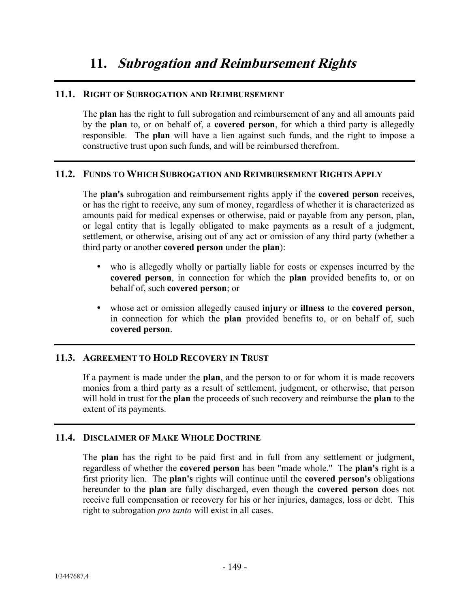#### **11.1. RIGHT OF SUBROGATION AND REIMBURSEMENT**

The **plan** has the right to full subrogation and reimbursement of any and all amounts paid by the **plan** to, or on behalf of, a **covered person**, for which a third party is allegedly responsible. The **plan** will have a lien against such funds, and the right to impose a constructive trust upon such funds, and will be reimbursed therefrom.

## **11.2. FUNDS TO WHICH SUBROGATION AND REIMBURSEMENT RIGHTS APPLY**

The **plan's** subrogation and reimbursement rights apply if the **covered person** receives, or has the right to receive, any sum of money, regardless of whether it is characterized as amounts paid for medical expenses or otherwise, paid or payable from any person, plan, or legal entity that is legally obligated to make payments as a result of a judgment, settlement, or otherwise, arising out of any act or omission of any third party (whether a third party or another **covered person** under the **plan**):

- who is allegedly wholly or partially liable for costs or expenses incurred by the **covered person**, in connection for which the **plan** provided benefits to, or on behalf of, such **covered person**; or
- whose act or omission allegedly caused **injur**y or **illness** to the **covered person**, in connection for which the **plan** provided benefits to, or on behalf of, such **covered person**.

## **11.3. AGREEMENT TO HOLD RECOVERY IN TRUST**

If a payment is made under the **plan**, and the person to or for whom it is made recovers monies from a third party as a result of settlement, judgment, or otherwise, that person will hold in trust for the **plan** the proceeds of such recovery and reimburse the **plan** to the extent of its payments.

#### **11.4. DISCLAIMER OF MAKE WHOLE DOCTRINE**

The **plan** has the right to be paid first and in full from any settlement or judgment, regardless of whether the **covered person** has been "made whole." The **plan's** right is a first priority lien. The **plan's** rights will continue until the **covered person's** obligations hereunder to the **plan** are fully discharged, even though the **covered person** does not receive full compensation or recovery for his or her injuries, damages, loss or debt. This right to subrogation *pro tanto* will exist in all cases.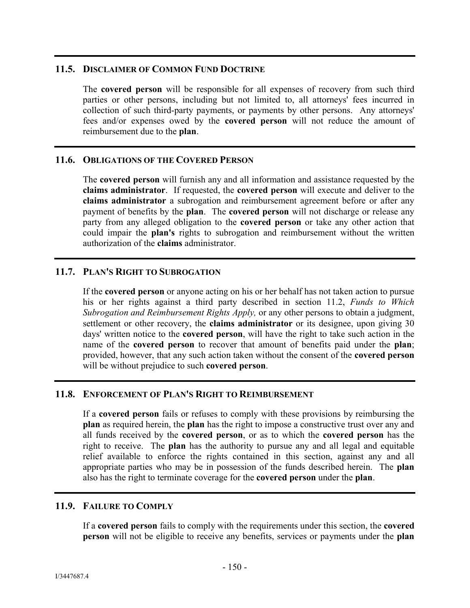#### **11.5. DISCLAIMER OF COMMON FUND DOCTRINE**

The **covered person** will be responsible for all expenses of recovery from such third parties or other persons, including but not limited to, all attorneys' fees incurred in collection of such third-party payments, or payments by other persons. Any attorneys' fees and/or expenses owed by the **covered person** will not reduce the amount of reimbursement due to the **plan**.

## **11.6. OBLIGATIONS OF THE COVERED PERSON**

The **covered person** will furnish any and all information and assistance requested by the **claims administrator**. If requested, the **covered person** will execute and deliver to the **claims administrator** a subrogation and reimbursement agreement before or after any payment of benefits by the **plan**. The **covered person** will not discharge or release any party from any alleged obligation to the **covered person** or take any other action that could impair the **plan's** rights to subrogation and reimbursement without the written authorization of the **claims** administrator.

## **11.7. PLAN'S RIGHT TO SUBROGATION**

If the **covered person** or anyone acting on his or her behalf has not taken action to pursue his or her rights against a third party described in section 11.2, *Funds to Which Subrogation and Reimbursement Rights Apply,* or any other persons to obtain a judgment, settlement or other recovery, the **claims administrator** or its designee, upon giving 30 days' written notice to the **covered person**, will have the right to take such action in the name of the **covered person** to recover that amount of benefits paid under the **plan**; provided, however, that any such action taken without the consent of the **covered person** will be without prejudice to such **covered person**.

#### **11.8. ENFORCEMENT OF PLAN'S RIGHT TO REIMBURSEMENT**

If a **covered person** fails or refuses to comply with these provisions by reimbursing the **plan** as required herein, the **plan** has the right to impose a constructive trust over any and all funds received by the **covered person**, or as to which the **covered person** has the right to receive. The **plan** has the authority to pursue any and all legal and equitable relief available to enforce the rights contained in this section, against any and all appropriate parties who may be in possession of the funds described herein. The **plan** also has the right to terminate coverage for the **covered person** under the **plan**.

#### **11.9. FAILURE TO COMPLY**

If a **covered person** fails to comply with the requirements under this section, the **covered person** will not be eligible to receive any benefits, services or payments under the **plan**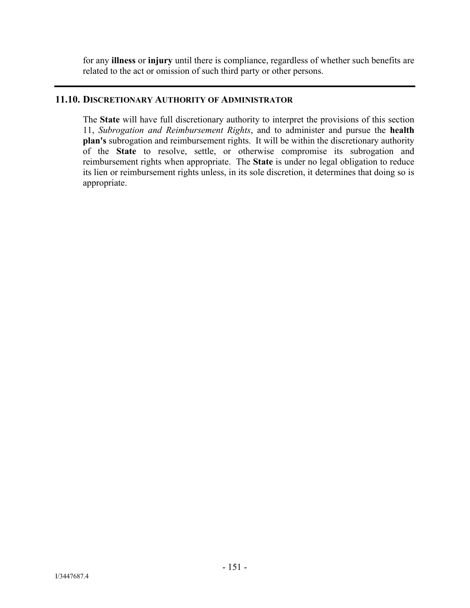for any **illness** or **injury** until there is compliance, regardless of whether such benefits are related to the act or omission of such third party or other persons.

#### **11.10. DISCRETIONARY AUTHORITY OF ADMINISTRATOR**

The **State** will have full discretionary authority to interpret the provisions of this section 11, *Subrogation and Reimbursement Rights*, and to administer and pursue the **health plan's** subrogation and reimbursement rights. It will be within the discretionary authority of the **State** to resolve, settle, or otherwise compromise its subrogation and reimbursement rights when appropriate. The **State** is under no legal obligation to reduce its lien or reimbursement rights unless, in its sole discretion, it determines that doing so is appropriate.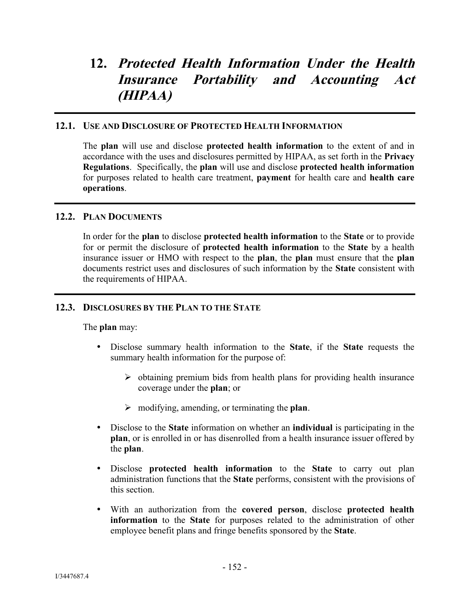# **12. Protected Health Information Under the Health Insurance Portability and Accounting Act (HIPAA)**

#### **12.1. USE AND DISCLOSURE OF PROTECTED HEALTH INFORMATION**

The **plan** will use and disclose **protected health information** to the extent of and in accordance with the uses and disclosures permitted by HIPAA, as set forth in the **Privacy Regulations**. Specifically, the **plan** will use and disclose **protected health information** for purposes related to health care treatment, **payment** for health care and **health care operations**.

## **12.2. PLAN DOCUMENTS**

In order for the **plan** to disclose **protected health information** to the **State** or to provide for or permit the disclosure of **protected health information** to the **State** by a health insurance issuer or HMO with respect to the **plan**, the **plan** must ensure that the **plan** documents restrict uses and disclosures of such information by the **State** consistent with the requirements of HIPAA.

#### **12.3. DISCLOSURES BY THE PLAN TO THE STATE**

The **plan** may:

- Disclose summary health information to the **State**, if the **State** requests the summary health information for the purpose of:
	- $\triangleright$  obtaining premium bids from health plans for providing health insurance coverage under the **plan**; or
	- modifying, amending, or terminating the **plan**.
- Disclose to the **State** information on whether an **individual** is participating in the **plan**, or is enrolled in or has disenrolled from a health insurance issuer offered by the **plan**.
- Disclose **protected health information** to the **State** to carry out plan administration functions that the **State** performs, consistent with the provisions of this section.
- With an authorization from the **covered person**, disclose **protected health information** to the **State** for purposes related to the administration of other employee benefit plans and fringe benefits sponsored by the **State**.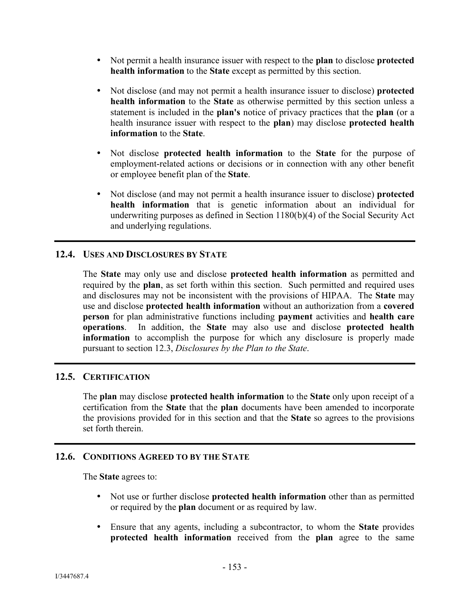- Not permit a health insurance issuer with respect to the **plan** to disclose **protected health information** to the **State** except as permitted by this section.
- Not disclose (and may not permit a health insurance issuer to disclose) **protected health information** to the **State** as otherwise permitted by this section unless a statement is included in the **plan's** notice of privacy practices that the **plan** (or a health insurance issuer with respect to the **plan**) may disclose **protected health information** to the **State**.
- Not disclose **protected health information** to the **State** for the purpose of employment-related actions or decisions or in connection with any other benefit or employee benefit plan of the **State**.
- Not disclose (and may not permit a health insurance issuer to disclose) **protected health information** that is genetic information about an individual for underwriting purposes as defined in Section 1180(b)(4) of the Social Security Act and underlying regulations.

#### **12.4. USES AND DISCLOSURES BY STATE**

The **State** may only use and disclose **protected health information** as permitted and required by the **plan**, as set forth within this section. Such permitted and required uses and disclosures may not be inconsistent with the provisions of HIPAA. The **State** may use and disclose **protected health information** without an authorization from a **covered person** for plan administrative functions including **payment** activities and **health care operations**. In addition, the **State** may also use and disclose **protected health information** to accomplish the purpose for which any disclosure is properly made pursuant to section 12.3, *Disclosures by the Plan to the State*.

## **12.5. CERTIFICATION**

The **plan** may disclose **protected health information** to the **State** only upon receipt of a certification from the **State** that the **plan** documents have been amended to incorporate the provisions provided for in this section and that the **State** so agrees to the provisions set forth therein

#### **12.6. CONDITIONS AGREED TO BY THE STATE**

The **State** agrees to:

- Not use or further disclose **protected health information** other than as permitted or required by the **plan** document or as required by law.
- Ensure that any agents, including a subcontractor, to whom the **State** provides **protected health information** received from the **plan** agree to the same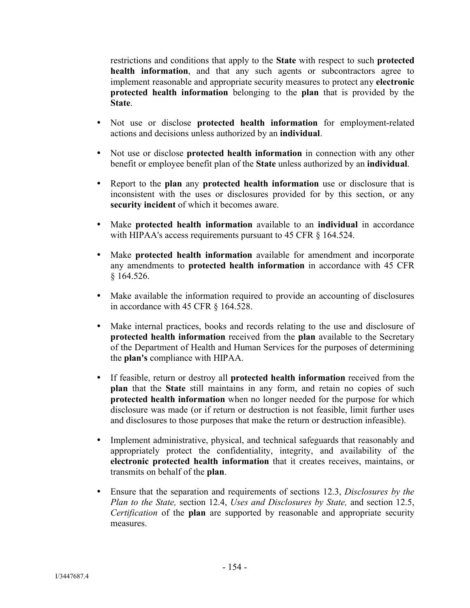restrictions and conditions that apply to the **State** with respect to such **protected health information**, and that any such agents or subcontractors agree to implement reasonable and appropriate security measures to protect any **electronic protected health information** belonging to the **plan** that is provided by the **State**.

- Not use or disclose **protected health information** for employment-related actions and decisions unless authorized by an **individual**.
- Not use or disclose **protected health information** in connection with any other benefit or employee benefit plan of the **State** unless authorized by an **individual**.
- Report to the **plan** any **protected health information** use or disclosure that is inconsistent with the uses or disclosures provided for by this section, or any **security incident** of which it becomes aware.
- Make **protected health information** available to an **individual** in accordance with HIPAA's access requirements pursuant to 45 CFR § 164.524.
- Make **protected health information** available for amendment and incorporate any amendments to **protected health information** in accordance with 45 CFR § 164.526.
- Make available the information required to provide an accounting of disclosures in accordance with 45 CFR § 164.528.
- Make internal practices, books and records relating to the use and disclosure of **protected health information** received from the **plan** available to the Secretary of the Department of Health and Human Services for the purposes of determining the **plan's** compliance with HIPAA.
- If feasible, return or destroy all **protected health information** received from the **plan** that the **State** still maintains in any form, and retain no copies of such **protected health information** when no longer needed for the purpose for which disclosure was made (or if return or destruction is not feasible, limit further uses and disclosures to those purposes that make the return or destruction infeasible).
- Implement administrative, physical, and technical safeguards that reasonably and appropriately protect the confidentiality, integrity, and availability of the **electronic protected health information** that it creates receives, maintains, or transmits on behalf of the **plan**.
- Ensure that the separation and requirements of sections 12.3, *Disclosures by the Plan to the State,* section 12.4, *Uses and Disclosures by State,* and section 12.5, *Certification* of the **plan** are supported by reasonable and appropriate security measures.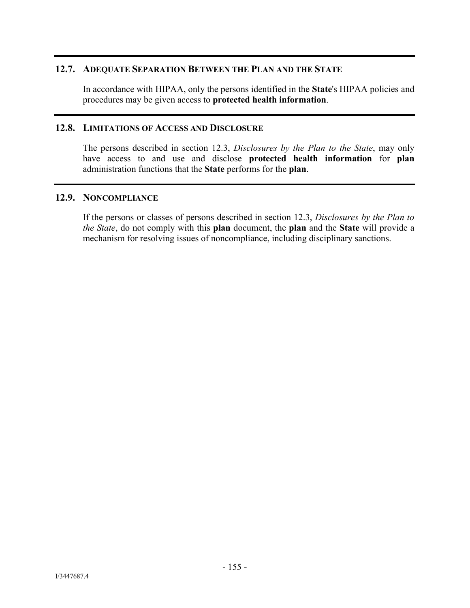#### **12.7. ADEQUATE SEPARATION BETWEEN THE PLAN AND THE STATE**

In accordance with HIPAA, only the persons identified in the **State**'s HIPAA policies and procedures may be given access to **protected health information**.

#### **12.8. LIMITATIONS OF ACCESS AND DISCLOSURE**

The persons described in section 12.3, *Disclosures by the Plan to the State*, may only have access to and use and disclose **protected health information** for **plan** administration functions that the **State** performs for the **plan**.

#### **12.9. NONCOMPLIANCE**

If the persons or classes of persons described in section 12.3, *Disclosures by the Plan to the State*, do not comply with this **plan** document, the **plan** and the **State** will provide a mechanism for resolving issues of noncompliance, including disciplinary sanctions.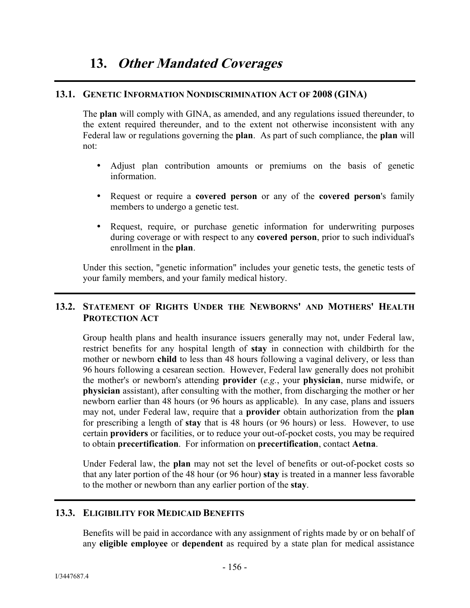## **13.1. GENETIC INFORMATION NONDISCRIMINATION ACT OF 2008 (GINA)**

The **plan** will comply with GINA, as amended, and any regulations issued thereunder, to the extent required thereunder, and to the extent not otherwise inconsistent with any Federal law or regulations governing the **plan**. As part of such compliance, the **plan** will not:

- Adjust plan contribution amounts or premiums on the basis of genetic information.
- Request or require a **covered person** or any of the **covered person**'s family members to undergo a genetic test.
- Request, require, or purchase genetic information for underwriting purposes during coverage or with respect to any **covered person**, prior to such individual's enrollment in the **plan**.

Under this section, "genetic information" includes your genetic tests, the genetic tests of your family members, and your family medical history.

# **13.2. STATEMENT OF RIGHTS UNDER THE NEWBORNS' AND MOTHERS' HEALTH PROTECTION ACT**

Group health plans and health insurance issuers generally may not, under Federal law, restrict benefits for any hospital length of **stay** in connection with childbirth for the mother or newborn **child** to less than 48 hours following a vaginal delivery, or less than 96 hours following a cesarean section. However, Federal law generally does not prohibit the mother's or newborn's attending **provider** (*e.g.*, your **physician**, nurse midwife, or **physician** assistant), after consulting with the mother, from discharging the mother or her newborn earlier than 48 hours (or 96 hours as applicable). In any case, plans and issuers may not, under Federal law, require that a **provider** obtain authorization from the **plan** for prescribing a length of **stay** that is 48 hours (or 96 hours) or less. However, to use certain **providers** or facilities, or to reduce your out-of-pocket costs, you may be required to obtain **precertification**. For information on **precertification**, contact **Aetna**.

Under Federal law, the **plan** may not set the level of benefits or out-of-pocket costs so that any later portion of the 48 hour (or 96 hour) **stay** is treated in a manner less favorable to the mother or newborn than any earlier portion of the **stay**.

#### **13.3. ELIGIBILITY FOR MEDICAID BENEFITS**

Benefits will be paid in accordance with any assignment of rights made by or on behalf of any **eligible employee** or **dependent** as required by a state plan for medical assistance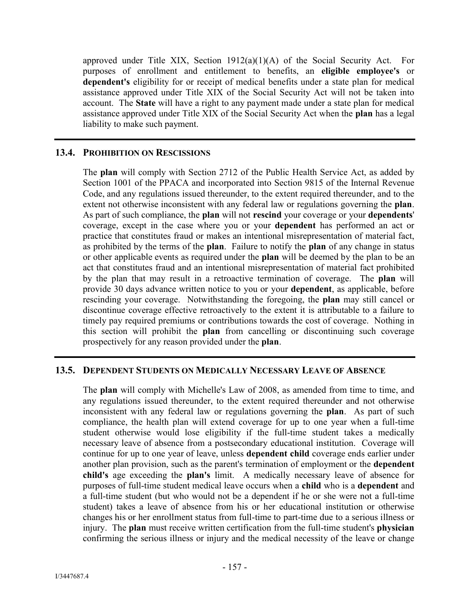approved under Title XIX, Section 1912(a)(1)(A) of the Social Security Act. For purposes of enrollment and entitlement to benefits, an **eligible employee's** or **dependent's** eligibility for or receipt of medical benefits under a state plan for medical assistance approved under Title XIX of the Social Security Act will not be taken into account. The **State** will have a right to any payment made under a state plan for medical assistance approved under Title XIX of the Social Security Act when the **plan** has a legal liability to make such payment.

## **13.4. PROHIBITION ON RESCISSIONS**

The **plan** will comply with Section 2712 of the Public Health Service Act, as added by Section 1001 of the PPACA and incorporated into Section 9815 of the Internal Revenue Code, and any regulations issued thereunder, to the extent required thereunder, and to the extent not otherwise inconsistent with any federal law or regulations governing the **plan**. As part of such compliance, the **plan** will not **rescind** your coverage or your **dependents**' coverage, except in the case where you or your **dependent** has performed an act or practice that constitutes fraud or makes an intentional misrepresentation of material fact, as prohibited by the terms of the **plan**. Failure to notify the **plan** of any change in status or other applicable events as required under the **plan** will be deemed by the plan to be an act that constitutes fraud and an intentional misrepresentation of material fact prohibited by the plan that may result in a retroactive termination of coverage. The **plan** will provide 30 days advance written notice to you or your **dependent**, as applicable, before rescinding your coverage. Notwithstanding the foregoing, the **plan** may still cancel or discontinue coverage effective retroactively to the extent it is attributable to a failure to timely pay required premiums or contributions towards the cost of coverage. Nothing in this section will prohibit the **plan** from cancelling or discontinuing such coverage prospectively for any reason provided under the **plan**.

#### **13.5. DEPENDENT STUDENTS ON MEDICALLY NECESSARY LEAVE OF ABSENCE**

The **plan** will comply with Michelle's Law of 2008, as amended from time to time, and any regulations issued thereunder, to the extent required thereunder and not otherwise inconsistent with any federal law or regulations governing the **plan**. As part of such compliance, the health plan will extend coverage for up to one year when a full-time student otherwise would lose eligibility if the full-time student takes a medically necessary leave of absence from a postsecondary educational institution. Coverage will continue for up to one year of leave, unless **dependent child** coverage ends earlier under another plan provision, such as the parent's termination of employment or the **dependent child's** age exceeding the **plan's** limit. A medically necessary leave of absence for purposes of full-time student medical leave occurs when a **child** who is a **dependent** and a full-time student (but who would not be a dependent if he or she were not a full-time student) takes a leave of absence from his or her educational institution or otherwise changes his or her enrollment status from full-time to part-time due to a serious illness or injury. The **plan** must receive written certification from the full-time student's **physician** confirming the serious illness or injury and the medical necessity of the leave or change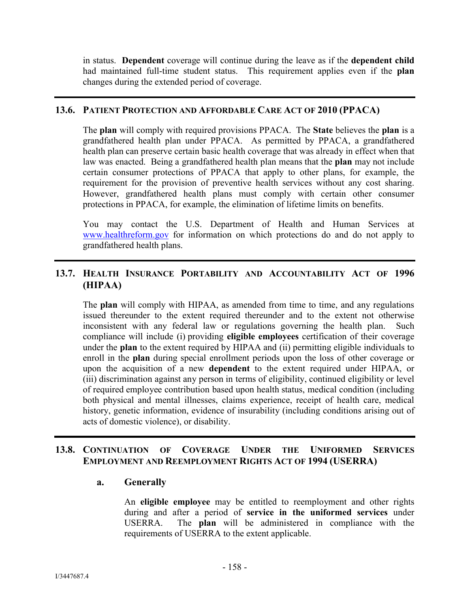in status. **Dependent** coverage will continue during the leave as if the **dependent child** had maintained full-time student status. This requirement applies even if the **plan** changes during the extended period of coverage.

#### **13.6. PATIENT PROTECTION AND AFFORDABLE CARE ACT OF 2010 (PPACA)**

The **plan** will comply with required provisions PPACA. The **State** believes the **plan** is a grandfathered health plan under PPACA. As permitted by PPACA, a grandfathered health plan can preserve certain basic health coverage that was already in effect when that law was enacted. Being a grandfathered health plan means that the **plan** may not include certain consumer protections of PPACA that apply to other plans, for example, the requirement for the provision of preventive health services without any cost sharing. However, grandfathered health plans must comply with certain other consumer protections in PPACA, for example, the elimination of lifetime limits on benefits.

You may contact the U.S. Department of Health and Human Services at www.healthreform.gov for information on which protections do and do not apply to grandfathered health plans.

# **13.7. HEALTH INSURANCE PORTABILITY AND ACCOUNTABILITY ACT OF 1996 (HIPAA)**

The **plan** will comply with HIPAA, as amended from time to time, and any regulations issued thereunder to the extent required thereunder and to the extent not otherwise inconsistent with any federal law or regulations governing the health plan. Such compliance will include (i) providing **eligible employees** certification of their coverage under the **plan** to the extent required by HIPAA and (ii) permitting eligible individuals to enroll in the **plan** during special enrollment periods upon the loss of other coverage or upon the acquisition of a new **dependent** to the extent required under HIPAA, or (iii) discrimination against any person in terms of eligibility, continued eligibility or level of required employee contribution based upon health status, medical condition (including both physical and mental illnesses, claims experience, receipt of health care, medical history, genetic information, evidence of insurability (including conditions arising out of acts of domestic violence), or disability.

# **13.8. CONTINUATION OF COVERAGE UNDER THE UNIFORMED SERVICES EMPLOYMENT AND REEMPLOYMENT RIGHTS ACT OF 1994 (USERRA)**

#### **a. Generally**

An **eligible employee** may be entitled to reemployment and other rights during and after a period of **service in the uniformed services** under USERRA. The **plan** will be administered in compliance with the requirements of USERRA to the extent applicable.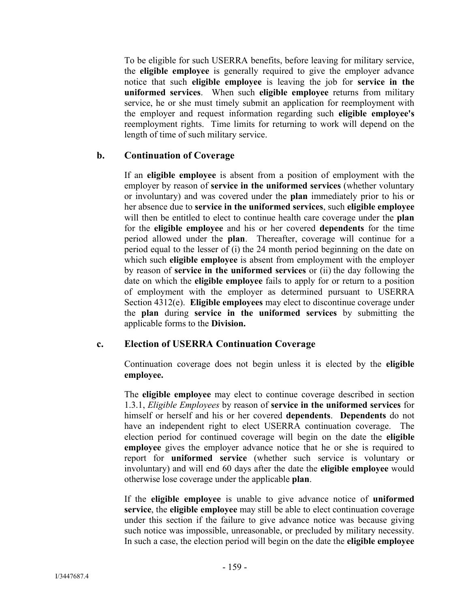To be eligible for such USERRA benefits, before leaving for military service, the **eligible employee** is generally required to give the employer advance notice that such **eligible employee** is leaving the job for **service in the uniformed services**. When such **eligible employee** returns from military service, he or she must timely submit an application for reemployment with the employer and request information regarding such **eligible employee's**  reemployment rights. Time limits for returning to work will depend on the length of time of such military service.

## **b. Continuation of Coverage**

If an **eligible employee** is absent from a position of employment with the employer by reason of **service in the uniformed services** (whether voluntary or involuntary) and was covered under the **plan** immediately prior to his or her absence due to **service in the uniformed services**, such **eligible employee** will then be entitled to elect to continue health care coverage under the **plan** for the **eligible employee** and his or her covered **dependents** for the time period allowed under the **plan**. Thereafter, coverage will continue for a period equal to the lesser of (i) the 24 month period beginning on the date on which such **eligible employee** is absent from employment with the employer by reason of **service in the uniformed services** or (ii) the day following the date on which the **eligible employee** fails to apply for or return to a position of employment with the employer as determined pursuant to USERRA Section 4312(e). **Eligible employees** may elect to discontinue coverage under the **plan** during **service in the uniformed services** by submitting the applicable forms to the **Division.**

#### **c. Election of USERRA Continuation Coverage**

Continuation coverage does not begin unless it is elected by the **eligible employee.**

The **eligible employee** may elect to continue coverage described in section 1.3.1, *Eligible Employees* by reason of **service in the uniformed services** for himself or herself and his or her covered **dependents**. **Dependents** do not have an independent right to elect USERRA continuation coverage. The election period for continued coverage will begin on the date the **eligible employee** gives the employer advance notice that he or she is required to report for **uniformed service** (whether such service is voluntary or involuntary) and will end 60 days after the date the **eligible employee** would otherwise lose coverage under the applicable **plan**.

If the **eligible employee** is unable to give advance notice of **uniformed service**, the **eligible employee** may still be able to elect continuation coverage under this section if the failure to give advance notice was because giving such notice was impossible, unreasonable, or precluded by military necessity. In such a case, the election period will begin on the date the **eligible employee**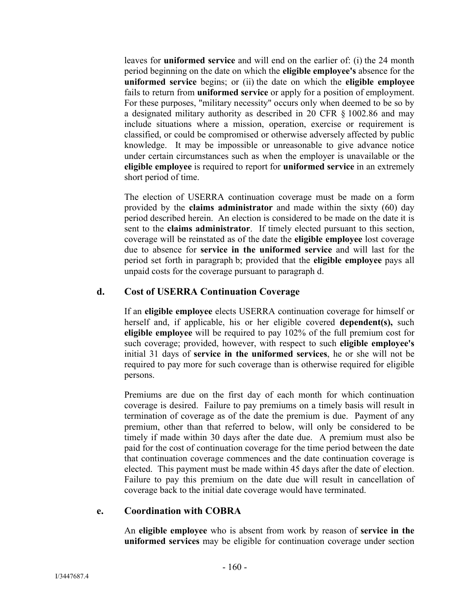leaves for **uniformed service** and will end on the earlier of: (i) the 24 month period beginning on the date on which the **eligible employee's** absence for the **uniformed service** begins; or (ii) the date on which the **eligible employee** fails to return from **uniformed service** or apply for a position of employment. For these purposes, "military necessity" occurs only when deemed to be so by a designated military authority as described in 20 CFR § 1002.86 and may include situations where a mission, operation, exercise or requirement is classified, or could be compromised or otherwise adversely affected by public knowledge. It may be impossible or unreasonable to give advance notice under certain circumstances such as when the employer is unavailable or the **eligible employee** is required to report for **uniformed service** in an extremely short period of time.

The election of USERRA continuation coverage must be made on a form provided by the **claims administrator** and made within the sixty (60) day period described herein. An election is considered to be made on the date it is sent to the **claims administrator**. If timely elected pursuant to this section, coverage will be reinstated as of the date the **eligible employee** lost coverage due to absence for **service in the uniformed service** and will last for the period set forth in paragraph b; provided that the **eligible employee** pays all unpaid costs for the coverage pursuant to paragraph d.

## **d. Cost of USERRA Continuation Coverage**

If an **eligible employee** elects USERRA continuation coverage for himself or herself and, if applicable, his or her eligible covered **dependent(s),** such **eligible employee** will be required to pay 102% of the full premium cost for such coverage; provided, however, with respect to such **eligible employee's** initial 31 days of **service in the uniformed services**, he or she will not be required to pay more for such coverage than is otherwise required for eligible persons.

Premiums are due on the first day of each month for which continuation coverage is desired. Failure to pay premiums on a timely basis will result in termination of coverage as of the date the premium is due. Payment of any premium, other than that referred to below, will only be considered to be timely if made within 30 days after the date due. A premium must also be paid for the cost of continuation coverage for the time period between the date that continuation coverage commences and the date continuation coverage is elected. This payment must be made within 45 days after the date of election. Failure to pay this premium on the date due will result in cancellation of coverage back to the initial date coverage would have terminated.

#### **e. Coordination with COBRA**

An **eligible employee** who is absent from work by reason of **service in the uniformed services** may be eligible for continuation coverage under section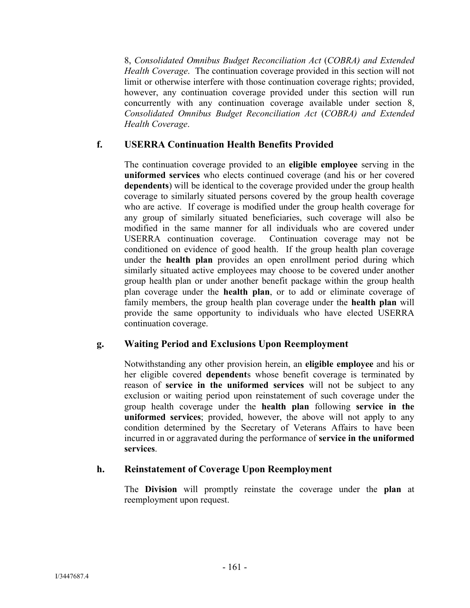8, *Consolidated Omnibus Budget Reconciliation Act* (*COBRA) and Extended Health Coverage*. The continuation coverage provided in this section will not limit or otherwise interfere with those continuation coverage rights; provided, however, any continuation coverage provided under this section will run concurrently with any continuation coverage available under section 8, *Consolidated Omnibus Budget Reconciliation Act* (*COBRA) and Extended Health Coverage*.

# **f. USERRA Continuation Health Benefits Provided**

The continuation coverage provided to an **eligible employee** serving in the **uniformed services** who elects continued coverage (and his or her covered **dependents**) will be identical to the coverage provided under the group health coverage to similarly situated persons covered by the group health coverage who are active. If coverage is modified under the group health coverage for any group of similarly situated beneficiaries, such coverage will also be modified in the same manner for all individuals who are covered under USERRA continuation coverage. Continuation coverage may not be conditioned on evidence of good health. If the group health plan coverage under the **health plan** provides an open enrollment period during which similarly situated active employees may choose to be covered under another group health plan or under another benefit package within the group health plan coverage under the **health plan**, or to add or eliminate coverage of family members, the group health plan coverage under the **health plan** will provide the same opportunity to individuals who have elected USERRA continuation coverage.

## **g. Waiting Period and Exclusions Upon Reemployment**

Notwithstanding any other provision herein, an **eligible employee** and his or her eligible covered **dependent**s whose benefit coverage is terminated by reason of **service in the uniformed services** will not be subject to any exclusion or waiting period upon reinstatement of such coverage under the group health coverage under the **health plan** following **service in the uniformed services**; provided, however, the above will not apply to any condition determined by the Secretary of Veterans Affairs to have been incurred in or aggravated during the performance of **service in the uniformed services**.

## **h. Reinstatement of Coverage Upon Reemployment**

The **Division** will promptly reinstate the coverage under the **plan** at reemployment upon request.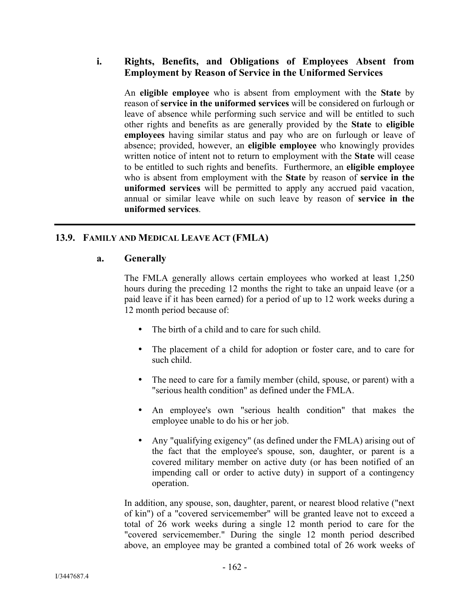## **i. Rights, Benefits, and Obligations of Employees Absent from Employment by Reason of Service in the Uniformed Services**

An **eligible employee** who is absent from employment with the **State** by reason of **service in the uniformed services** will be considered on furlough or leave of absence while performing such service and will be entitled to such other rights and benefits as are generally provided by the **State** to **eligible employees** having similar status and pay who are on furlough or leave of absence; provided, however, an **eligible employee** who knowingly provides written notice of intent not to return to employment with the **State** will cease to be entitled to such rights and benefits. Furthermore, an **eligible employee** who is absent from employment with the **State** by reason of **service in the uniformed services** will be permitted to apply any accrued paid vacation, annual or similar leave while on such leave by reason of **service in the uniformed services**.

# **13.9. FAMILY AND MEDICAL LEAVE ACT (FMLA)**

#### **a. Generally**

The FMLA generally allows certain employees who worked at least 1,250 hours during the preceding 12 months the right to take an unpaid leave (or a paid leave if it has been earned) for a period of up to 12 work weeks during a 12 month period because of:

- The birth of a child and to care for such child.
- The placement of a child for adoption or foster care, and to care for such child.
- The need to care for a family member (child, spouse, or parent) with a "serious health condition" as defined under the FMLA.
- An employee's own "serious health condition" that makes the employee unable to do his or her job.
- Any "qualifying exigency" (as defined under the FMLA) arising out of the fact that the employee's spouse, son, daughter, or parent is a covered military member on active duty (or has been notified of an impending call or order to active duty) in support of a contingency operation.

In addition, any spouse, son, daughter, parent, or nearest blood relative ("next of kin") of a "covered servicemember" will be granted leave not to exceed a total of 26 work weeks during a single 12 month period to care for the "covered servicemember." During the single 12 month period described above, an employee may be granted a combined total of 26 work weeks of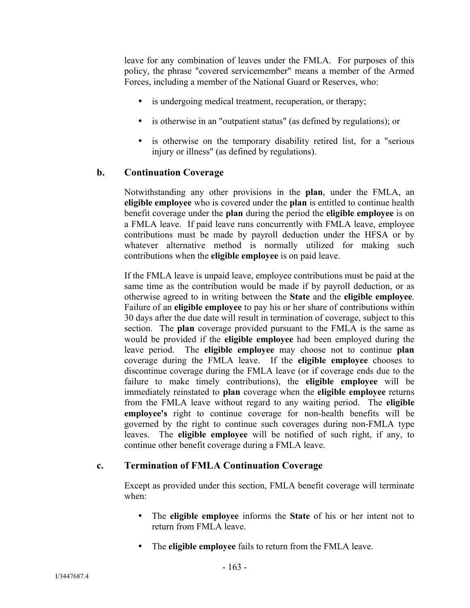leave for any combination of leaves under the FMLA. For purposes of this policy, the phrase "covered servicemember" means a member of the Armed Forces, including a member of the National Guard or Reserves, who:

- is undergoing medical treatment, recuperation, or therapy;
- is otherwise in an "outpatient status" (as defined by regulations); or
- is otherwise on the temporary disability retired list, for a "serious injury or illness" (as defined by regulations).

## **b. Continuation Coverage**

Notwithstanding any other provisions in the **plan**, under the FMLA, an **eligible employee** who is covered under the **plan** is entitled to continue health benefit coverage under the **plan** during the period the **eligible employee** is on a FMLA leave. If paid leave runs concurrently with FMLA leave, employee contributions must be made by payroll deduction under the HFSA or by whatever alternative method is normally utilized for making such contributions when the **eligible employee** is on paid leave.

If the FMLA leave is unpaid leave, employee contributions must be paid at the same time as the contribution would be made if by payroll deduction, or as otherwise agreed to in writing between the **State** and the **eligible employee**. Failure of an **eligible employee** to pay his or her share of contributions within 30 days after the due date will result in termination of coverage, subject to this section. The **plan** coverage provided pursuant to the FMLA is the same as would be provided if the **eligible employee** had been employed during the leave period. The **eligible employee** may choose not to continue **plan** coverage during the FMLA leave. If the **eligible employee** chooses to discontinue coverage during the FMLA leave (or if coverage ends due to the failure to make timely contributions), the **eligible employee** will be immediately reinstated to **plan** coverage when the **eligible employee** returns from the FMLA leave without regard to any waiting period. The **eligible employee's** right to continue coverage for non-health benefits will be governed by the right to continue such coverages during non-FMLA type leaves. The **eligible employee** will be notified of such right, if any, to continue other benefit coverage during a FMLA leave.

## **c. Termination of FMLA Continuation Coverage**

Except as provided under this section, FMLA benefit coverage will terminate when:

- The **eligible employee** informs the **State** of his or her intent not to return from FMLA leave.
- The **eligible employee** fails to return from the FMLA leave.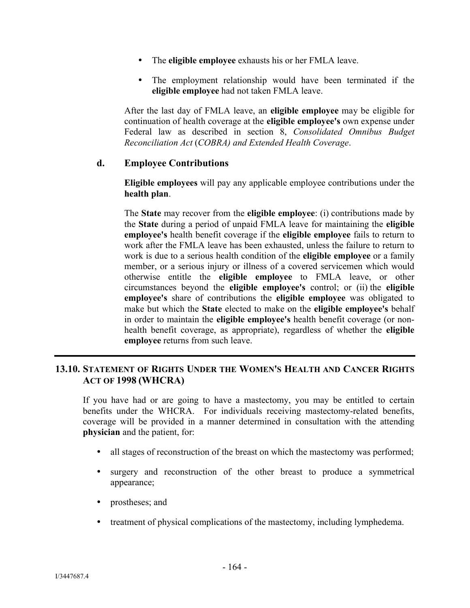- The **eligible employee** exhausts his or her FMLA leave.
- The employment relationship would have been terminated if the **eligible employee** had not taken FMLA leave.

After the last day of FMLA leave, an **eligible employee** may be eligible for continuation of health coverage at the **eligible employee's** own expense under Federal law as described in section 8, *Consolidated Omnibus Budget Reconciliation Act* (*COBRA) and Extended Health Coverage*.

#### **d. Employee Contributions**

**Eligible employees** will pay any applicable employee contributions under the **health plan**.

The **State** may recover from the **eligible employee**: (i) contributions made by the **State** during a period of unpaid FMLA leave for maintaining the **eligible employee's** health benefit coverage if the **eligible employee** fails to return to work after the FMLA leave has been exhausted, unless the failure to return to work is due to a serious health condition of the **eligible employee** or a family member, or a serious injury or illness of a covered servicemen which would otherwise entitle the **eligible employee** to FMLA leave, or other circumstances beyond the **eligible employee's** control; or (ii) the **eligible employee's** share of contributions the **eligible employee** was obligated to make but which the **State** elected to make on the **eligible employee's** behalf in order to maintain the **eligible employee's** health benefit coverage (or nonhealth benefit coverage, as appropriate), regardless of whether the **eligible employee** returns from such leave.

## **13.10. STATEMENT OF RIGHTS UNDER THE WOMEN'S HEALTH AND CANCER RIGHTS ACT OF 1998 (WHCRA)**

If you have had or are going to have a mastectomy, you may be entitled to certain benefits under the WHCRA. For individuals receiving mastectomy-related benefits, coverage will be provided in a manner determined in consultation with the attending **physician** and the patient, for:

- all stages of reconstruction of the breast on which the mastectomy was performed;
- surgery and reconstruction of the other breast to produce a symmetrical appearance;
- prostheses; and
- treatment of physical complications of the mastectomy, including lymphedema.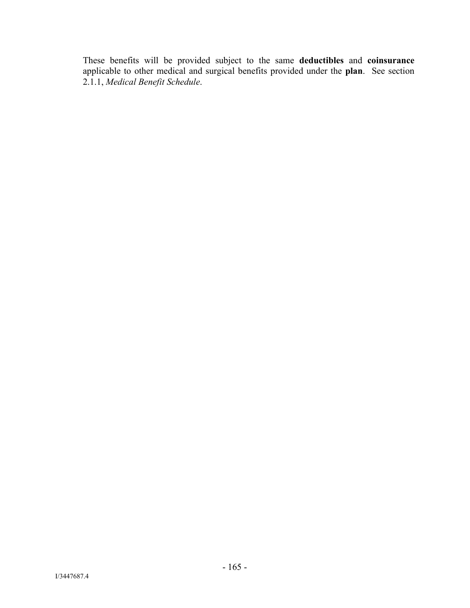These benefits will be provided subject to the same **deductibles** and **coinsurance** applicable to other medical and surgical benefits provided under the **plan**. See section 2.1.1, *Medical Benefit Schedule*.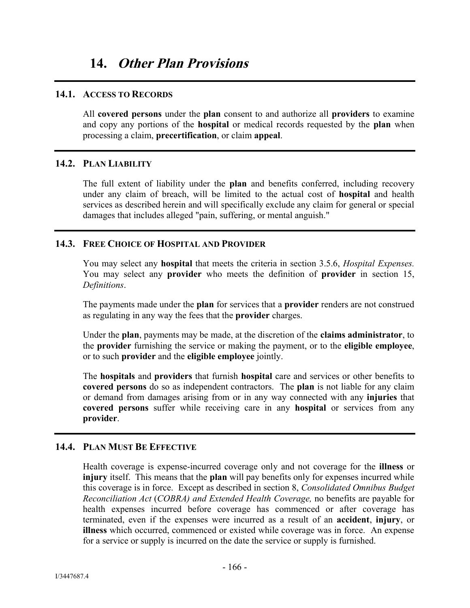#### **14.1. ACCESS TO RECORDS**

All **covered persons** under the **plan** consent to and authorize all **providers** to examine and copy any portions of the **hospital** or medical records requested by the **plan** when processing a claim, **precertification**, or claim **appeal**.

## **14.2. PLAN LIABILITY**

The full extent of liability under the **plan** and benefits conferred, including recovery under any claim of breach, will be limited to the actual cost of **hospital** and health services as described herein and will specifically exclude any claim for general or special damages that includes alleged "pain, suffering, or mental anguish."

## **14.3. FREE CHOICE OF HOSPITAL AND PROVIDER**

You may select any **hospital** that meets the criteria in section 3.5.6, *Hospital Expenses.*  You may select any **provider** who meets the definition of **provider** in section 15, *Definitions*.

The payments made under the **plan** for services that a **provider** renders are not construed as regulating in any way the fees that the **provider** charges.

Under the **plan**, payments may be made, at the discretion of the **claims administrator**, to the **provider** furnishing the service or making the payment, or to the **eligible employee**, or to such **provider** and the **eligible employee** jointly.

The **hospitals** and **providers** that furnish **hospital** care and services or other benefits to **covered persons** do so as independent contractors. The **plan** is not liable for any claim or demand from damages arising from or in any way connected with any **injuries** that **covered persons** suffer while receiving care in any **hospital** or services from any **provider**.

## **14.4. PLAN MUST BE EFFECTIVE**

Health coverage is expense-incurred coverage only and not coverage for the **illness** or **injury** itself. This means that the **plan** will pay benefits only for expenses incurred while this coverage is in force. Except as described in section 8, *Consolidated Omnibus Budget Reconciliation Act* (*COBRA) and Extended Health Coverage,* no benefits are payable for health expenses incurred before coverage has commenced or after coverage has terminated, even if the expenses were incurred as a result of an **accident**, **injury**, or **illness** which occurred, commenced or existed while coverage was in force. An expense for a service or supply is incurred on the date the service or supply is furnished.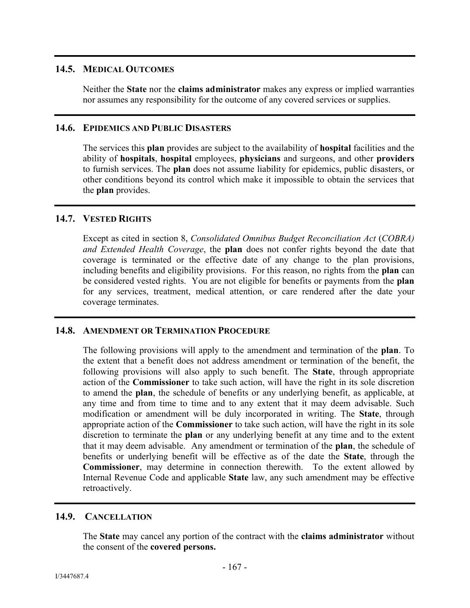## **14.5. MEDICAL OUTCOMES**

Neither the **State** nor the **claims administrator** makes any express or implied warranties nor assumes any responsibility for the outcome of any covered services or supplies.

## **14.6. EPIDEMICS AND PUBLIC DISASTERS**

The services this **plan** provides are subject to the availability of **hospital** facilities and the ability of **hospitals**, **hospital** employees, **physicians** and surgeons, and other **providers** to furnish services. The **plan** does not assume liability for epidemics, public disasters, or other conditions beyond its control which make it impossible to obtain the services that the **plan** provides.

## **14.7. VESTED RIGHTS**

Except as cited in section 8, *Consolidated Omnibus Budget Reconciliation Act* (*COBRA) and Extended Health Coverage*, the **plan** does not confer rights beyond the date that coverage is terminated or the effective date of any change to the plan provisions, including benefits and eligibility provisions. For this reason, no rights from the **plan** can be considered vested rights. You are not eligible for benefits or payments from the **plan**  for any services, treatment, medical attention, or care rendered after the date your coverage terminates.

## **14.8. AMENDMENT OR TERMINATION PROCEDURE**

The following provisions will apply to the amendment and termination of the **plan**. To the extent that a benefit does not address amendment or termination of the benefit, the following provisions will also apply to such benefit. The **State**, through appropriate action of the **Commissioner** to take such action, will have the right in its sole discretion to amend the **plan**, the schedule of benefits or any underlying benefit, as applicable, at any time and from time to time and to any extent that it may deem advisable. Such modification or amendment will be duly incorporated in writing. The **State**, through appropriate action of the **Commissioner** to take such action, will have the right in its sole discretion to terminate the **plan** or any underlying benefit at any time and to the extent that it may deem advisable. Any amendment or termination of the **plan**, the schedule of benefits or underlying benefit will be effective as of the date the **State**, through the **Commissioner**, may determine in connection therewith. To the extent allowed by Internal Revenue Code and applicable **State** law, any such amendment may be effective retroactively.

# **14.9. CANCELLATION**

The **State** may cancel any portion of the contract with the **claims administrator** without the consent of the **covered persons.**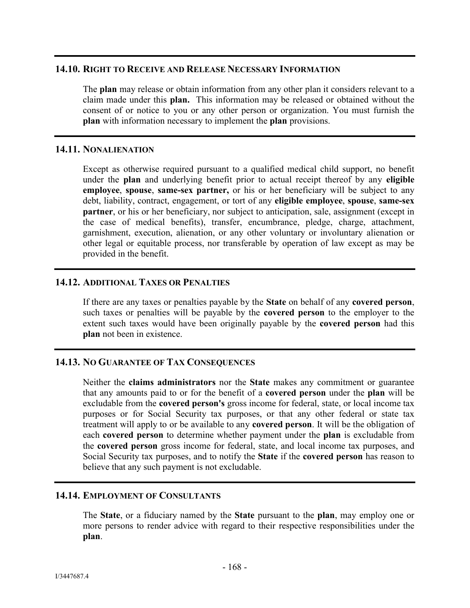## **14.10. RIGHT TO RECEIVE AND RELEASE NECESSARY INFORMATION**

The **plan** may release or obtain information from any other plan it considers relevant to a claim made under this **plan.** This information may be released or obtained without the consent of or notice to you or any other person or organization. You must furnish the **plan** with information necessary to implement the **plan** provisions.

## **14.11. NONALIENATION**

Except as otherwise required pursuant to a qualified medical child support, no benefit under the **plan** and underlying benefit prior to actual receipt thereof by any **eligible employee**, **spouse**, **same-sex partner,** or his or her beneficiary will be subject to any debt, liability, contract, engagement, or tort of any **eligible employee**, **spouse**, **same-sex partner**, or his or her beneficiary, nor subject to anticipation, sale, assignment (except in the case of medical benefits), transfer, encumbrance, pledge, charge, attachment, garnishment, execution, alienation, or any other voluntary or involuntary alienation or other legal or equitable process, nor transferable by operation of law except as may be provided in the benefit.

## **14.12. ADDITIONAL TAXES OR PENALTIES**

If there are any taxes or penalties payable by the **State** on behalf of any **covered person**, such taxes or penalties will be payable by the **covered person** to the employer to the extent such taxes would have been originally payable by the **covered person** had this **plan** not been in existence.

## **14.13. NO GUARANTEE OF TAX CONSEQUENCES**

Neither the **claims administrators** nor the **State** makes any commitment or guarantee that any amounts paid to or for the benefit of a **covered person** under the **plan** will be excludable from the **covered person's** gross income for federal, state, or local income tax purposes or for Social Security tax purposes, or that any other federal or state tax treatment will apply to or be available to any **covered person**. It will be the obligation of each **covered person** to determine whether payment under the **plan** is excludable from the **covered person** gross income for federal, state, and local income tax purposes, and Social Security tax purposes, and to notify the **State** if the **covered person** has reason to believe that any such payment is not excludable.

### **14.14. EMPLOYMENT OF CONSULTANTS**

The **State**, or a fiduciary named by the **State** pursuant to the **plan**, may employ one or more persons to render advice with regard to their respective responsibilities under the **plan**.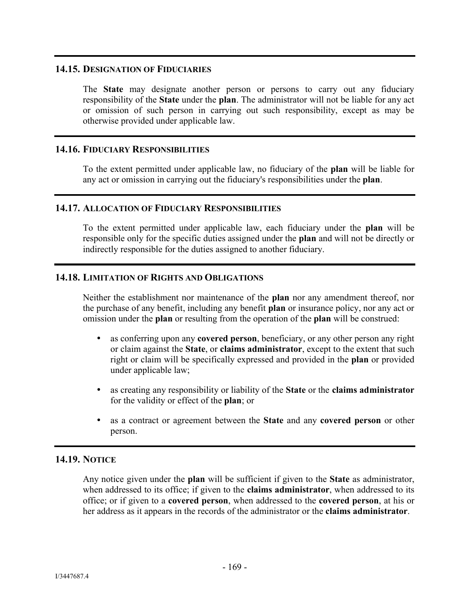#### **14.15. DESIGNATION OF FIDUCIARIES**

The **State** may designate another person or persons to carry out any fiduciary responsibility of the **State** under the **plan**. The administrator will not be liable for any act or omission of such person in carrying out such responsibility, except as may be otherwise provided under applicable law.

## **14.16. FIDUCIARY RESPONSIBILITIES**

To the extent permitted under applicable law, no fiduciary of the **plan** will be liable for any act or omission in carrying out the fiduciary's responsibilities under the **plan**.

#### **14.17. ALLOCATION OF FIDUCIARY RESPONSIBILITIES**

To the extent permitted under applicable law, each fiduciary under the **plan** will be responsible only for the specific duties assigned under the **plan** and will not be directly or indirectly responsible for the duties assigned to another fiduciary.

## **14.18. LIMITATION OF RIGHTS AND OBLIGATIONS**

Neither the establishment nor maintenance of the **plan** nor any amendment thereof, nor the purchase of any benefit, including any benefit **plan** or insurance policy, nor any act or omission under the **plan** or resulting from the operation of the **plan** will be construed:

- as conferring upon any **covered person**, beneficiary, or any other person any right or claim against the **State**, or **claims administrator**, except to the extent that such right or claim will be specifically expressed and provided in the **plan** or provided under applicable law;
- as creating any responsibility or liability of the **State** or the **claims administrator** for the validity or effect of the **plan**; or
- as a contract or agreement between the **State** and any **covered person** or other person.

## **14.19. NOTICE**

Any notice given under the **plan** will be sufficient if given to the **State** as administrator, when addressed to its office; if given to the **claims administrator**, when addressed to its office; or if given to a **covered person**, when addressed to the **covered person**, at his or her address as it appears in the records of the administrator or the **claims administrator**.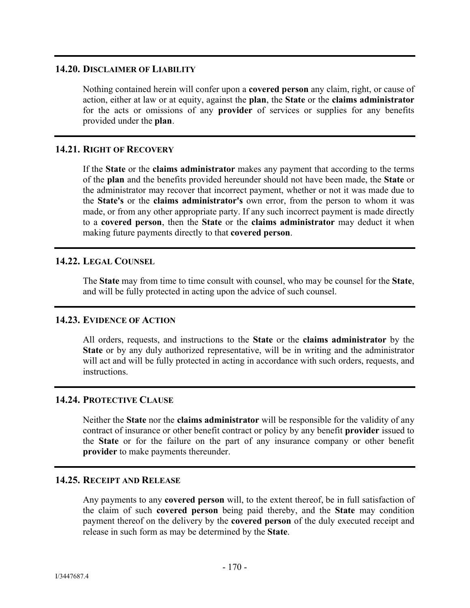### **14.20. DISCLAIMER OF LIABILITY**

Nothing contained herein will confer upon a **covered person** any claim, right, or cause of action, either at law or at equity, against the **plan**, the **State** or the **claims administrator** for the acts or omissions of any **provider** of services or supplies for any benefits provided under the **plan**.

## **14.21. RIGHT OF RECOVERY**

If the **State** or the **claims administrator** makes any payment that according to the terms of the **plan** and the benefits provided hereunder should not have been made, the **State** or the administrator may recover that incorrect payment, whether or not it was made due to the **State's** or the **claims administrator's** own error, from the person to whom it was made, or from any other appropriate party. If any such incorrect payment is made directly to a **covered person**, then the **State** or the **claims administrator** may deduct it when making future payments directly to that **covered person**.

## **14.22. LEGAL COUNSEL**

The **State** may from time to time consult with counsel, who may be counsel for the **State**, and will be fully protected in acting upon the advice of such counsel.

## **14.23. EVIDENCE OF ACTION**

All orders, requests, and instructions to the **State** or the **claims administrator** by the **State** or by any duly authorized representative, will be in writing and the administrator will act and will be fully protected in acting in accordance with such orders, requests, and instructions.

#### **14.24. PROTECTIVE CLAUSE**

Neither the **State** nor the **claims administrator** will be responsible for the validity of any contract of insurance or other benefit contract or policy by any benefit **provider** issued to the **State** or for the failure on the part of any insurance company or other benefit **provider** to make payments thereunder.

## **14.25. RECEIPT AND RELEASE**

Any payments to any **covered person** will, to the extent thereof, be in full satisfaction of the claim of such **covered person** being paid thereby, and the **State** may condition payment thereof on the delivery by the **covered person** of the duly executed receipt and release in such form as may be determined by the **State**.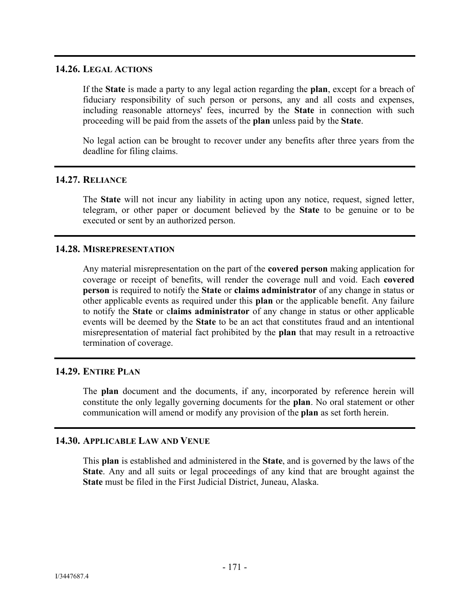### **14.26. LEGAL ACTIONS**

If the **State** is made a party to any legal action regarding the **plan**, except for a breach of fiduciary responsibility of such person or persons, any and all costs and expenses, including reasonable attorneys' fees, incurred by the **State** in connection with such proceeding will be paid from the assets of the **plan** unless paid by the **State**.

No legal action can be brought to recover under any benefits after three years from the deadline for filing claims.

## **14.27. RELIANCE**

The **State** will not incur any liability in acting upon any notice, request, signed letter, telegram, or other paper or document believed by the **State** to be genuine or to be executed or sent by an authorized person.

## **14.28. MISREPRESENTATION**

Any material misrepresentation on the part of the **covered person** making application for coverage or receipt of benefits, will render the coverage null and void. Each **covered person** is required to notify the **State** or **claims administrator** of any change in status or other applicable events as required under this **plan** or the applicable benefit. Any failure to notify the **State** or c**laims administrator** of any change in status or other applicable events will be deemed by the **State** to be an act that constitutes fraud and an intentional misrepresentation of material fact prohibited by the **plan** that may result in a retroactive termination of coverage.

#### **14.29. ENTIRE PLAN**

The **plan** document and the documents, if any, incorporated by reference herein will constitute the only legally governing documents for the **plan**. No oral statement or other communication will amend or modify any provision of the **plan** as set forth herein.

## **14.30. APPLICABLE LAW AND VENUE**

This **plan** is established and administered in the **State**, and is governed by the laws of the **State**. Any and all suits or legal proceedings of any kind that are brought against the **State** must be filed in the First Judicial District, Juneau, Alaska.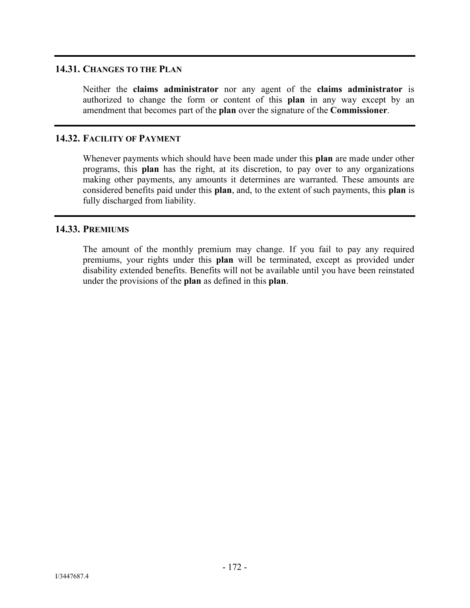## **14.31. CHANGES TO THE PLAN**

Neither the **claims administrator** nor any agent of the **claims administrator** is authorized to change the form or content of this **plan** in any way except by an amendment that becomes part of the **plan** over the signature of the **Commissioner**.

## **14.32. FACILITY OF PAYMENT**

Whenever payments which should have been made under this **plan** are made under other programs, this **plan** has the right, at its discretion, to pay over to any organizations making other payments, any amounts it determines are warranted. These amounts are considered benefits paid under this **plan**, and, to the extent of such payments, this **plan** is fully discharged from liability.

#### **14.33. PREMIUMS**

The amount of the monthly premium may change. If you fail to pay any required premiums, your rights under this **plan** will be terminated, except as provided under disability extended benefits. Benefits will not be available until you have been reinstated under the provisions of the **plan** as defined in this **plan**.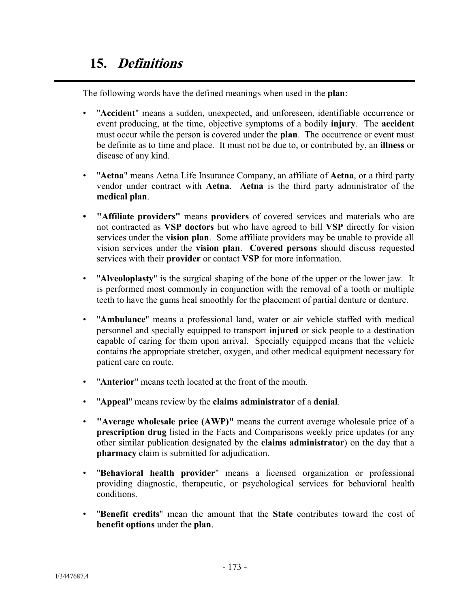The following words have the defined meanings when used in the **plan**:

- "**Accident**" means a sudden, unexpected, and unforeseen, identifiable occurrence or event producing, at the time, objective symptoms of a bodily **injury**. The **accident** must occur while the person is covered under the **plan**. The occurrence or event must be definite as to time and place. It must not be due to, or contributed by, an **illness** or disease of any kind.
- "**Aetna**" means Aetna Life Insurance Company, an affiliate of **Aetna**, or a third party vendor under contract with **Aetna**. **Aetna** is the third party administrator of the **medical plan**.
- **"Affiliate providers"** means **providers** of covered services and materials who are not contracted as **VSP doctors** but who have agreed to bill **VSP** directly for vision services under the **vision plan**. Some affiliate providers may be unable to provide all vision services under the **vision plan**. **Covered persons** should discuss requested services with their **provider** or contact **VSP** for more information.
- "**Alveoloplasty**" is the surgical shaping of the bone of the upper or the lower jaw. It is performed most commonly in conjunction with the removal of a tooth or multiple teeth to have the gums heal smoothly for the placement of partial denture or denture.
- "**Ambulance**" means a professional land, water or air vehicle staffed with medical personnel and specially equipped to transport **injured** or sick people to a destination capable of caring for them upon arrival. Specially equipped means that the vehicle contains the appropriate stretcher, oxygen, and other medical equipment necessary for patient care en route.
- "**Anterior**" means teeth located at the front of the mouth.
- "**Appeal**" means review by the **claims administrator** of a **denial**.
- **"Average wholesale price (AWP)"** means the current average wholesale price of a **prescription drug** listed in the Facts and Comparisons weekly price updates (or any other similar publication designated by the **claims administrator**) on the day that a **pharmacy** claim is submitted for adjudication.
- "**Behavioral health provider**" means a licensed organization or professional providing diagnostic, therapeutic, or psychological services for behavioral health conditions.
- "**Benefit credits**" mean the amount that the **State** contributes toward the cost of **benefit options** under the **plan**.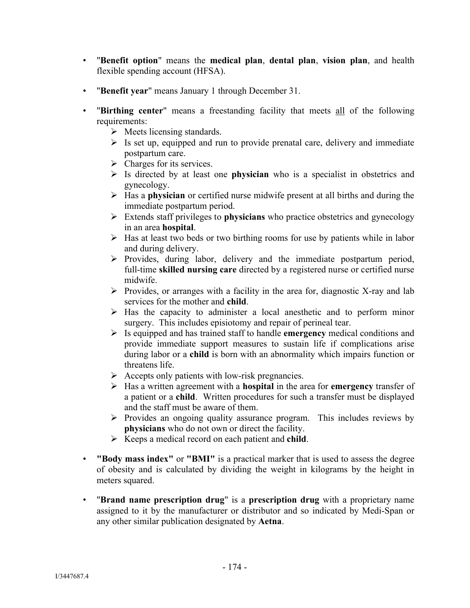- "**Benefit option**" means the **medical plan**, **dental plan**, **vision plan**, and health flexible spending account (HFSA).
- "**Benefit year**" means January 1 through December 31.
- "**Birthing center**" means a freestanding facility that meets all of the following requirements:
	- $\triangleright$  Meets licensing standards.
	- $\triangleright$  Is set up, equipped and run to provide prenatal care, delivery and immediate postpartum care.
	- $\triangleright$  Charges for its services.
	- Is directed by at least one **physician** who is a specialist in obstetrics and gynecology.
	- Has a **physician** or certified nurse midwife present at all births and during the immediate postpartum period.
	- Extends staff privileges to **physicians** who practice obstetrics and gynecology in an area **hospital**.
	- $\triangleright$  Has at least two beds or two birthing rooms for use by patients while in labor and during delivery.
	- $\triangleright$  Provides, during labor, delivery and the immediate postpartum period, full-time **skilled nursing care** directed by a registered nurse or certified nurse midwife.
	- $\triangleright$  Provides, or arranges with a facility in the area for, diagnostic X-ray and lab services for the mother and **child**.
	- $\triangleright$  Has the capacity to administer a local anesthetic and to perform minor surgery. This includes episiotomy and repair of perineal tear.
	- Is equipped and has trained staff to handle **emergency** medical conditions and provide immediate support measures to sustain life if complications arise during labor or a **child** is born with an abnormality which impairs function or threatens life.
	- $\triangleright$  Accepts only patients with low-risk pregnancies.
	- Has a written agreement with a **hospital** in the area for **emergency** transfer of a patient or a **child**. Written procedures for such a transfer must be displayed and the staff must be aware of them.
	- $\triangleright$  Provides an ongoing quality assurance program. This includes reviews by **physicians** who do not own or direct the facility.
	- Keeps a medical record on each patient and **child**.
- **"Body mass index"** or **"BMI"** is a practical marker that is used to assess the degree of obesity and is calculated by dividing the weight in kilograms by the height in meters squared.
- "**Brand name prescription drug**" is a **prescription drug** with a proprietary name assigned to it by the manufacturer or distributor and so indicated by Medi-Span or any other similar publication designated by **Aetna**.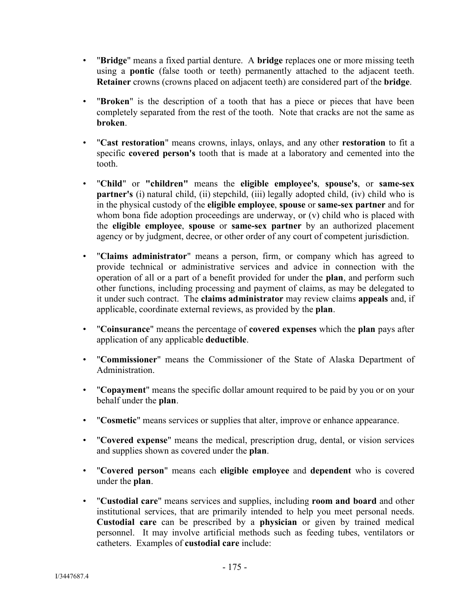- "**Bridge**" means a fixed partial denture. A **bridge** replaces one or more missing teeth using a **pontic** (false tooth or teeth) permanently attached to the adjacent teeth. **Retainer** crowns (crowns placed on adjacent teeth) are considered part of the **bridge**.
- "**Broken**" is the description of a tooth that has a piece or pieces that have been completely separated from the rest of the tooth. Note that cracks are not the same as **broken**.
- "**Cast restoration**" means crowns, inlays, onlays, and any other **restoration** to fit a specific **covered person's** tooth that is made at a laboratory and cemented into the tooth.
- "**Child**" or **"children"** means the **eligible employee's**, **spouse's**, or **same-sex partner's** (i) natural child, (ii) stepchild, (iii) legally adopted child, (iv) child who is in the physical custody of the **eligible employee**, **spouse** or **same-sex partner** and for whom bona fide adoption proceedings are underway, or (v) child who is placed with the **eligible employee**, **spouse** or **same-sex partner** by an authorized placement agency or by judgment, decree, or other order of any court of competent jurisdiction.
- "**Claims administrator**" means a person, firm, or company which has agreed to provide technical or administrative services and advice in connection with the operation of all or a part of a benefit provided for under the **plan**, and perform such other functions, including processing and payment of claims, as may be delegated to it under such contract. The **claims administrator** may review claims **appeals** and, if applicable, coordinate external reviews, as provided by the **plan**.
- "**Coinsurance**" means the percentage of **covered expenses** which the **plan** pays after application of any applicable **deductible**.
- "**Commissioner**" means the Commissioner of the State of Alaska Department of **Administration**
- "**Copayment**" means the specific dollar amount required to be paid by you or on your behalf under the **plan**.
- "**Cosmetic**" means services or supplies that alter, improve or enhance appearance.
- "**Covered expense**" means the medical, prescription drug, dental, or vision services and supplies shown as covered under the **plan**.
- "**Covered person**" means each **eligible employee** and **dependent** who is covered under the **plan**.
- "**Custodial care**" means services and supplies, including **room and board** and other institutional services, that are primarily intended to help you meet personal needs. **Custodial care** can be prescribed by a **physician** or given by trained medical personnel. It may involve artificial methods such as feeding tubes, ventilators or catheters. Examples of **custodial care** include: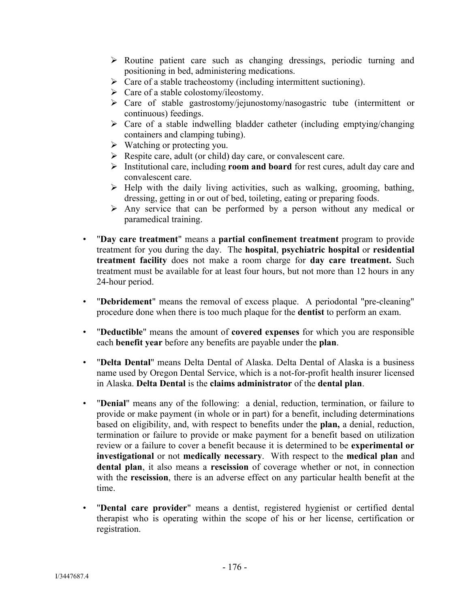- $\triangleright$  Routine patient care such as changing dressings, periodic turning and positioning in bed, administering medications.
- $\triangleright$  Care of a stable tracheostomy (including intermittent suctioning).
- $\triangleright$  Care of a stable colostomy/ileostomy.
- $\triangleright$  Care of stable gastrostomy/jejunostomy/nasogastric tube (intermittent or continuous) feedings.
- $\triangleright$  Care of a stable indwelling bladder catheter (including emptying/changing containers and clamping tubing).
- $\triangleright$  Watching or protecting you.
- $\triangleright$  Respite care, adult (or child) day care, or convalescent care.
- Institutional care, including **room and board** for rest cures, adult day care and convalescent care.
- $\triangleright$  Help with the daily living activities, such as walking, grooming, bathing, dressing, getting in or out of bed, toileting, eating or preparing foods.
- $\triangleright$  Any service that can be performed by a person without any medical or paramedical training.
- "**Day care treatment**" means a **partial confinement treatment** program to provide treatment for you during the day. The **hospital**, **psychiatric hospital** or **residential treatment facility** does not make a room charge for **day care treatment.** Such treatment must be available for at least four hours, but not more than 12 hours in any 24-hour period.
- "**Debridement**" means the removal of excess plaque. A periodontal "pre-cleaning" procedure done when there is too much plaque for the **dentist** to perform an exam.
- "**Deductible**" means the amount of **covered expenses** for which you are responsible each **benefit year** before any benefits are payable under the **plan**.
- "**Delta Dental**" means Delta Dental of Alaska. Delta Dental of Alaska is a business name used by Oregon Dental Service, which is a not-for-profit health insurer licensed in Alaska. **Delta Dental** is the **claims administrator** of the **dental plan**.
- "**Denial**" means any of the following: a denial, reduction, termination, or failure to provide or make payment (in whole or in part) for a benefit, including determinations based on eligibility, and, with respect to benefits under the **plan,** a denial, reduction, termination or failure to provide or make payment for a benefit based on utilization review or a failure to cover a benefit because it is determined to be **experimental or investigational** or not **medically necessary**. With respect to the **medical plan** and **dental plan**, it also means a **rescission** of coverage whether or not, in connection with the **rescission**, there is an adverse effect on any particular health benefit at the time.
- "**Dental care provider**" means a dentist, registered hygienist or certified dental therapist who is operating within the scope of his or her license, certification or registration.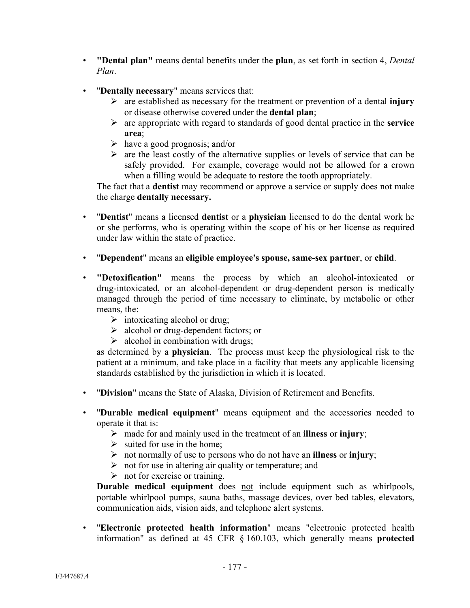- **"Dental plan"** means dental benefits under the **plan**, as set forth in section 4, *Dental Plan*.
- "**Dentally necessary**" means services that:
	- are established as necessary for the treatment or prevention of a dental **injury** or disease otherwise covered under the **dental plan**;
	- are appropriate with regard to standards of good dental practice in the **service area**;
	- $\triangleright$  have a good prognosis; and/or
	- $\triangleright$  are the least costly of the alternative supplies or levels of service that can be safely provided. For example, coverage would not be allowed for a crown when a filling would be adequate to restore the tooth appropriately.

The fact that a **dentist** may recommend or approve a service or supply does not make the charge **dentally necessary.**

- "**Dentist**" means a licensed **dentist** or a **physician** licensed to do the dental work he or she performs, who is operating within the scope of his or her license as required under law within the state of practice.
- "**Dependent**" means an **eligible employee's spouse, same-sex partner**, or **child**.
- **"Detoxification"** means the process by which an alcohol-intoxicated or drug-intoxicated, or an alcohol-dependent or drug-dependent person is medically managed through the period of time necessary to eliminate, by metabolic or other means, the:
	- $\triangleright$  intoxicating alcohol or drug;
	- $\triangleright$  alcohol or drug-dependent factors; or
	- $\triangleright$  alcohol in combination with drugs;

as determined by a **physician**. The process must keep the physiological risk to the patient at a minimum, and take place in a facility that meets any applicable licensing standards established by the jurisdiction in which it is located.

- "**Division**" means the State of Alaska, Division of Retirement and Benefits.
- "**Durable medical equipment**" means equipment and the accessories needed to operate it that is:
	- made for and mainly used in the treatment of an **illness** or **injury**;
	- $\triangleright$  suited for use in the home;
	- not normally of use to persons who do not have an **illness** or **injury**;
	- $\triangleright$  not for use in altering air quality or temperature; and
	- $\triangleright$  not for exercise or training.

Durable medical equipment does not include equipment such as whirlpools, portable whirlpool pumps, sauna baths, massage devices, over bed tables, elevators, communication aids, vision aids, and telephone alert systems.

• "**Electronic protected health information**" means "electronic protected health information" as defined at 45 CFR § 160.103, which generally means **protected**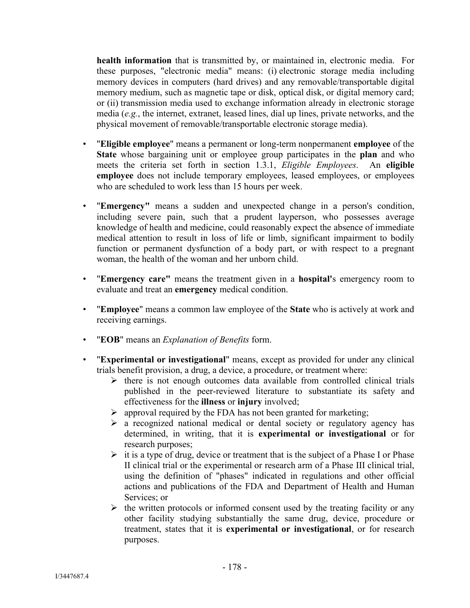**health information** that is transmitted by, or maintained in, electronic media. For these purposes, "electronic media" means: (i) electronic storage media including memory devices in computers (hard drives) and any removable/transportable digital memory medium, such as magnetic tape or disk, optical disk, or digital memory card; or (ii) transmission media used to exchange information already in electronic storage media (*e.g.*, the internet, extranet, leased lines, dial up lines, private networks, and the physical movement of removable/transportable electronic storage media).

- "**Eligible employee**" means a permanent or long-term nonpermanent **employee** of the **State** whose bargaining unit or employee group participates in the **plan** and who meets the criteria set forth in section 1.3.1, *Eligible Employees*. An **eligible employee** does not include temporary employees, leased employees, or employees who are scheduled to work less than 15 hours per week.
- "**Emergency"** means a sudden and unexpected change in a person's condition, including severe pain, such that a prudent layperson, who possesses average knowledge of health and medicine, could reasonably expect the absence of immediate medical attention to result in loss of life or limb, significant impairment to bodily function or permanent dysfunction of a body part, or with respect to a pregnant woman, the health of the woman and her unborn child.
- "**Emergency care"** means the treatment given in a **hospital'**s emergency room to evaluate and treat an **emergency** medical condition.
- "**Employee**" means a common law employee of the **State** who is actively at work and receiving earnings.
- "**EOB**" means an *Explanation of Benefits* form.
- "**Experimental or investigational**" means, except as provided for under any clinical trials benefit provision, a drug, a device, a procedure, or treatment where:
	- $\triangleright$  there is not enough outcomes data available from controlled clinical trials published in the peer-reviewed literature to substantiate its safety and effectiveness for the **illness** or **injury** involved;
	- $\triangleright$  approval required by the FDA has not been granted for marketing;
	- $\triangleright$  a recognized national medical or dental society or regulatory agency has determined, in writing, that it is **experimental or investigational** or for research purposes;
	- $\triangleright$  it is a type of drug, device or treatment that is the subject of a Phase I or Phase II clinical trial or the experimental or research arm of a Phase III clinical trial, using the definition of "phases" indicated in regulations and other official actions and publications of the FDA and Department of Health and Human Services; or
	- $\triangleright$  the written protocols or informed consent used by the treating facility or any other facility studying substantially the same drug, device, procedure or treatment, states that it is **experimental or investigational**, or for research purposes.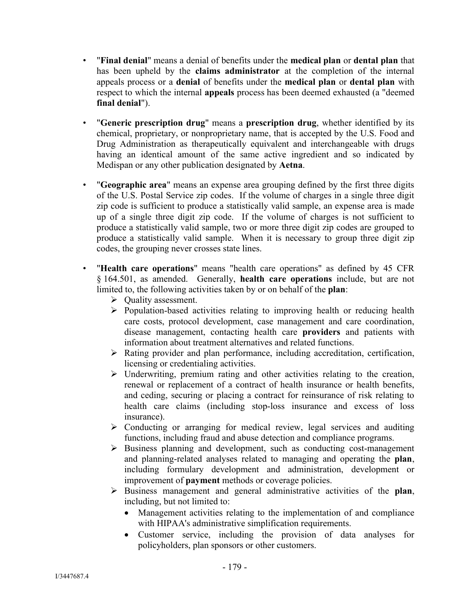- "**Final denial**" means a denial of benefits under the **medical plan** or **dental plan** that has been upheld by the **claims administrator** at the completion of the internal appeals process or a **denial** of benefits under the **medical plan** or **dental plan** with respect to which the internal **appeals** process has been deemed exhausted (a "deemed **final denial**").
- "**Generic prescription drug**" means a **prescription drug**, whether identified by its chemical, proprietary, or nonproprietary name, that is accepted by the U.S. Food and Drug Administration as therapeutically equivalent and interchangeable with drugs having an identical amount of the same active ingredient and so indicated by Medispan or any other publication designated by **Aetna**.
- "**Geographic area**" means an expense area grouping defined by the first three digits of the U.S. Postal Service zip codes. If the volume of charges in a single three digit zip code is sufficient to produce a statistically valid sample, an expense area is made up of a single three digit zip code. If the volume of charges is not sufficient to produce a statistically valid sample, two or more three digit zip codes are grouped to produce a statistically valid sample. When it is necessary to group three digit zip codes, the grouping never crosses state lines.
- "**Health care operations**" means "health care operations" as defined by 45 CFR § 164.501, as amended. Generally, **health care operations** include, but are not limited to, the following activities taken by or on behalf of the **plan**:
	- **►** Quality assessment.
	- $\triangleright$  Population-based activities relating to improving health or reducing health care costs, protocol development, case management and care coordination, disease management, contacting health care **providers** and patients with information about treatment alternatives and related functions.
	- Rating provider and plan performance, including accreditation, certification, licensing or credentialing activities.
	- $\triangleright$  Underwriting, premium rating and other activities relating to the creation, renewal or replacement of a contract of health insurance or health benefits, and ceding, securing or placing a contract for reinsurance of risk relating to health care claims (including stop-loss insurance and excess of loss insurance).
	- $\triangleright$  Conducting or arranging for medical review, legal services and auditing functions, including fraud and abuse detection and compliance programs.
	- $\triangleright$  Business planning and development, such as conducting cost-management and planning-related analyses related to managing and operating the **plan**, including formulary development and administration, development or improvement of **payment** methods or coverage policies.
	- Business management and general administrative activities of the **plan**, including, but not limited to:
		- Management activities relating to the implementation of and compliance with HIPAA's administrative simplification requirements.
		- Customer service, including the provision of data analyses for policyholders, plan sponsors or other customers.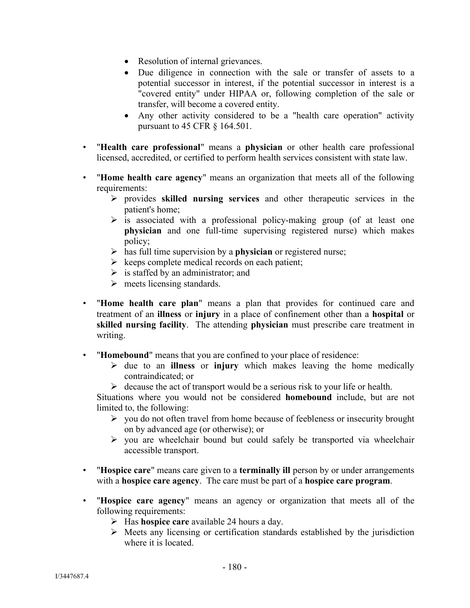- Resolution of internal grievances.
- Due diligence in connection with the sale or transfer of assets to a potential successor in interest, if the potential successor in interest is a "covered entity" under HIPAA or, following completion of the sale or transfer, will become a covered entity.
- Any other activity considered to be a "health care operation" activity pursuant to 45 CFR § 164.501.
- "**Health care professional**" means a **physician** or other health care professional licensed, accredited, or certified to perform health services consistent with state law.
- "**Home health care agency**" means an organization that meets all of the following requirements:
	- provides **skilled nursing services** and other therapeutic services in the patient's home;
	- $\triangleright$  is associated with a professional policy-making group (of at least one **physician** and one full-time supervising registered nurse) which makes policy;
	- has full time supervision by a **physician** or registered nurse;
	- $\triangleright$  keeps complete medical records on each patient;
	- $\triangleright$  is staffed by an administrator; and
	- $\triangleright$  meets licensing standards.
- "**Home health care plan**" means a plan that provides for continued care and treatment of an **illness** or **injury** in a place of confinement other than a **hospital** or **skilled nursing facility**. The attending **physician** must prescribe care treatment in writing.
- "**Homebound**" means that you are confined to your place of residence:
	- $\triangleright$  due to an **illness** or **injury** which makes leaving the home medically contraindicated; or
	- $\triangleright$  decause the act of transport would be a serious risk to your life or health.

Situations where you would not be considered **homebound** include, but are not limited to, the following:

- $\triangleright$  you do not often travel from home because of feebleness or insecurity brought on by advanced age (or otherwise); or
- $\triangleright$  you are wheelchair bound but could safely be transported via wheelchair accessible transport.
- "**Hospice care**" means care given to a **terminally ill** person by or under arrangements with a **hospice care agency**. The care must be part of a **hospice care program**.
- "**Hospice care agency**" means an agency or organization that meets all of the following requirements:
	- Has **hospice care** available 24 hours a day.
	- $\triangleright$  Meets any licensing or certification standards established by the jurisdiction where it is located.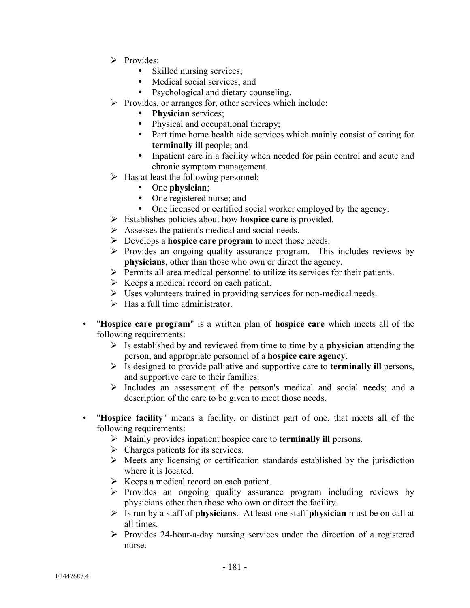- $\triangleright$  Provides:
	- Skilled nursing services;
	- Medical social services; and
	- Psychological and dietary counseling.
- $\triangleright$  Provides, or arranges for, other services which include:
	- **Physician** services;
	- Physical and occupational therapy;
	- Part time home health aide services which mainly consist of caring for **terminally ill** people; and
	- Inpatient care in a facility when needed for pain control and acute and chronic symptom management.
- $\triangleright$  Has at least the following personnel:
	- One **physician**;
	- One registered nurse; and
	- One licensed or certified social worker employed by the agency.
- Establishes policies about how **hospice care** is provided.
- $\triangleright$  Assesses the patient's medical and social needs.
- Develops a **hospice care program** to meet those needs.
- $\triangleright$  Provides an ongoing quality assurance program. This includes reviews by **physicians**, other than those who own or direct the agency.
- $\triangleright$  Permits all area medical personnel to utilize its services for their patients.
- $\triangleright$  Keeps a medical record on each patient.
- Uses volunteers trained in providing services for non-medical needs.
- $\triangleright$  Has a full time administrator.
- "**Hospice care program**" is a written plan of **hospice care** which meets all of the following requirements:
	- $\triangleright$  Is established by and reviewed from time to time by a **physician** attending the person, and appropriate personnel of a **hospice care agency**.
	- Is designed to provide palliative and supportive care to **terminally ill** persons, and supportive care to their families.
	- $\triangleright$  Includes an assessment of the person's medical and social needs; and a description of the care to be given to meet those needs.
- "**Hospice facility**" means a facility, or distinct part of one, that meets all of the following requirements:
	- Mainly provides inpatient hospice care to **terminally ill** persons.
	- $\triangleright$  Charges patients for its services.
	- $\triangleright$  Meets any licensing or certification standards established by the jurisdiction where it is located.
	- $\triangleright$  Keeps a medical record on each patient.
	- $\triangleright$  Provides an ongoing quality assurance program including reviews by physicians other than those who own or direct the facility.
	- Is run by a staff of **physicians**. At least one staff **physician** must be on call at all times.
	- $\triangleright$  Provides 24-hour-a-day nursing services under the direction of a registered nurse.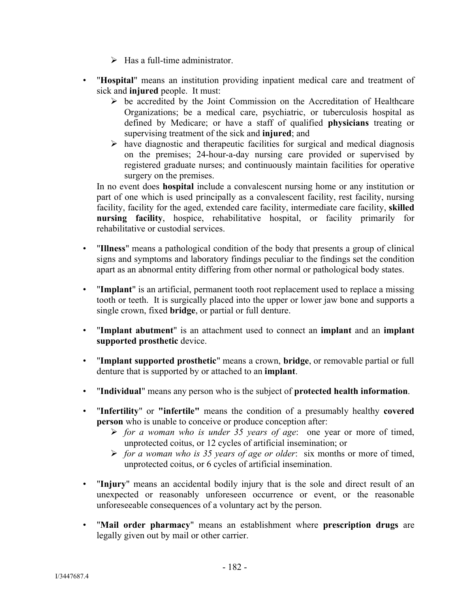- $\triangleright$  Has a full-time administrator.
- "**Hospital**" means an institution providing inpatient medical care and treatment of sick and **injured** people. It must:
	- $\triangleright$  be accredited by the Joint Commission on the Accreditation of Healthcare Organizations; be a medical care, psychiatric, or tuberculosis hospital as defined by Medicare; or have a staff of qualified **physicians** treating or supervising treatment of the sick and **injured**; and
	- $\triangleright$  have diagnostic and therapeutic facilities for surgical and medical diagnosis on the premises; 24-hour-a-day nursing care provided or supervised by registered graduate nurses; and continuously maintain facilities for operative surgery on the premises.

In no event does **hospital** include a convalescent nursing home or any institution or part of one which is used principally as a convalescent facility, rest facility, nursing facility, facility for the aged, extended care facility, intermediate care facility, **skilled nursing facility**, hospice, rehabilitative hospital, or facility primarily for rehabilitative or custodial services.

- "**Illness**" means a pathological condition of the body that presents a group of clinical signs and symptoms and laboratory findings peculiar to the findings set the condition apart as an abnormal entity differing from other normal or pathological body states.
- "**Implant**" is an artificial, permanent tooth root replacement used to replace a missing tooth or teeth. It is surgically placed into the upper or lower jaw bone and supports a single crown, fixed **bridge**, or partial or full denture.
- "**Implant abutment**" is an attachment used to connect an **implant** and an **implant supported prosthetic** device.
- "**Implant supported prosthetic**" means a crown, **bridge**, or removable partial or full denture that is supported by or attached to an **implant**.
- "**Individual**" means any person who is the subject of **protected health information**.
- "**Infertility**" or **"infertile"** means the condition of a presumably healthy **covered person** who is unable to conceive or produce conception after:
	- *for a woman who is under 35 years of age*: one year or more of timed, unprotected coitus, or 12 cycles of artificial insemination; or
	- *for a woman who is 35 years of age or older*: six months or more of timed, unprotected coitus, or 6 cycles of artificial insemination.
- "**Injury**" means an accidental bodily injury that is the sole and direct result of an unexpected or reasonably unforeseen occurrence or event, or the reasonable unforeseeable consequences of a voluntary act by the person.
- "**Mail order pharmacy**" means an establishment where **prescription drugs** are legally given out by mail or other carrier.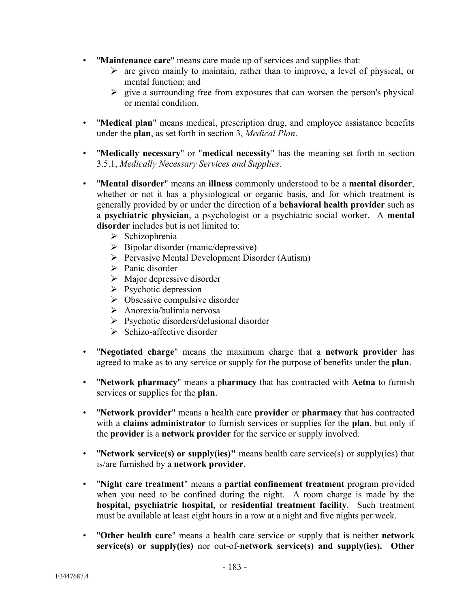- "**Maintenance care**" means care made up of services and supplies that:
	- $\triangleright$  are given mainly to maintain, rather than to improve, a level of physical, or mental function; and
	- $\triangleright$  give a surrounding free from exposures that can worsen the person's physical or mental condition.
- "**Medical plan**" means medical, prescription drug, and employee assistance benefits under the **plan**, as set forth in section 3, *Medical Plan*.
- "**Medically necessary**" or "**medical necessity**" has the meaning set forth in section 3.5.1, *Medically Necessary Services and Supplies*.
- "**Mental disorder**" means an **illness** commonly understood to be a **mental disorder**, whether or not it has a physiological or organic basis, and for which treatment is generally provided by or under the direction of a **behavioral health provider** such as a **psychiatric physician**, a psychologist or a psychiatric social worker. A **mental disorder** includes but is not limited to:
	- $\triangleright$  Schizophrenia
	- $\triangleright$  Bipolar disorder (manic/depressive)
	- $\triangleright$  Pervasive Mental Development Disorder (Autism)
	- $\triangleright$  Panic disorder
	- $\triangleright$  Major depressive disorder
	- $\triangleright$  Psychotic depression
	- $\triangleright$  Obsessive compulsive disorder
	- $\triangleright$  Anorexia/bulimia nervosa
	- $\triangleright$  Psychotic disorders/delusional disorder
	- $\triangleright$  Schizo-affective disorder
- "**Negotiated charge**" means the maximum charge that a **network provider** has agreed to make as to any service or supply for the purpose of benefits under the **plan**.
- "**Network pharmacy**" means a p**harmacy** that has contracted with **Aetna** to furnish services or supplies for the **plan**.
- "**Network provider**" means a health care **provider** or **pharmacy** that has contracted with a **claims administrator** to furnish services or supplies for the **plan**, but only if the **provider** is a **network provider** for the service or supply involved.
- "**Network service(s) or supply(ies)"** means health care service(s) or supply(ies) that is/are furnished by a **network provider**.
- "**Night care treatment**" means a **partial confinement treatment** program provided when you need to be confined during the night. A room charge is made by the **hospital**, **psychiatric hospital**, or **residential treatment facility**. Such treatment must be available at least eight hours in a row at a night and five nights per week.
- "**Other health care**" means a health care service or supply that is neither **network service(s) or supply(ies)** nor out-of-**network service(s) and supply(ies). Other**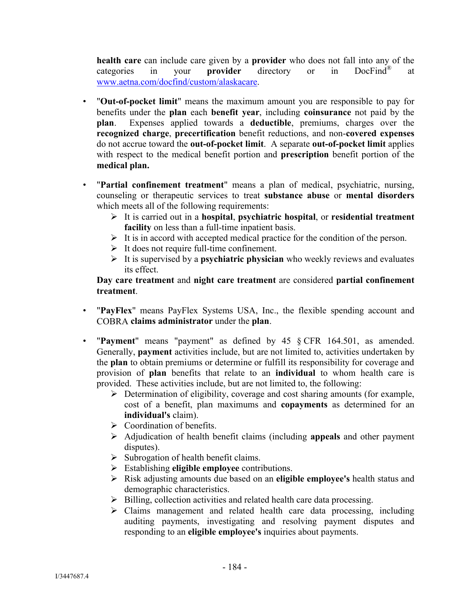**health care** can include care given by a **provider** who does not fall into any of the categories in your **provider** directory or in DocFind® at www.aetna.com/docfind/custom/alaskacare.

- "**Out-of-pocket limit**" means the maximum amount you are responsible to pay for benefits under the **plan** each **benefit year**, including **coinsurance** not paid by the **plan**. Expenses applied towards a **deductible**, premiums, charges over the **recognized charge**, **precertification** benefit reductions, and non-**covered expenses** do not accrue toward the **out-of-pocket limit**. A separate **out-of-pocket limit** applies with respect to the medical benefit portion and **prescription** benefit portion of the **medical plan.**
- "**Partial confinement treatment**" means a plan of medical, psychiatric, nursing, counseling or therapeutic services to treat **substance abuse** or **mental disorders** which meets all of the following requirements:
	- It is carried out in a **hospital**, **psychiatric hospital**, or **residential treatment facility** on less than a full-time inpatient basis.
	- $\triangleright$  It is in accord with accepted medical practice for the condition of the person.
	- $\triangleright$  It does not require full-time confinement.
	- It is supervised by a **psychiatric physician** who weekly reviews and evaluates its effect.

**Day care treatment** and **night care treatment** are considered **partial confinement treatment**.

- "**PayFlex**" means PayFlex Systems USA, Inc., the flexible spending account and COBRA **claims administrator** under the **plan**.
- "**Payment**" means "payment" as defined by 45 § CFR 164.501, as amended. Generally, **payment** activities include, but are not limited to, activities undertaken by the **plan** to obtain premiums or determine or fulfill its responsibility for coverage and provision of **plan** benefits that relate to an **individual** to whom health care is provided. These activities include, but are not limited to, the following:
	- $\triangleright$  Determination of eligibility, coverage and cost sharing amounts (for example, cost of a benefit, plan maximums and **copayments** as determined for an **individual's** claim).
	- $\triangleright$  Coordination of benefits.
	- Adjudication of health benefit claims (including **appeals** and other payment disputes).
	- $\triangleright$  Subrogation of health benefit claims.
	- Establishing **eligible employee** contributions.
	- Risk adjusting amounts due based on an **eligible employee's** health status and demographic characteristics.
	- $\triangleright$  Billing, collection activities and related health care data processing.
	- $\triangleright$  Claims management and related health care data processing, including auditing payments, investigating and resolving payment disputes and responding to an **eligible employee's** inquiries about payments.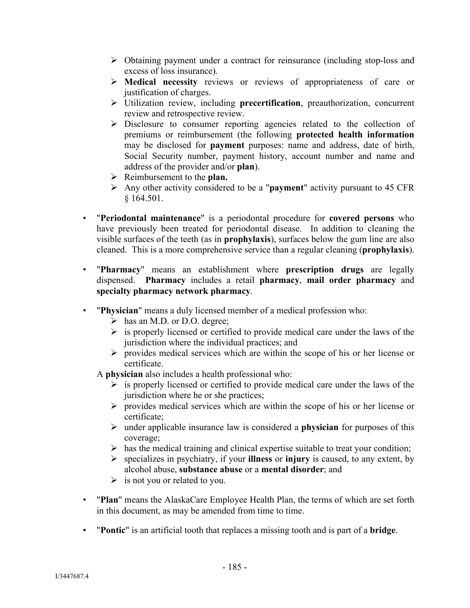- $\triangleright$  Obtaining payment under a contract for reinsurance (including stop-loss and excess of loss insurance).
- **Medical necessity** reviews or reviews of appropriateness of care or justification of charges.
- Utilization review, including **precertification**, preauthorization, concurrent review and retrospective review.
- $\triangleright$  Disclosure to consumer reporting agencies related to the collection of premiums or reimbursement (the following **protected health information** may be disclosed for **payment** purposes: name and address, date of birth, Social Security number, payment history, account number and name and address of the provider and/or **plan**).
- Reimbursement to the **plan.**
- Any other activity considered to be a "**payment**" activity pursuant to 45 CFR § 164.501.
- "**Periodontal maintenance**" is a periodontal procedure for **covered persons** who have previously been treated for periodontal disease. In addition to cleaning the visible surfaces of the teeth (as in **prophylaxis**), surfaces below the gum line are also cleaned. This is a more comprehensive service than a regular cleaning (**prophylaxis**).
- "**Pharmacy**" means an establishment where **prescription drugs** are legally dispensed. **Pharmacy** includes a retail **pharmacy**, **mail order pharmacy** and **specialty pharmacy network pharmacy**.
- "**Physician**" means a duly licensed member of a medical profession who:
	- $\triangleright$  has an M.D. or D.O. degree;
	- $\triangleright$  is properly licensed or certified to provide medical care under the laws of the jurisdiction where the individual practices; and
	- $\triangleright$  provides medical services which are within the scope of his or her license or certificate.
	- A **physician** also includes a health professional who:
		- $\triangleright$  is properly licensed or certified to provide medical care under the laws of the jurisdiction where he or she practices;
		- $\triangleright$  provides medical services which are within the scope of his or her license or certificate;
		- under applicable insurance law is considered a **physician** for purposes of this coverage;
		- $\triangleright$  has the medical training and clinical expertise suitable to treat your condition;
		- specializes in psychiatry, if your **illness** or **injury** is caused, to any extent, by alcohol abuse, **substance abuse** or a **mental disorder**; and
		- $\triangleright$  is not you or related to you.
- "**Plan**" means the AlaskaCare Employee Health Plan, the terms of which are set forth in this document, as may be amended from time to time.
- "**Pontic**" is an artificial tooth that replaces a missing tooth and is part of a **bridge**.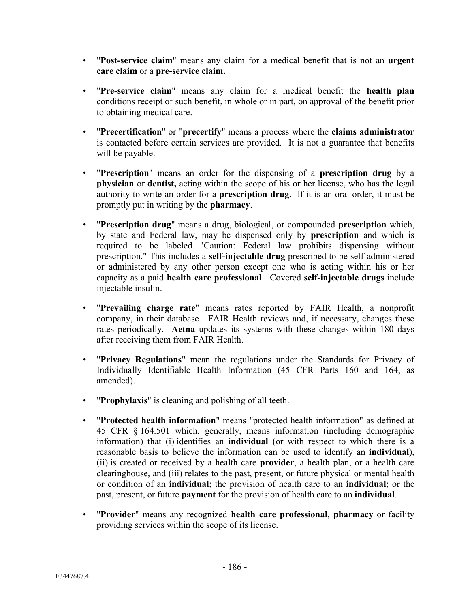- "**Post-service claim**" means any claim for a medical benefit that is not an **urgent care claim** or a **pre-service claim.**
- "**Pre-service claim**" means any claim for a medical benefit the **health plan** conditions receipt of such benefit, in whole or in part, on approval of the benefit prior to obtaining medical care.
- "**Precertification**" or "**precertify**" means a process where the **claims administrator**  is contacted before certain services are provided. It is not a guarantee that benefits will be payable.
- "**Prescription**" means an order for the dispensing of a **prescription drug** by a **physician** or **dentist,** acting within the scope of his or her license, who has the legal authority to write an order for a **prescription drug**. If it is an oral order, it must be promptly put in writing by the **pharmacy**.
- "**Prescription drug**" means a drug, biological, or compounded **prescription** which, by state and Federal law, may be dispensed only by **prescription** and which is required to be labeled "Caution: Federal law prohibits dispensing without prescription." This includes a **self-injectable drug** prescribed to be self-administered or administered by any other person except one who is acting within his or her capacity as a paid **health care professional**. Covered **self-injectable drugs** include injectable insulin.
- "**Prevailing charge rate**" means rates reported by FAIR Health, a nonprofit company, in their database. FAIR Health reviews and, if necessary, changes these rates periodically. **Aetna** updates its systems with these changes within 180 days after receiving them from FAIR Health.
- "**Privacy Regulations**" mean the regulations under the Standards for Privacy of Individually Identifiable Health Information (45 CFR Parts 160 and 164, as amended).
- "**Prophylaxis**" is cleaning and polishing of all teeth.
- "**Protected health information**" means "protected health information" as defined at 45 CFR § 164.501 which, generally, means information (including demographic information) that (i) identifies an **individual** (or with respect to which there is a reasonable basis to believe the information can be used to identify an **individual**), (ii) is created or received by a health care **provider**, a health plan, or a health care clearinghouse, and (iii) relates to the past, present, or future physical or mental health or condition of an **individual**; the provision of health care to an **individual**; or the past, present, or future **payment** for the provision of health care to an **individua**l.
- "**Provider**" means any recognized **health care professional**, **pharmacy** or facility providing services within the scope of its license.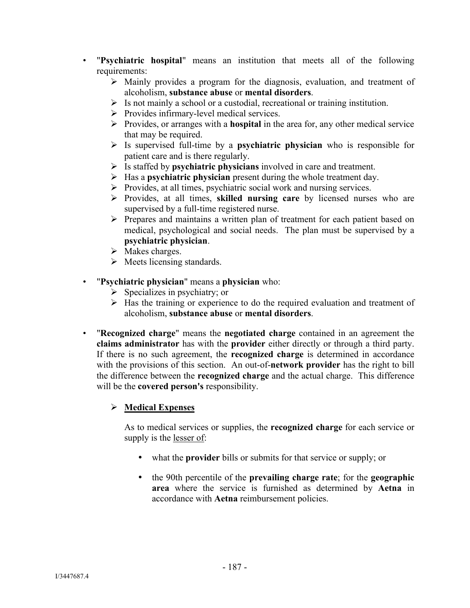- "**Psychiatric hospital**" means an institution that meets all of the following requirements:
	- $\triangleright$  Mainly provides a program for the diagnosis, evaluation, and treatment of alcoholism, **substance abuse** or **mental disorders**.
	- $\triangleright$  Is not mainly a school or a custodial, recreational or training institution.
	- $\triangleright$  Provides infirmary-level medical services.
	- Provides, or arranges with a **hospital** in the area for, any other medical service that may be required.
	- Is supervised full-time by a **psychiatric physician** who is responsible for patient care and is there regularly.
	- Is staffed by **psychiatric physicians** involved in care and treatment.
	- Has a **psychiatric physician** present during the whole treatment day.
	- $\triangleright$  Provides, at all times, psychiatric social work and nursing services.
	- Provides, at all times, **skilled nursing care** by licensed nurses who are supervised by a full-time registered nurse.
	- Prepares and maintains a written plan of treatment for each patient based on medical, psychological and social needs. The plan must be supervised by a **psychiatric physician**.
	- $\triangleright$  Makes charges.
	- $\triangleright$  Meets licensing standards.
- "**Psychiatric physician**" means a **physician** who:
	- $\triangleright$  Specializes in psychiatry; or
	- $\triangleright$  Has the training or experience to do the required evaluation and treatment of alcoholism, **substance abuse** or **mental disorders**.
- "**Recognized charge**" means the **negotiated charge** contained in an agreement the **claims administrator** has with the **provider** either directly or through a third party. If there is no such agreement, the **recognized charge** is determined in accordance with the provisions of this section. An out-of-**network provider** has the right to bill the difference between the **recognized charge** and the actual charge. This difference will be the **covered person's** responsibility.

# **Medical Expenses**

As to medical services or supplies, the **recognized charge** for each service or supply is the lesser of:

- what the **provider** bills or submits for that service or supply; or
- the 90th percentile of the **prevailing charge rate**; for the **geographic area** where the service is furnished as determined by **Aetna** in accordance with **Aetna** reimbursement policies.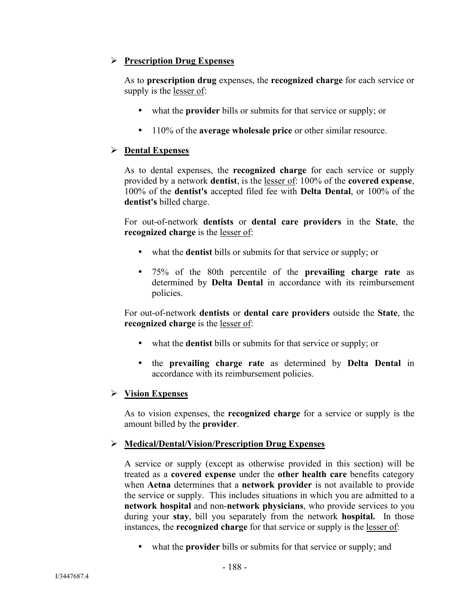## **Prescription Drug Expenses**

As to **prescription drug** expenses, the **recognized charge** for each service or supply is the lesser of:

- what the **provider** bills or submits for that service or supply; or
- 110% of the **average wholesale price** or other similar resource.

## **Dental Expenses**

As to dental expenses, the **recognized charge** for each service or supply provided by a network **dentist**, is the lesser of: 100% of the **covered expense**, 100% of the **dentist's** accepted filed fee with **Delta Dental**, or 100% of the **dentist's** billed charge.

For out-of-network **dentists** or **dental care providers** in the **State**, the **recognized charge** is the lesser of:

- what the **dentist** bills or submits for that service or supply; or
- 75% of the 80th percentile of the **prevailing charge rate** as determined by **Delta Dental** in accordance with its reimbursement policies.

For out-of-network **dentists** or **dental care providers** outside the **State**, the **recognized charge** is the lesser of:

- what the **dentist** bills or submits for that service or supply; or
- the **prevailing charge rate** as determined by **Delta Dental** in accordance with its reimbursement policies.

## **Vision Expenses**

As to vision expenses, the **recognized charge** for a service or supply is the amount billed by the **provider**.

# **Medical/Dental/Vision/Prescription Drug Expenses**

A service or supply (except as otherwise provided in this section) will be treated as a **covered expense** under the **other health care** benefits category when **Aetna** determines that a **network provider** is not available to provide the service or supply. This includes situations in which you are admitted to a **network hospital** and non-**network physicians**, who provide services to you during your **stay**, bill you separately from the network **hospital.** In those instances, the **recognized charge** for that service or supply is the lesser of:

what the **provider** bills or submits for that service or supply; and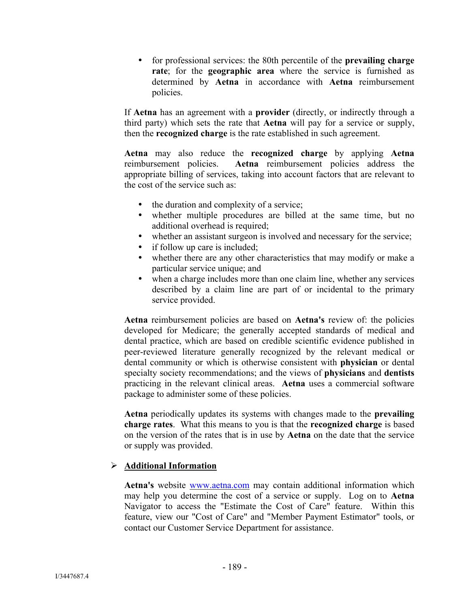for professional services: the 80th percentile of the **prevailing charge rate**; for the **geographic area** where the service is furnished as determined by **Aetna** in accordance with **Aetna** reimbursement policies.

If **Aetna** has an agreement with a **provider** (directly, or indirectly through a third party) which sets the rate that **Aetna** will pay for a service or supply, then the **recognized charge** is the rate established in such agreement.

**Aetna** may also reduce the **recognized charge** by applying **Aetna**  reimbursement policies. **Aetna** reimbursement policies address the appropriate billing of services, taking into account factors that are relevant to the cost of the service such as:

- $\bullet$  the duration and complexity of a service;
- whether multiple procedures are billed at the same time, but no additional overhead is required;
- whether an assistant surgeon is involved and necessary for the service;
- if follow up care is included;
- whether there are any other characteristics that may modify or make a particular service unique; and
- when a charge includes more than one claim line, whether any services described by a claim line are part of or incidental to the primary service provided.

**Aetna** reimbursement policies are based on **Aetna's** review of: the policies developed for Medicare; the generally accepted standards of medical and dental practice, which are based on credible scientific evidence published in peer-reviewed literature generally recognized by the relevant medical or dental community or which is otherwise consistent with **physician** or dental specialty society recommendations; and the views of **physicians** and **dentists** practicing in the relevant clinical areas. **Aetna** uses a commercial software package to administer some of these policies.

**Aetna** periodically updates its systems with changes made to the **prevailing charge rates**. What this means to you is that the **recognized charge** is based on the version of the rates that is in use by **Aetna** on the date that the service or supply was provided.

## **Additional Information**

**Aetna's** website www.aetna.com may contain additional information which may help you determine the cost of a service or supply. Log on to **Aetna** Navigator to access the "Estimate the Cost of Care" feature. Within this feature, view our "Cost of Care" and "Member Payment Estimator" tools, or contact our Customer Service Department for assistance.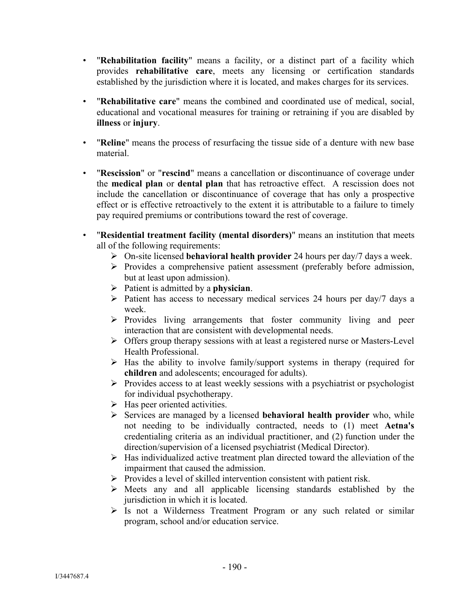- "**Rehabilitation facility**" means a facility, or a distinct part of a facility which provides **rehabilitative care**, meets any licensing or certification standards established by the jurisdiction where it is located, and makes charges for its services.
- "**Rehabilitative care**" means the combined and coordinated use of medical, social, educational and vocational measures for training or retraining if you are disabled by **illness** or **injury**.
- "**Reline**" means the process of resurfacing the tissue side of a denture with new base material.
- "**Rescission**" or "**rescind**" means a cancellation or discontinuance of coverage under the **medical plan** or **dental plan** that has retroactive effect. A rescission does not include the cancellation or discontinuance of coverage that has only a prospective effect or is effective retroactively to the extent it is attributable to a failure to timely pay required premiums or contributions toward the rest of coverage.
- "**Residential treatment facility (mental disorders)**" means an institution that meets all of the following requirements:
	- On-site licensed **behavioral health provider** 24 hours per day/7 days a week.
	- Provides a comprehensive patient assessment (preferably before admission, but at least upon admission).
	- Patient is admitted by a **physician**.
	- $\triangleright$  Patient has access to necessary medical services 24 hours per day/7 days a week.
	- $\triangleright$  Provides living arrangements that foster community living and peer interaction that are consistent with developmental needs.
	- Offers group therapy sessions with at least a registered nurse or Masters-Level Health Professional.
	- $\triangleright$  Has the ability to involve family/support systems in therapy (required for **children** and adolescents; encouraged for adults).
	- $\triangleright$  Provides access to at least weekly sessions with a psychiatrist or psychologist for individual psychotherapy.
	- $\triangleright$  Has peer oriented activities.
	- Services are managed by a licensed **behavioral health provider** who, while not needing to be individually contracted, needs to (1) meet **Aetna's** credentialing criteria as an individual practitioner, and (2) function under the direction/supervision of a licensed psychiatrist (Medical Director).
	- $\triangleright$  Has individualized active treatment plan directed toward the alleviation of the impairment that caused the admission.
	- $\triangleright$  Provides a level of skilled intervention consistent with patient risk.
	- $\triangleright$  Meets any and all applicable licensing standards established by the jurisdiction in which it is located.
	- Is not a Wilderness Treatment Program or any such related or similar program, school and/or education service.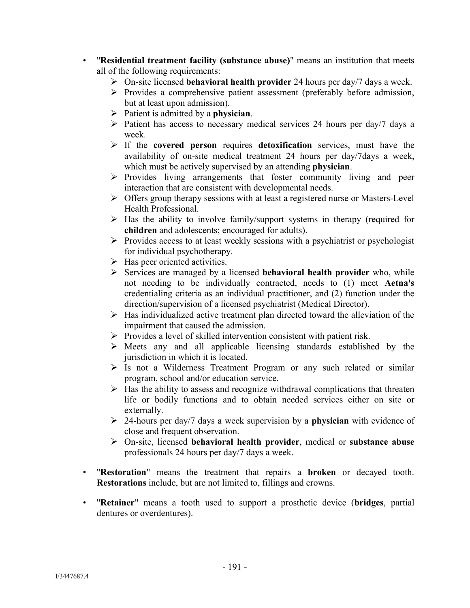- "**Residential treatment facility (substance abuse)**" means an institution that meets all of the following requirements:
	- On-site licensed **behavioral health provider** 24 hours per day/7 days a week.
	- $\triangleright$  Provides a comprehensive patient assessment (preferably before admission, but at least upon admission).
	- Patient is admitted by a **physician**.
	- $\triangleright$  Patient has access to necessary medical services 24 hours per day/7 days a week.
	- If the **covered person** requires **detoxification** services, must have the availability of on-site medical treatment 24 hours per day/7days a week, which must be actively supervised by an attending **physician**.
	- $\triangleright$  Provides living arrangements that foster community living and peer interaction that are consistent with developmental needs.
	- $\triangleright$  Offers group therapy sessions with at least a registered nurse or Masters-Level Health Professional.
	- $\triangleright$  Has the ability to involve family/support systems in therapy (required for **children** and adolescents; encouraged for adults).
	- $\triangleright$  Provides access to at least weekly sessions with a psychiatrist or psychologist for individual psychotherapy.
	- $\triangleright$  Has peer oriented activities.
	- Services are managed by a licensed **behavioral health provider** who, while not needing to be individually contracted, needs to (1) meet **Aetna's** credentialing criteria as an individual practitioner, and (2) function under the direction/supervision of a licensed psychiatrist (Medical Director).
	- $\triangleright$  Has individualized active treatment plan directed toward the alleviation of the impairment that caused the admission.
	- $\triangleright$  Provides a level of skilled intervention consistent with patient risk.
	- $\triangleright$  Meets any and all applicable licensing standards established by the jurisdiction in which it is located.
	- $\triangleright$  Is not a Wilderness Treatment Program or any such related or similar program, school and/or education service.
	- $\triangleright$  Has the ability to assess and recognize withdrawal complications that threaten life or bodily functions and to obtain needed services either on site or externally.
	- 24-hours per day/7 days a week supervision by a **physician** with evidence of close and frequent observation.
	- On-site, licensed **behavioral health provider**, medical or **substance abuse**  professionals 24 hours per day/7 days a week.
- "**Restoration**" means the treatment that repairs a **broken** or decayed tooth. **Restorations** include, but are not limited to, fillings and crowns.
- "**Retainer**" means a tooth used to support a prosthetic device (**bridges**, partial dentures or overdentures).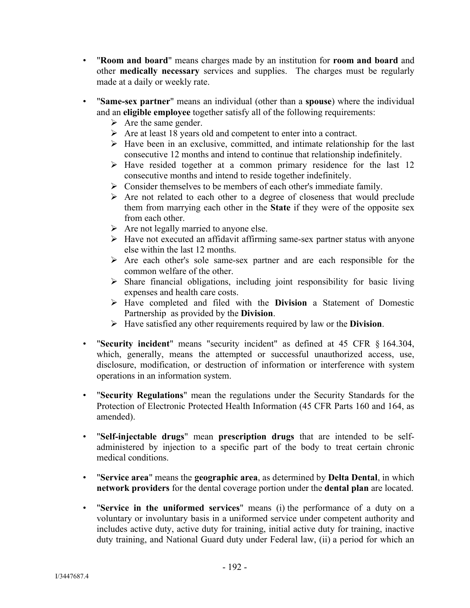- "**Room and board**" means charges made by an institution for **room and board** and other **medically necessary** services and supplies. The charges must be regularly made at a daily or weekly rate.
- "**Same-sex partner**" means an individual (other than a **spouse**) where the individual and an **eligible employee** together satisfy all of the following requirements:
	- $\triangleright$  Are the same gender.
	- $\triangleright$  Are at least 18 years old and competent to enter into a contract.
	- $\triangleright$  Have been in an exclusive, committed, and intimate relationship for the last consecutive 12 months and intend to continue that relationship indefinitely.
	- $\triangleright$  Have resided together at a common primary residence for the last 12 consecutive months and intend to reside together indefinitely.
	- $\triangleright$  Consider themselves to be members of each other's immediate family.
	- $\triangleright$  Are not related to each other to a degree of closeness that would preclude them from marrying each other in the **State** if they were of the opposite sex from each other.
	- $\triangleright$  Are not legally married to anyone else.
	- $\triangleright$  Have not executed an affidavit affirming same-sex partner status with anyone else within the last 12 months.
	- $\triangleright$  Are each other's sole same-sex partner and are each responsible for the common welfare of the other.
	- $\triangleright$  Share financial obligations, including joint responsibility for basic living expenses and health care costs.
	- Have completed and filed with the **Division** a Statement of Domestic Partnership as provided by the **Division**.
	- Have satisfied any other requirements required by law or the **Division**.
- "**Security incident**" means "security incident" as defined at 45 CFR § 164.304, which, generally, means the attempted or successful unauthorized access, use, disclosure, modification, or destruction of information or interference with system operations in an information system.
- "**Security Regulations**" mean the regulations under the Security Standards for the Protection of Electronic Protected Health Information (45 CFR Parts 160 and 164, as amended).
- "**Self-injectable drugs**" mean **prescription drugs** that are intended to be selfadministered by injection to a specific part of the body to treat certain chronic medical conditions.
- "**Service area**" means the **geographic area**, as determined by **Delta Dental**, in which **network providers** for the dental coverage portion under the **dental plan** are located.
- "**Service in the uniformed services**" means (i) the performance of a duty on a voluntary or involuntary basis in a uniformed service under competent authority and includes active duty, active duty for training, initial active duty for training, inactive duty training, and National Guard duty under Federal law, (ii) a period for which an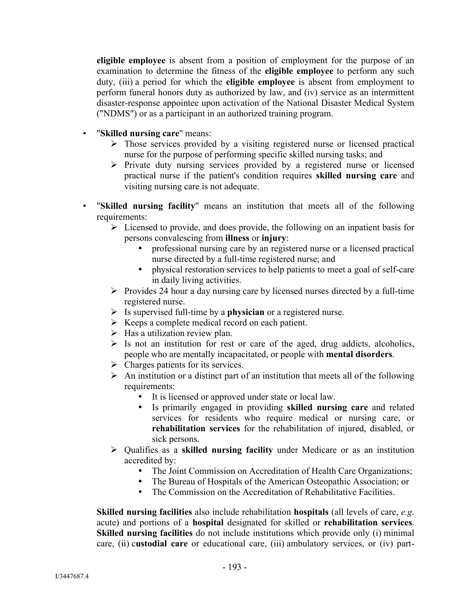**eligible employee** is absent from a position of employment for the purpose of an examination to determine the fitness of the **eligible employee** to perform any such duty, (iii) a period for which the **eligible employee** is absent from employment to perform funeral honors duty as authorized by law, and (iv) service as an intermittent disaster-response appointee upon activation of the National Disaster Medical System ("NDMS") or as a participant in an authorized training program.

- "**Skilled nursing care**" means:
	- $\triangleright$  Those services provided by a visiting registered nurse or licensed practical nurse for the purpose of performing specific skilled nursing tasks; and
	- $\triangleright$  Private duty nursing services provided by a registered nurse or licensed practical nurse if the patient's condition requires **skilled nursing care** and visiting nursing care is not adequate.
- "**Skilled nursing facility**" means an institution that meets all of the following requirements:
	- $\triangleright$  Licensed to provide, and does provide, the following on an inpatient basis for persons convalescing from **illness** or **injury**:
		- professional nursing care by an registered nurse or a licensed practical nurse directed by a full-time registered nurse; and
		- physical restoration services to help patients to meet a goal of self-care in daily living activities.
	- $\triangleright$  Provides 24 hour a day nursing care by licensed nurses directed by a full-time registered nurse.
	- Is supervised full-time by a **physician** or a registered nurse.
	- $\triangleright$  Keeps a complete medical record on each patient.
	- $\triangleright$  Has a utilization review plan.
	- $\triangleright$  Is not an institution for rest or care of the aged, drug addicts, alcoholics, people who are mentally incapacitated, or people with **mental disorders**.
	- $\triangleright$  Charges patients for its services.
	- $\triangleright$  An institution or a distinct part of an institution that meets all of the following requirements:
		- It is licensed or approved under state or local law.
		- Is primarily engaged in providing **skilled nursing care** and related services for residents who require medical or nursing care, or **rehabilitation services** for the rehabilitation of injured, disabled, or sick persons.
	- Qualifies as a **skilled nursing facility** under Medicare or as an institution accredited by:
		- The Joint Commission on Accreditation of Health Care Organizations;
		- The Bureau of Hospitals of the American Osteopathic Association; or
		- The Commission on the Accreditation of Rehabilitative Facilities.

**Skilled nursing facilities** also include rehabilitation **hospitals** (all levels of care, *e.g*. acute) and portions of a **hospital** designated for skilled or **rehabilitation services**. **Skilled nursing facilities** do not include institutions which provide only (i) minimal care, (ii) c**ustodial care** or educational care, (iii) ambulatory services, or (iv) part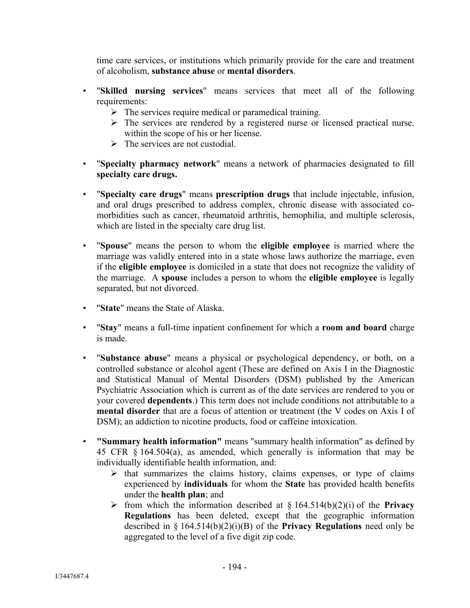time care services, or institutions which primarily provide for the care and treatment of alcoholism, **substance abuse** or **mental disorders**.

- "**Skilled nursing services**" means services that meet all of the following requirements:
	- $\triangleright$  The services require medical or paramedical training.
	- $\triangleright$  The services are rendered by a registered nurse or licensed practical nurse. within the scope of his or her license.
	- $\triangleright$  The services are not custodial.
- "**Specialty pharmacy network**" means a network of pharmacies designated to fill **specialty care drugs.**
- "**Specialty care drugs**" means **prescription drugs** that include injectable, infusion, and oral drugs prescribed to address complex, chronic disease with associated comorbidities such as cancer, rheumatoid arthritis, hemophilia, and multiple sclerosis, which are listed in the specialty care drug list.
- "**Spouse**" means the person to whom the **eligible employee** is married where the marriage was validly entered into in a state whose laws authorize the marriage, even if the **eligible employee** is domiciled in a state that does not recognize the validity of the marriage. A **spouse** includes a person to whom the **eligible employee** is legally separated, but not divorced.
- "**State**" means the State of Alaska.
- "**Stay**" means a full-time inpatient confinement for which a **room and board** charge is made.
- "**Substance abuse**" means a physical or psychological dependency, or both, on a controlled substance or alcohol agent (These are defined on Axis I in the Diagnostic and Statistical Manual of Mental Disorders (DSM) published by the American Psychiatric Association which is current as of the date services are rendered to you or your covered **dependents**.) This term does not include conditions not attributable to a **mental disorder** that are a focus of attention or treatment (the V codes on Axis I of DSM); an addiction to nicotine products, food or caffeine intoxication.
- **"Summary health information"** means "summary health information" as defined by 45 CFR § 164.504(a), as amended, which generally is information that may be individually identifiable health information, and:
	- $\triangleright$  that summarizes the claims history, claims expenses, or type of claims experienced by **individuals** for whom the **State** has provided health benefits under the **health plan**; and
	- $\triangleright$  from which the information described at § 164.514(b)(2)(i) of the **Privacy Regulations** has been deleted, except that the geographic information described in § 164.514(b)(2)(i)(B) of the **Privacy Regulations** need only be aggregated to the level of a five digit zip code.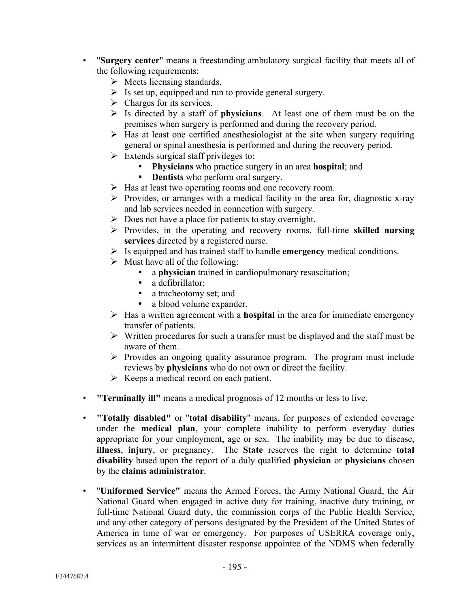- "**Surgery center**" means a freestanding ambulatory surgical facility that meets all of the following requirements:
	- $\triangleright$  Meets licensing standards.
	- $\triangleright$  Is set up, equipped and run to provide general surgery.
	- $\triangleright$  Charges for its services.
	- Is directed by a staff of **physicians**. At least one of them must be on the premises when surgery is performed and during the recovery period.
	- $\triangleright$  Has at least one certified anesthesiologist at the site when surgery requiring general or spinal anesthesia is performed and during the recovery period.
	- $\triangleright$  Extends surgical staff privileges to:
		- **Physicians** who practice surgery in an area **hospital**; and
		- **Dentists** who perform oral surgery.
	- > Has at least two operating rooms and one recovery room.
	- $\triangleright$  Provides, or arranges with a medical facility in the area for, diagnostic x-ray and lab services needed in connection with surgery.
	- $\triangleright$  Does not have a place for patients to stay overnight.
	- Provides, in the operating and recovery rooms, full-time **skilled nursing services** directed by a registered nurse.
	- Is equipped and has trained staff to handle **emergency** medical conditions.
	- $\triangleright$  Must have all of the following:
		- a **physician** trained in cardiopulmonary resuscitation;
		- a defibrillator;
		- a tracheotomy set; and
		- a blood volume expander.
	- Has a written agreement with a **hospital** in the area for immediate emergency transfer of patients.
	- $\triangleright$  Written procedures for such a transfer must be displayed and the staff must be aware of them.
	- $\triangleright$  Provides an ongoing quality assurance program. The program must include reviews by **physicians** who do not own or direct the facility.
	- $\triangleright$  Keeps a medical record on each patient.
- **"Terminally ill"** means a medical prognosis of 12 months or less to live.
- **"Totally disabled"** or "**total disability**" means, for purposes of extended coverage under the **medical plan**, your complete inability to perform everyday duties appropriate for your employment, age or sex. The inability may be due to disease, **illness**, **injury**, or pregnancy. The **State** reserves the right to determine **total disability** based upon the report of a duly qualified **physician** or **physicians** chosen by the **claims administrator**.
- "**Uniformed Service"** means the Armed Forces, the Army National Guard, the Air National Guard when engaged in active duty for training, inactive duty training, or full-time National Guard duty, the commission corps of the Public Health Service, and any other category of persons designated by the President of the United States of America in time of war or emergency. For purposes of USERRA coverage only, services as an intermittent disaster response appointee of the NDMS when federally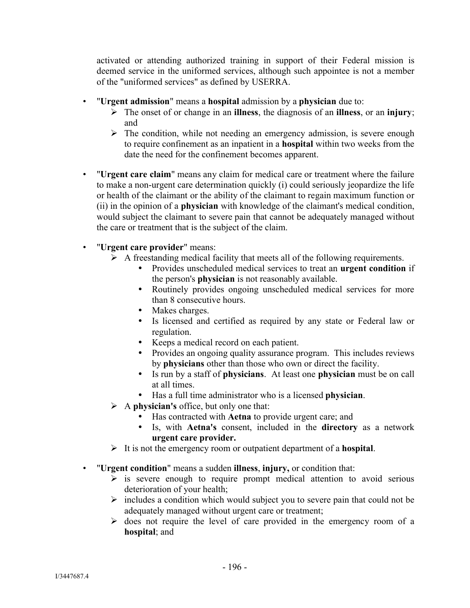activated or attending authorized training in support of their Federal mission is deemed service in the uniformed services, although such appointee is not a member of the "uniformed services" as defined by USERRA.

- "**Urgent admission**" means a **hospital** admission by a **physician** due to:
	- The onset of or change in an **illness**, the diagnosis of an **illness**, or an **injury**; and
	- $\triangleright$  The condition, while not needing an emergency admission, is severe enough to require confinement as an inpatient in a **hospital** within two weeks from the date the need for the confinement becomes apparent.
- "**Urgent care claim**" means any claim for medical care or treatment where the failure to make a non-urgent care determination quickly (i) could seriously jeopardize the life or health of the claimant or the ability of the claimant to regain maximum function or (ii) in the opinion of a **physician** with knowledge of the claimant's medical condition, would subject the claimant to severe pain that cannot be adequately managed without the care or treatment that is the subject of the claim.
- "**Urgent care provider**" means:
	- $\triangleright$  A freestanding medical facility that meets all of the following requirements.
		- Provides unscheduled medical services to treat an **urgent condition** if the person's **physician** is not reasonably available.
		- Routinely provides ongoing unscheduled medical services for more than 8 consecutive hours.
		- Makes charges.
		- Is licensed and certified as required by any state or Federal law or regulation.
		- Keeps a medical record on each patient.
		- Provides an ongoing quality assurance program. This includes reviews by **physicians** other than those who own or direct the facility.
		- Is run by a staff of **physicians**. At least one **physician** must be on call at all times.
		- Has a full time administrator who is a licensed **physician**.
	- A **physician's** office, but only one that:
		- Has contracted with **Aetna** to provide urgent care; and
		- Is, with **Aetna's** consent, included in the **directory** as a network **urgent care provider.**
	- It is not the emergency room or outpatient department of a **hospital**.
- "**Urgent condition**" means a sudden **illness**, **injury,** or condition that:
	- $\triangleright$  is severe enough to require prompt medical attention to avoid serious deterioration of your health;
	- $\triangleright$  includes a condition which would subject you to severe pain that could not be adequately managed without urgent care or treatment;
	- $\triangleright$  does not require the level of care provided in the emergency room of a **hospital**; and